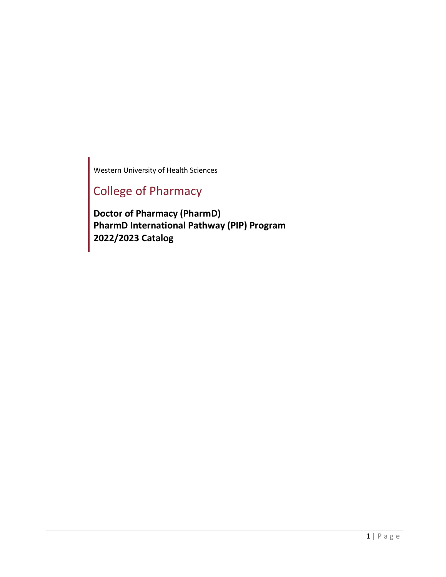Western University of Health Sciences

# College of Pharmacy

**Doctor of Pharmacy (PharmD) PharmD International Pathway (PIP) Program 2022/2023 Catalog**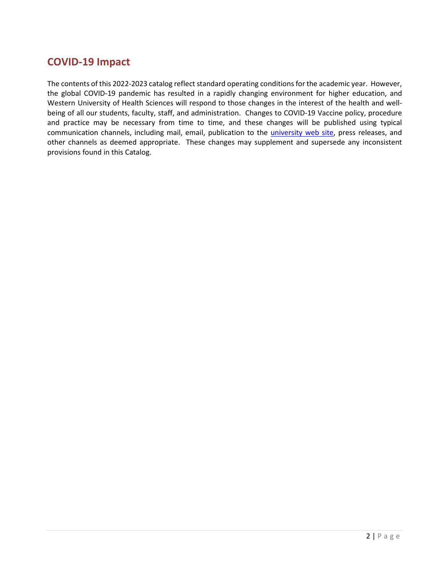## <span id="page-1-0"></span>**COVID-19 Impact**

The contents of this 2022-2023 catalog reflect standard operating conditions for the academic year. However, the global COVID-19 pandemic has resulted in a rapidly changing environment for higher education, and Western University of Health Sciences will respond to those changes in the interest of the health and wellbeing of all our students, faculty, staff, and administration. Changes to COVID-19 Vaccine policy, procedure and practice may be necessary from time to time, and these changes will be published using typical communication channels, including mail, email, publication to the [university web site,](https://www.westernu.edu/covid-19/) press releases, and other channels as deemed appropriate. These changes may supplement and supersede any inconsistent provisions found in this Catalog.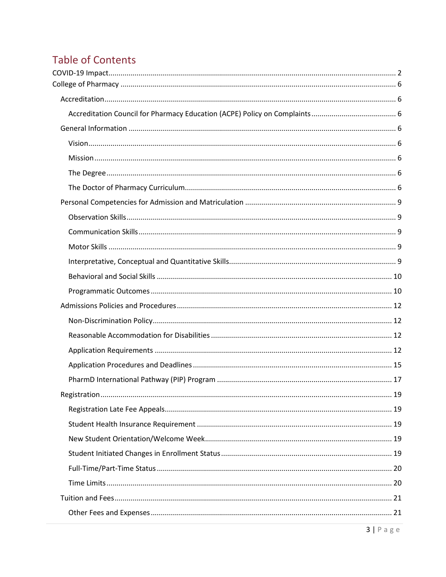# **Table of Contents**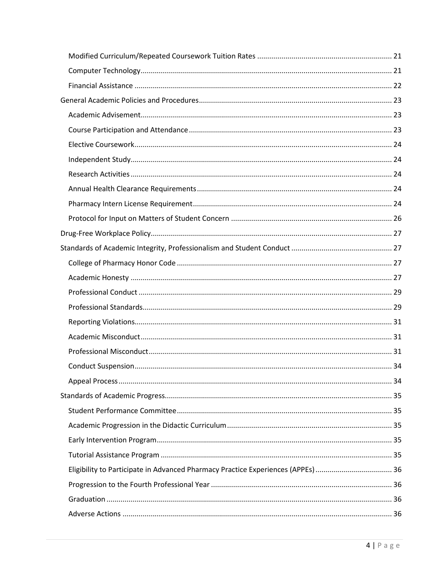| Eligibility to Participate in Advanced Pharmacy Practice Experiences (APPEs)  36 |  |
|----------------------------------------------------------------------------------|--|
|                                                                                  |  |
|                                                                                  |  |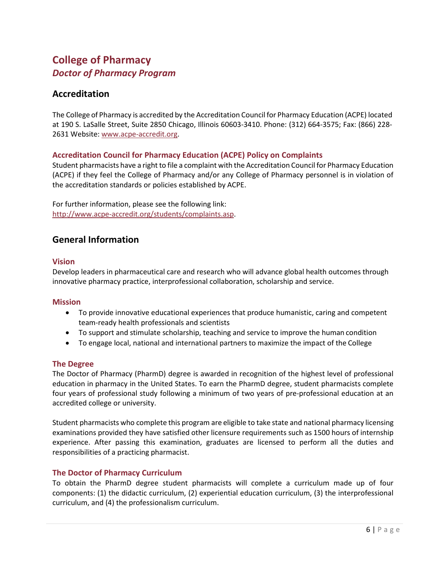## <span id="page-5-0"></span>**College of Pharmacy** *Doctor of Pharmacy Program*

## <span id="page-5-1"></span>**Accreditation**

The College of Pharmacy is accredited by the Accreditation Council for Pharmacy Education (ACPE) located at 190 S. LaSalle Street, Suite 2850 Chicago, Illinois 60603-3410. Phone: (312) 664-3575; Fax: (866) 228- 2631 Website: [www.acpe-accredit.org.](http://www.acpe-accredit.org/)

### <span id="page-5-2"></span>**Accreditation Council for Pharmacy Education (ACPE) Policy on Complaints**

Student pharmacists have a right to file a complaint with the Accreditation Council for Pharmacy Education (ACPE) if they feel the College of Pharmacy and/or any College of Pharmacy personnel is in violation of the accreditation standards or policies established by ACPE.

For further information, please see the following link: [http://www.acpe-accredit.org/students/complaints.asp.](http://www.acpe-accredit.org/students/complaints.asp)

## <span id="page-5-3"></span>**General Information**

#### <span id="page-5-4"></span>**Vision**

Develop leaders in pharmaceutical care and research who will advance global health outcomes through innovative pharmacy practice, interprofessional collaboration, scholarship and service.

#### <span id="page-5-5"></span>**Mission**

- To provide innovative educational experiences that produce humanistic, caring and competent team-ready health professionals and scientists
- To support and stimulate scholarship, teaching and service to improve the human condition
- To engage local, national and international partners to maximize the impact of the College

#### <span id="page-5-6"></span>**The Degree**

The Doctor of Pharmacy (PharmD) degree is awarded in recognition of the highest level of professional education in pharmacy in the United States. To earn the PharmD degree, student pharmacists complete four years of professional study following a minimum of two years of pre-professional education at an accredited college or university.

Student pharmacists who complete this program are eligible to take state and national pharmacy licensing examinations provided they have satisfied other licensure requirements such as 1500 hours of internship experience. After passing this examination, graduates are licensed to perform all the duties and responsibilities of a practicing pharmacist.

#### <span id="page-5-7"></span>**The Doctor of Pharmacy Curriculum**

To obtain the PharmD degree student pharmacists will complete a curriculum made up of four components: (1) the didactic curriculum, (2) experiential education curriculum, (3) the interprofessional curriculum, and (4) the professionalism curriculum.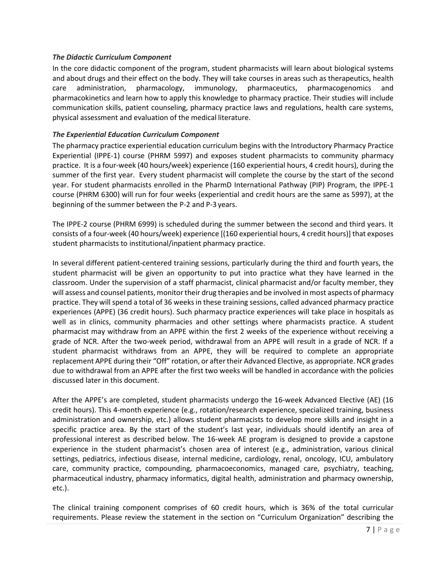#### *The Didactic Curriculum Component*

In the core didactic component of the program, student pharmacists will learn about biological systems and about drugs and their effect on the body. They will take courses in areas such as therapeutics, health care administration, pharmacology, immunology, pharmaceutics, pharmacogenomics and pharmacokinetics and learn how to apply this knowledge to pharmacy practice. Their studies will include communication skills, patient counseling, pharmacy practice laws and regulations, health care systems, physical assessment and evaluation of the medical literature.

#### *The Experiential Education Curriculum Component*

The pharmacy practice experiential education curriculum begins with the Introductory Pharmacy Practice Experiential (IPPE-1) course (PHRM 5997) and exposes student pharmacists to community pharmacy practice. It is a four-week (40 hours/week) experience (160 experiential hours, 4 credit hours), during the summer of the first year. Every student pharmacist will complete the course by the start of the second year. For student pharmacists enrolled in the PharmD International Pathway (PIP) Program, the IPPE-1 course (PHRM 6300) will run for four weeks (experiential and credit hours are the same as 5997), at the beginning of the summer between the P-2 and P-3 years.

The IPPE-2 course (PHRM 6999) is scheduled during the summer between the second and third years. It consists of a four-week (40 hours/week) experience [(160 experiential hours, 4 credit hours)] that exposes student pharmacists to institutional/inpatient pharmacy practice.

In several different patient-centered training sessions, particularly during the third and fourth years, the student pharmacist will be given an opportunity to put into practice what they have learned in the classroom. Under the supervision of a staff pharmacist, clinical pharmacist and/or faculty member, they will assess and counsel patients, monitor their drug therapies and be involved in most aspects of pharmacy practice. They will spend a total of 36 weeks in these training sessions, called advanced pharmacy practice experiences (APPE) (36 credit hours). Such pharmacy practice experiences will take place in hospitals as well as in clinics, community pharmacies and other settings where pharmacists practice. A student pharmacist may withdraw from an APPE within the first 2 weeks of the experience without receiving a grade of NCR. After the two-week period, withdrawal from an APPE will result in a grade of NCR. If a student pharmacist withdraws from an APPE, they will be required to complete an appropriate replacement APPE during their "Off" rotation, or aftertheir Advanced Elective, as appropriate. NCR grades due to withdrawal from an APPE after the first two weeks will be handled in accordance with the policies discussed later in this document.

After the APPE's are completed, student pharmacists undergo the 16-week Advanced Elective (AE) (16 credit hours). This 4-month experience (e.g., rotation/research experience, specialized training, business administration and ownership, etc.) allows student pharmacists to develop more skills and insight in a specific practice area. By the start of the student's last year, individuals should identify an area of professional interest as described below. The 16-week AE program is designed to provide a capstone experience in the student pharmacist's chosen area of interest (e.g., administration, various clinical settings, pediatrics, infectious disease, internal medicine, cardiology, renal, oncology, ICU, ambulatory care, community practice, compounding, pharmacoeconomics, managed care, psychiatry, teaching, pharmaceutical industry, pharmacy informatics, digital health, administration and pharmacy ownership, etc.).

The clinical training component comprises of 60 credit hours, which is 36% of the total curricular requirements. Please review the statement in the section on "Curriculum Organization" describing the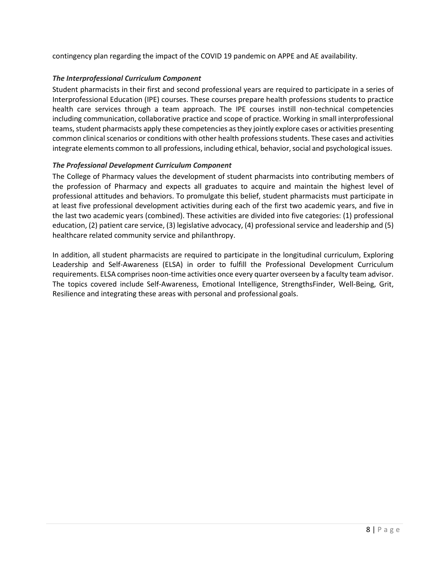contingency plan regarding the impact of the COVID 19 pandemic on APPE and AE availability.

#### *The Interprofessional Curriculum Component*

Student pharmacists in their first and second professional years are required to participate in a series of Interprofessional Education (IPE) courses. These courses prepare health professions students to practice health care services through a team approach. The IPE courses instill non-technical competencies including communication, collaborative practice and scope of practice. Working in small interprofessional teams, student pharmacists apply these competencies as they jointly explore cases or activities presenting common clinical scenarios or conditions with other health professions students. These cases and activities integrate elements common to all professions, including ethical, behavior, social and psychological issues.

#### *The Professional Development Curriculum Component*

The College of Pharmacy values the development of student pharmacists into contributing members of the profession of Pharmacy and expects all graduates to acquire and maintain the highest level of professional attitudes and behaviors. To promulgate this belief, student pharmacists must participate in at least five professional development activities during each of the first two academic years, and five in the last two academic years (combined). These activities are divided into five categories: (1) professional education, (2) patient care service, (3) legislative advocacy, (4) professional service and leadership and (5) healthcare related community service and philanthropy.

In addition, all student pharmacists are required to participate in the longitudinal curriculum, Exploring Leadership and Self-Awareness (ELSA) in order to fulfill the Professional Development Curriculum requirements. ELSA comprises noon-time activities once every quarter overseen by a faculty team advisor. The topics covered include Self-Awareness, Emotional Intelligence, StrengthsFinder, Well-Being, Grit, Resilience and integrating these areas with personal and professional goals.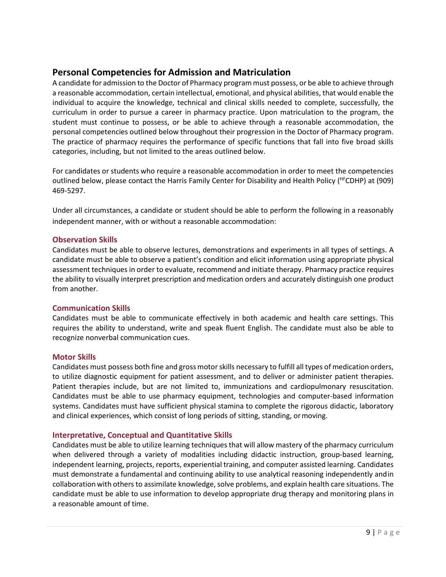## <span id="page-8-0"></span>**Personal Competencies for Admission and Matriculation**

A candidate for admission to the Doctor of Pharmacy program must possess, or be able to achieve through a reasonable accommodation, certain intellectual, emotional, and physical abilities, that would enable the individual to acquire the knowledge, technical and clinical skills needed to complete, successfully, the curriculum in order to pursue a career in pharmacy practice. Upon matriculation to the program, the student must continue to possess, or be able to achieve through a reasonable accommodation, the personal competencies outlined below throughout their progression in the Doctor of Pharmacy program. The practice of pharmacy requires the performance of specific functions that fall into five broad skills categories, including, but not limited to the areas outlined below.

For candidates or students who require a reasonable accommodation in order to meet the competencies outlined below, please contact the Harris Family Center for Disability and Health Policy ( HFCDHP) at (909) 469-5297.

Under all circumstances, a candidate or student should be able to perform the following in a reasonably independent manner, with or without a reasonable accommodation:

#### <span id="page-8-1"></span>**Observation Skills**

Candidates must be able to observe lectures, demonstrations and experiments in all types of settings. A candidate must be able to observe a patient's condition and elicit information using appropriate physical assessment techniques in order to evaluate, recommend and initiate therapy. Pharmacy practice requires the ability to visually interpret prescription and medication orders and accurately distinguish one product from another.

#### <span id="page-8-2"></span>**Communication Skills**

Candidates must be able to communicate effectively in both academic and health care settings. This requires the ability to understand, write and speak fluent English. The candidate must also be able to recognize nonverbal communication cues.

#### <span id="page-8-3"></span>**Motor Skills**

Candidates must possess both fine and grossmotorskills necessary to fulfill all types of medication orders, to utilize diagnostic equipment for patient assessment, and to deliver or administer patient therapies. Patient therapies include, but are not limited to, immunizations and cardiopulmonary resuscitation. Candidates must be able to use pharmacy equipment, technologies and computer-based information systems. Candidates must have sufficient physical stamina to complete the rigorous didactic, laboratory and clinical experiences, which consist of long periods of sitting, standing, ormoving.

#### <span id="page-8-4"></span>**Interpretative, Conceptual and Quantitative Skills**

Candidates must be able to utilize learning techniques that will allow mastery of the pharmacy curriculum when delivered through a variety of modalities including didactic instruction, group-based learning, independent learning, projects, reports, experiential training, and computer assisted learning. Candidates must demonstrate a fundamental and continuing ability to use analytical reasoning independently andin collaboration with others to assimilate knowledge, solve problems, and explain health care situations. The candidate must be able to use information to develop appropriate drug therapy and monitoring plans in a reasonable amount of time.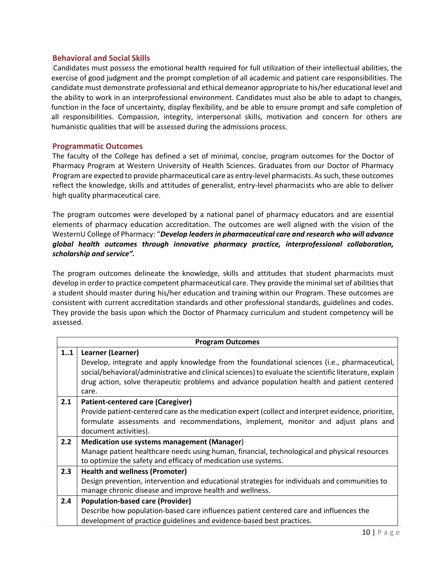#### <span id="page-9-0"></span>**Behavioral and Social Skills**

Candidates must possess the emotional health required for full utilization of their intellectual abilities, the exercise of good judgment and the prompt completion of all academic and patient care responsibilities. The candidate must demonstrate professional and ethical demeanor appropriate to his/her educational level and the ability to work in an interprofessional environment. Candidates must also be able to adapt to changes, function in the face of uncertainty, display flexibility, and be able to ensure prompt and safe completion of all responsibilities. Compassion, integrity, interpersonal skills, motivation and concern for others are humanistic qualities that will be assessed during the admissions process.

#### <span id="page-9-1"></span>**Programmatic Outcomes**

The faculty of the College has defined a set of minimal, concise, program outcomes for the Doctor of Pharmacy Program at Western University of Health Sciences. Graduates from our Doctor of Pharmacy Program are expected to provide pharmaceutical care as entry-level pharmacists. Assuch, these outcomes reflect the knowledge, skills and attitudes of generalist, entry-level pharmacists who are able to deliver high quality pharmaceutical care.

The program outcomes were developed by a national panel of pharmacy educators and are essential elements of pharmacy education accreditation. The outcomes are well aligned with the vision of the WesternU College of Pharmacy: "*Develop leadersin pharmaceutical care and research who will advance global health outcomes through innovative pharmacy practice, interprofessional collaboration, scholarship and service".*

The program outcomes delineate the knowledge, skills and attitudes that student pharmacists must develop in order to practice competent pharmaceutical care. They provide the minimal set of abilities that a student should master during his/her education and training within our Program. These outcomes are consistent with current accreditation standards and other professional standards, guidelines and codes. They provide the basis upon which the Doctor of Pharmacy curriculum and student competency will be assessed.

| <b>Program Outcomes</b> |                                                                                                                                                                                                                                                                                                                                    |  |
|-------------------------|------------------------------------------------------------------------------------------------------------------------------------------------------------------------------------------------------------------------------------------------------------------------------------------------------------------------------------|--|
| 11                      | Learner (Learner)<br>Develop, integrate and apply knowledge from the foundational sciences (i.e., pharmaceutical,<br>social/behavioral/administrative and clinical sciences) to evaluate the scientific literature, explain<br>drug action, solve therapeutic problems and advance population health and patient centered<br>care. |  |
| 2.1                     | <b>Patient-centered care (Caregiver)</b><br>Provide patient-centered care as the medication expert (collect and interpret evidence, prioritize,<br>formulate assessments and recommendations, implement, monitor and adjust plans and<br>document activities).                                                                     |  |
| 2.2                     | Medication use systems management (Manager)<br>Manage patient healthcare needs using human, financial, technological and physical resources<br>to optimize the safety and efficacy of medication use systems.                                                                                                                      |  |
| 2.3                     | <b>Health and wellness (Promoter)</b>                                                                                                                                                                                                                                                                                              |  |
|                         | Design prevention, intervention and educational strategies for individuals and communities to<br>manage chronic disease and improve health and wellness.                                                                                                                                                                           |  |
| 2.4                     | <b>Population-based care (Provider)</b>                                                                                                                                                                                                                                                                                            |  |
|                         | Describe how population-based care influences patient centered care and influences the                                                                                                                                                                                                                                             |  |
|                         | development of practice guidelines and evidence-based best practices.                                                                                                                                                                                                                                                              |  |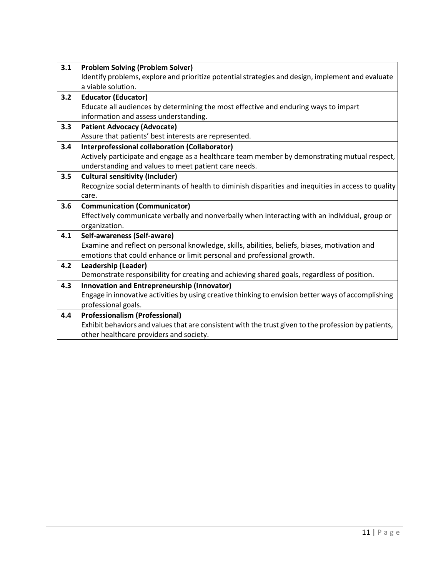| 3.1 | <b>Problem Solving (Problem Solver)</b>                                                                                                         |
|-----|-------------------------------------------------------------------------------------------------------------------------------------------------|
|     | Identify problems, explore and prioritize potential strategies and design, implement and evaluate                                               |
|     | a viable solution.                                                                                                                              |
| 3.2 | <b>Educator (Educator)</b>                                                                                                                      |
|     | Educate all audiences by determining the most effective and enduring ways to impart                                                             |
|     | information and assess understanding.                                                                                                           |
| 3.3 | <b>Patient Advocacy (Advocate)</b>                                                                                                              |
|     | Assure that patients' best interests are represented.                                                                                           |
| 3.4 | <b>Interprofessional collaboration (Collaborator)</b>                                                                                           |
|     | Actively participate and engage as a healthcare team member by demonstrating mutual respect,                                                    |
|     | understanding and values to meet patient care needs.                                                                                            |
| 3.5 | <b>Cultural sensitivity (Includer)</b>                                                                                                          |
|     | Recognize social determinants of health to diminish disparities and inequities in access to quality                                             |
|     | care.                                                                                                                                           |
|     |                                                                                                                                                 |
| 3.6 | <b>Communication (Communicator)</b>                                                                                                             |
|     | Effectively communicate verbally and nonverbally when interacting with an individual, group or                                                  |
|     | organization.                                                                                                                                   |
| 4.1 | Self-awareness (Self-aware)                                                                                                                     |
|     | Examine and reflect on personal knowledge, skills, abilities, beliefs, biases, motivation and                                                   |
|     | emotions that could enhance or limit personal and professional growth.                                                                          |
| 4.2 | <b>Leadership (Leader)</b>                                                                                                                      |
|     | Demonstrate responsibility for creating and achieving shared goals, regardless of position.                                                     |
| 4.3 | Innovation and Entrepreneurship (Innovator)                                                                                                     |
|     | Engage in innovative activities by using creative thinking to envision better ways of accomplishing                                             |
|     | professional goals.                                                                                                                             |
| 4.4 | <b>Professionalism (Professional)</b>                                                                                                           |
|     | Exhibit behaviors and values that are consistent with the trust given to the profession by patients,<br>other healthcare providers and society. |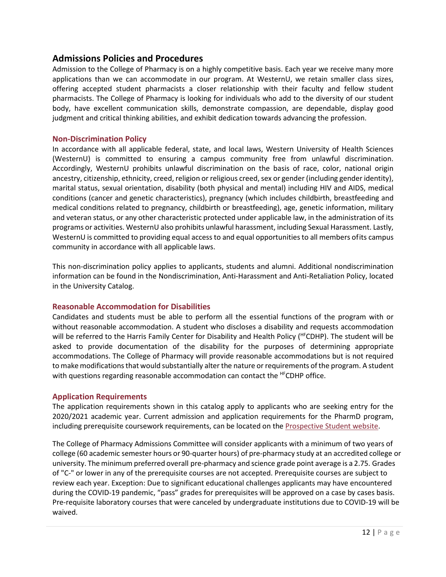## <span id="page-11-0"></span>**Admissions Policies and Procedures**

Admission to the College of Pharmacy is on a highly competitive basis. Each year we receive many more applications than we can accommodate in our program. At WesternU, we retain smaller class sizes, offering accepted student pharmacists a closer relationship with their faculty and fellow student pharmacists. The College of Pharmacy is looking for individuals who add to the diversity of our student body, have excellent communication skills, demonstrate compassion, are dependable, display good judgment and critical thinking abilities, and exhibit dedication towards advancing the profession.

#### <span id="page-11-1"></span>**Non-Discrimination Policy**

In accordance with all applicable federal, state, and local laws, Western University of Health Sciences (WesternU) is committed to ensuring a campus community free from unlawful discrimination. Accordingly, WesternU prohibits unlawful discrimination on the basis of race, color, national origin ancestry, citizenship, ethnicity, creed, religion or religious creed, sex or gender (including gender identity), marital status, sexual orientation, disability (both physical and mental) including HIV and AIDS, medical conditions (cancer and genetic characteristics), pregnancy (which includes childbirth, breastfeeding and medical conditions related to pregnancy, childbirth or breastfeeding), age, genetic information, military and veteran status, or any other characteristic protected under applicable law, in the administration of its programs or activities. WesternU also prohibits unlawful harassment, including Sexual Harassment. Lastly, WesternU is committed to providing equal access to and equal opportunities to all members ofits campus community in accordance with all applicable laws.

This non-discrimination policy applies to applicants, students and alumni. Additional nondiscrimination information can be found in the Nondiscrimination, Anti-Harassment and Anti-Retaliation Policy, located in the University Catalog.

#### <span id="page-11-2"></span>**Reasonable Accommodation for Disabilities**

Candidates and students must be able to perform all the essential functions of the program with or without reasonable accommodation. A student who discloses a disability and requests accommodation will be referred to the Harris Family Center for Disability and Health Policy (HFCDHP). The student will be asked to provide documentation of the disability for the purposes of determining appropriate accommodations. The College of Pharmacy will provide reasonable accommodations but is not required to make modifications that would substantially alter the nature or requirements of the program. A student with questions regarding reasonable accommodation can contact the <sup>HF</sup>CDHP office.

#### <span id="page-11-3"></span>**Application Requirements**

The application requirements shown in this catalog apply to applicants who are seeking entry for the 2020/2021 academic year. Current admission and application requirements for the PharmD program, including prerequisite coursework requirements, can be located on the [Prospective Student website.](http://prospective.westernu.edu/pharmacy-pharmd/requirements-13/)

The College of Pharmacy Admissions Committee will consider applicants with a minimum of two years of college (60 academic semester hours or 90-quarter hours) of pre-pharmacy study at an accredited college or university. The minimum preferred overall pre-pharmacy and science grade point average is a 2.75. Grades of "C-" or lower in any of the prerequisite courses are not accepted. Prerequisite courses are subject to review each year. Exception: Due to significant educational challenges applicants may have encountered during the COVID-19 pandemic, "pass" grades for prerequisites will be approved on a case by cases basis. Pre-requisite laboratory courses that were canceled by undergraduate institutions due to COVID-19 will be waived.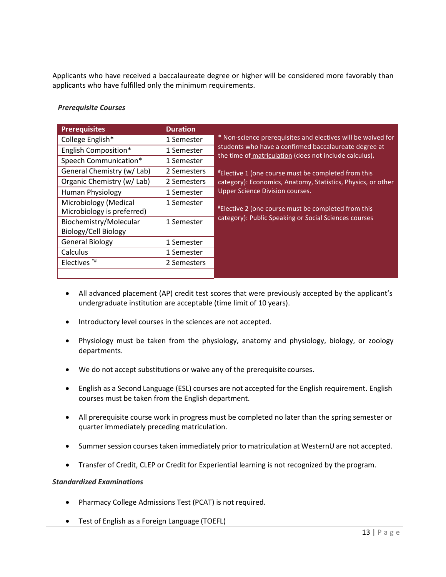Applicants who have received a baccalaureate degree or higher will be considered more favorably than applicants who have fulfilled only the minimum requirements.

#### *Prerequisite Courses*

| <b>Prerequisites</b>                                | <b>Duration</b> |                                                                                                                 |
|-----------------------------------------------------|-----------------|-----------------------------------------------------------------------------------------------------------------|
| College English*                                    | 1 Semester      | * Non-science prerequisites and electives will be waived for                                                    |
| English Composition*                                | 1 Semester      | students who have a confirmed baccalaureate degree at<br>the time of matriculation (does not include calculus). |
| Speech Communication*                               | 1 Semester      |                                                                                                                 |
| General Chemistry (w/ Lab)                          | 2 Semesters     | <i>*Elective 1 (one course must be completed from this</i>                                                      |
| Organic Chemistry (w/ Lab)                          | 2 Semesters     | category): Economics, Anatomy, Statistics, Physics, or other                                                    |
| Human Physiology                                    | 1 Semester      | Upper Science Division courses.                                                                                 |
| Microbiology (Medical<br>Microbiology is preferred) | 1 Semester      | "Elective 2 (one course must be completed from this                                                             |
| Biochemistry/Molecular                              | 1 Semester      | category): Public Speaking or Social Sciences courses                                                           |
| Biology/Cell Biology                                |                 |                                                                                                                 |
| <b>General Biology</b>                              | 1 Semester      |                                                                                                                 |
| Calculus                                            | 1 Semester      |                                                                                                                 |
| Electives <sup>*#</sup>                             | 2 Semesters     |                                                                                                                 |
|                                                     |                 |                                                                                                                 |

- All advanced placement (AP) credit test scores that were previously accepted by the applicant's undergraduate institution are acceptable (time limit of 10 years).
- Introductory level courses in the sciences are not accepted.
- Physiology must be taken from the physiology, anatomy and physiology, biology, or zoology departments.
- We do not accept substitutions or waive any of the prerequisite courses.
- English as a Second Language (ESL) courses are not accepted for the English requirement. English courses must be taken from the English department.
- All prerequisite course work in progress must be completed no later than the spring semester or quarter immediately preceding matriculation.
- Summer session courses taken immediately prior to matriculation at WesternU are not accepted.
- Transfer of Credit, CLEP or Credit for Experiential learning is not recognized by the program.

#### *Standardized Examinations*

- Pharmacy College Admissions Test (PCAT) is not required.
- Test of English as a Foreign Language (TOEFL)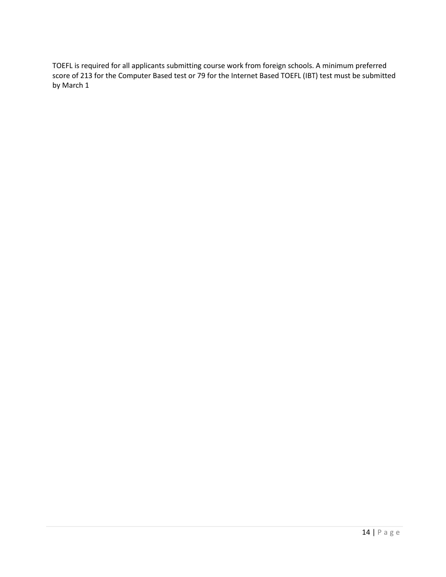TOEFL is required for all applicants submitting course work from foreign schools. A minimum preferred score of 213 for the Computer Based test or 79 for the Internet Based TOEFL (IBT) test must be submitted by March 1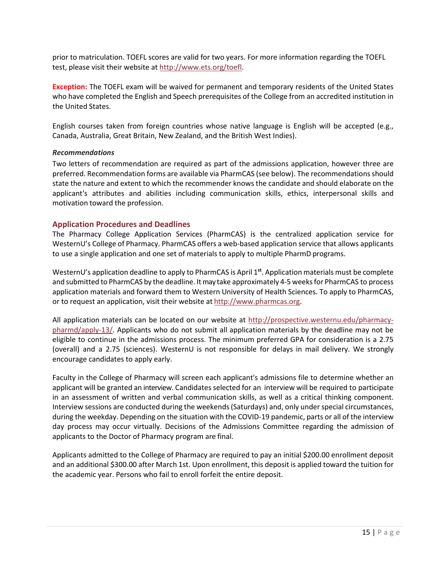prior to matriculation. TOEFL scores are valid for two years. For more information regarding the TOEFL test, please visit their website at [http://www.ets.org/toefl.](http://www.ets.org/toefl)

**Exception:** The TOEFL exam will be waived for permanent and temporary residents of the United States who have completed the English and Speech prerequisites of the College from an accredited institution in the United States.

English courses taken from foreign countries whose native language is English will be accepted (e.g., Canada, Australia, Great Britain, New Zealand, and the British West Indies).

#### *Recommendations*

Two letters of recommendation are required as part of the admissions application, however three are preferred. Recommendation forms are available via PharmCAS (see below). The recommendations should state the nature and extent to which the recommender knows the candidate and should elaborate on the applicant's attributes and abilities including communication skills, ethics, interpersonal skills and motivation toward the profession.

#### <span id="page-14-0"></span>**Application Procedures and Deadlines**

The Pharmacy College Application Services (PharmCAS) is the centralized application service for WesternU's College of Pharmacy. PharmCAS offers a web-based application service that allows applicants to use a single application and one set of materials to apply to multiple PharmD programs.

WesternU's application deadline to apply to PharmCAS is April 1**st**. Application materials must be complete and submitted to PharmCAS by the deadline. Itmay take approximately 4-5 weeksfor PharmCAS to process application materials and forward them to Western University of Health Sciences. To apply to PharmCAS, or to request an application, visit their website at [http://www.pharmcas.org.](http://www.pharmcas.org/)

All application materials can be located on our website at [http://prospective.westernu.edu/pharmacy](http://prospective.westernu.edu/pharmacy-pharmd/apply-13/)[pharmd/apply-13/.](http://prospective.westernu.edu/pharmacy-pharmd/apply-13/) Applicants who do not submit all application materials by the deadline may not be eligible to continue in the admissions process. The minimum preferred GPA for consideration is a 2.75 (overall) and a 2.75 (sciences). WesternU is not responsible for delays in mail delivery. We strongly encourage candidates to apply early.

Faculty in the College of Pharmacy will screen each applicant's admissions file to determine whether an applicant will be granted an interview. Candidates selected for an interview will be required to participate in an assessment of written and verbal communication skills, as well as a critical thinking component. Interview sessions are conducted during the weekends (Saturdays) and, only under special circumstances, during the weekday. Depending on the situation with the COVID-19 pandemic, parts or all of the interview day process may occur virtually. Decisions of the Admissions Committee regarding the admission of applicants to the Doctor of Pharmacy program are final.

Applicants admitted to the College of Pharmacy are required to pay an initial \$200.00 enrollment deposit and an additional \$300.00 after March 1st. Upon enrollment, this deposit is applied toward the tuition for the academic year. Persons who fail to enroll forfeit the entire deposit.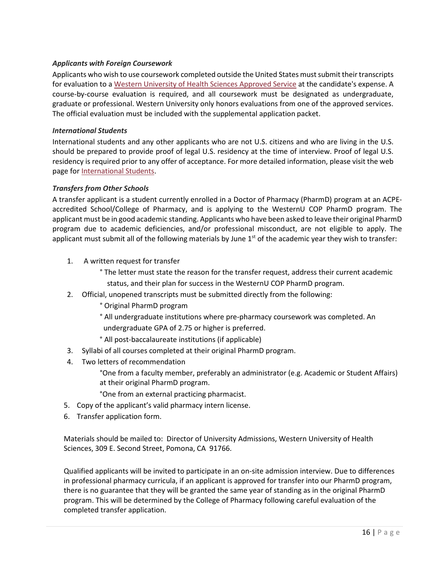#### *Applicants with Foreign Coursework*

Applicants who wish to use coursework completed outside the United States must submit their transcripts for evaluation to a Western [University](http://prospective.westernu.edu/pharmacy-pharmd/foreign-13/) of Health Sciences Approved Service at the candidate's expense. A course-by-course evaluation is required, and all coursework must be designated as undergraduate, graduate or professional. Western University only honors evaluations from one of the approved services. The official evaluation must be included with the supplemental application packet.

#### *International Students*

International students and any other applicants who are not U.S. citizens and who are living in the U.S. should be prepared to provide proof of legal U.S. residency at the time of interview. Proof of legal U.S. residency is required prior to any offer of acceptance. For more detailed information, please visit the web page fo[r International Students.](http://www.westernu.edu/international-welcome)

#### *Transfers from Other Schools*

A transfer applicant is a student currently enrolled in a Doctor of Pharmacy (PharmD) program at an ACPEaccredited School/College of Pharmacy, and is applying to the WesternU COP PharmD program. The applicant must be in good academic standing. Applicants who have been asked to leave their original PharmD program due to academic deficiencies, and/or professional misconduct, are not eligible to apply. The applicant must submit all of the following materials by June  $1<sup>st</sup>$  of the academic year they wish to transfer:

- 1. A written request for transfer
	- ° The letter must state the reason for the transfer request, address their current academic status, and their plan for success in the WesternU COP PharmD program.
- 2. Official, unopened transcripts must be submitted directly from the following:
	- ° Original PharmD program
	- ° All undergraduate institutions where pre-pharmacy coursework was completed. An undergraduate GPA of 2.75 or higher is preferred.
	- ° All post-baccalaureate institutions (if applicable)
- 3. Syllabi of all courses completed at their original PharmD program.
- 4. Two letters of recommendation

°One from a faculty member, preferably an administrator (e.g. Academic or Student Affairs) at their original PharmD program.

°One from an external practicing pharmacist.

- 5. Copy of the applicant's valid pharmacy intern license.
- 6. Transfer application form.

Materials should be mailed to: Director of University Admissions, Western University of Health Sciences, 309 E. Second Street, Pomona, CA 91766.

Qualified applicants will be invited to participate in an on-site admission interview. Due to differences in professional pharmacy curricula, if an applicant is approved for transfer into our PharmD program, there is no guarantee that they will be granted the same year of standing as in the original PharmD program. This will be determined by the College of Pharmacy following careful evaluation of the completed transfer application.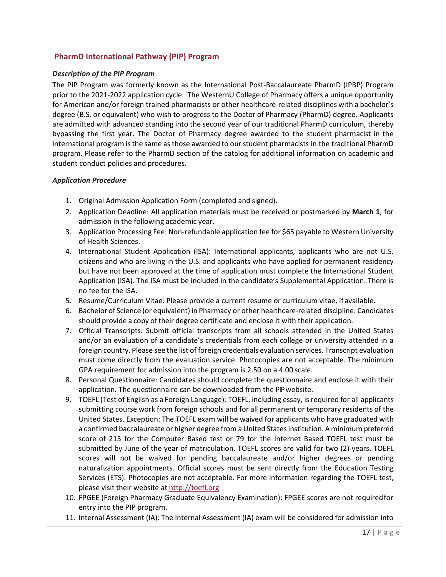## <span id="page-16-0"></span>**PharmD International Pathway (PIP) Program**

#### *Description of the PIP Program*

The PIP Program was formerly known as the International Post-Baccalaureate PharmD (IPBP) Program prior to the 2021-2022 application cycle. The WesternU College of Pharmacy offers a unique opportunity for American and/or foreign trained pharmacists or other healthcare-related disciplines with a bachelor's degree (B.S. or equivalent) who wish to progress to the Doctor of Pharmacy (PharmD) degree. Applicants are admitted with advanced standing into the second year of our traditional PharmD curriculum, thereby bypassing the first year. The Doctor of Pharmacy degree awarded to the student pharmacist in the international program is the same as those awarded to our student pharmacists in the traditional PharmD program. Please refer to the PharmD section of the catalog for additional information on academic and student conduct policies and procedures.

#### *Application Procedure*

- 1. Original Admission Application Form (completed and signed).
- 2. Application Deadline: All application materials must be received or postmarked by **March 1**, for admission in the following academic year.
- 3. Application Processing Fee: Non-refundable application fee for \$65 payable to Western University of Health Sciences.
- 4. International Student Application (ISA): International applicants, applicants who are not U.S. citizens and who are living in the U.S. and applicants who have applied for permanent residency but have not been approved at the time of application must complete the International Student Application (ISA). The ISA must be included in the candidate's Supplemental Application. There is no fee for the ISA.
- 5. Resume/Curriculum Vitae: Please provide a current resume or curriculum vitae, if available.
- 6. Bachelor of Science (or equivalent) in Pharmacy or other healthcare-related discipline: Candidates should provide a copy of their degree certificate and enclose it with their application.
- 7. Official Transcripts: Submit official transcripts from all schools attended in the United States and/or an evaluation of a candidate's credentials from each college or university attended in a foreign country. Please see the list of foreign credentials evaluation services. Transcript evaluation must come directly from the evaluation service. Photocopies are not acceptable. The minimum GPA requirement for admission into the program is 2.50 on a 4.00 scale.
- 8. Personal Questionnaire: Candidates should complete the questionnaire and enclose it with their application. The questionnaire can be downloaded from the PIP website.
- 9. TOEFL (Test of English as a Foreign Language): TOEFL, including essay, isrequired for all applicants submitting course work from foreign schools and for all permanent or temporary residents of the United States. Exception: The TOEFL exam will be waived for applicants who have graduated with a confirmed baccalaureate or higher degree from a United Statesinstitution. A minimum preferred score of 213 for the Computer Based test or 79 for the Internet Based TOEFL test must be submitted by June of the year of matriculation. TOEFL scores are valid for two (2) years. TOEFL scores will not be waived for pending baccalaureate and/or higher degrees or pending naturalization appointments. Official scores must be sent directly from the Education Testing Services (ETS). Photocopies are not acceptable. For more information regarding the TOEFL test, please visit their website at [http://toefl.org](http://toefl.org/)
- 10. FPGEE (Foreign Pharmacy Graduate Equivalency Examination): FPGEE scores are not requiredfor entry into the PIP program.
- 11. Internal Assessment (IA): The Internal Assessment (IA) exam will be considered for admission into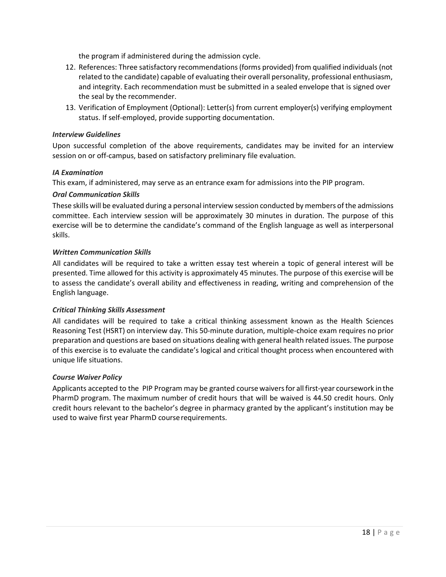the program if administered during the admission cycle.

- 12. References: Three satisfactory recommendations(forms provided) from qualified individuals (not related to the candidate) capable of evaluating their overall personality, professional enthusiasm, and integrity. Each recommendation must be submitted in a sealed envelope that is signed over the seal by the recommender.
- 13. Verification of Employment (Optional): Letter(s) from current employer(s) verifying employment status. If self-employed, provide supporting documentation.

#### *Interview Guidelines*

Upon successful completion of the above requirements, candidates may be invited for an interview session on or off-campus, based on satisfactory preliminary file evaluation.

#### *IA Examination*

This exam, if administered, may serve as an entrance exam for admissions into the PIP program.

#### *Oral Communication Skills*

These skills will be evaluated during a personal interview session conducted by members of the admissions committee. Each interview session will be approximately 30 minutes in duration. The purpose of this exercise will be to determine the candidate's command of the English language as well as interpersonal skills.

#### *Written Communication Skills*

All candidates will be required to take a written essay test wherein a topic of general interest will be presented. Time allowed for this activity is approximately 45 minutes. The purpose of this exercise will be to assess the candidate's overall ability and effectiveness in reading, writing and comprehension of the English language.

#### *Critical Thinking Skills Assessment*

All candidates will be required to take a critical thinking assessment known as the Health Sciences Reasoning Test (HSRT) on interview day. This 50-minute duration, multiple-choice exam requires no prior preparation and questions are based on situations dealing with general health related issues. The purpose of this exercise is to evaluate the candidate's logical and critical thought process when encountered with unique life situations.

#### *Course Waiver Policy*

Applicants accepted to the PIP Program may be granted course waiversfor allfirst-year coursework in the PharmD program. The maximum number of credit hours that will be waived is 44.50 credit hours. Only credit hours relevant to the bachelor's degree in pharmacy granted by the applicant's institution may be used to waive first year PharmD courserequirements.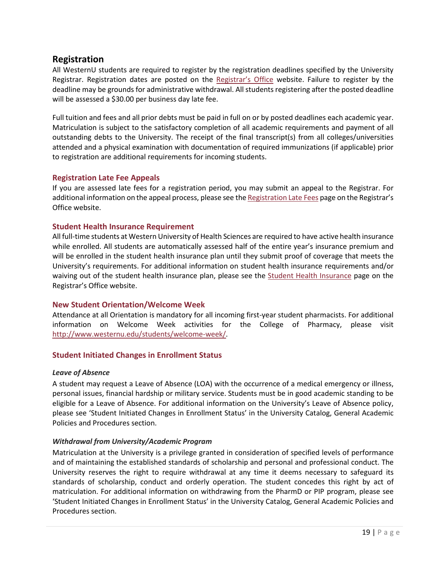## <span id="page-18-0"></span>**Registration**

All WesternU students are required to register by the registration deadlines specified by the University Registrar. Registration dates are posted on the [Registrar's Office](http://www.westernu.edu/registrar/registration-information/) website. Failure to register by the deadline may be grounds for administrative withdrawal. All students registering after the posted deadline will be assessed a \$30.00 per business day late fee.

Full tuition and fees and all prior debts must be paid in full on or by posted deadlines each academic year. Matriculation is subject to the satisfactory completion of all academic requirements and payment of all outstanding debts to the University. The receipt of the final transcript(s) from all colleges/universities attended and a physical examination with documentation of required immunizations (if applicable) prior to registration are additional requirements for incoming students.

#### <span id="page-18-1"></span>**Registration Late Fee Appeals**

If you are assessed late fees for a registration period, you may submit an appeal to the Registrar. For additional information on the appeal process, please see the [Registration](http://www.westernu.edu/registrar/registration-information/registration-late-fees/) Late Fees page on the Registrar's Office website.

#### <span id="page-18-2"></span>**Student Health Insurance Requirement**

All full-time students at Western University of Health Sciences are required to have active health insurance while enrolled. All students are automatically assessed half of the entire year's insurance premium and will be enrolled in the student health insurance plan until they submit proof of coverage that meets the University's requirements. For additional information on student health insurance requirements and/or waiving out of the student health insurance plan, please see the [Student Health Insurance](http://www.westernu.edu/registrar/registration-information/student-health-insurance/) page on the Registrar's Office website.

#### <span id="page-18-3"></span>**New Student Orientation/Welcome Week**

Attendance at all Orientation is mandatory for all incoming first-year student pharmacists. For additional information on Welcome Week activities for the College of Pharmacy, please visit [http://www.westernu.edu/students/welcome-week/.](http://www.westernu.edu/students/welcome-week/)

#### <span id="page-18-4"></span>**Student Initiated Changes in Enrollment Status**

#### *Leave of Absence*

A student may request a Leave of Absence (LOA) with the occurrence of a medical emergency or illness, personal issues, financial hardship or military service. Students must be in good academic standing to be eligible for a Leave of Absence. For additional information on the University's Leave of Absence policy, please see 'Student Initiated Changes in Enrollment Status' in the University Catalog, General Academic Policies and Procedures section.

#### *Withdrawal from University/Academic Program*

Matriculation at the University is a privilege granted in consideration of specified levels of performance and of maintaining the established standards of scholarship and personal and professional conduct. The University reserves the right to require withdrawal at any time it deems necessary to safeguard its standards of scholarship, conduct and orderly operation. The student concedes this right by act of matriculation. For additional information on withdrawing from the PharmD or PIP program, please see 'Student Initiated Changes in Enrollment Status' in the University Catalog, General Academic Policies and Procedures section.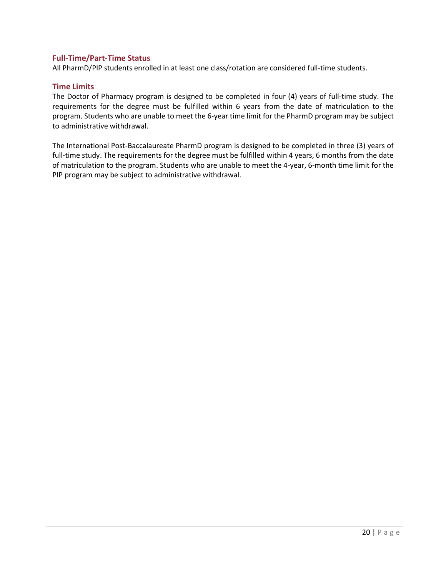#### <span id="page-19-0"></span>**Full-Time/Part-Time Status**

All PharmD/PIP students enrolled in at least one class/rotation are considered full-time students.

#### <span id="page-19-1"></span>**Time Limits**

The Doctor of Pharmacy program is designed to be completed in four (4) years of full-time study. The requirements for the degree must be fulfilled within 6 years from the date of matriculation to the program. Students who are unable to meet the 6-year time limit for the PharmD program may be subject to administrative withdrawal.

The International Post-Baccalaureate PharmD program is designed to be completed in three (3) years of full-time study. The requirements for the degree must be fulfilled within 4 years, 6 months from the date of matriculation to the program. Students who are unable to meet the 4-year, 6-month time limit for the PIP program may be subject to administrative withdrawal.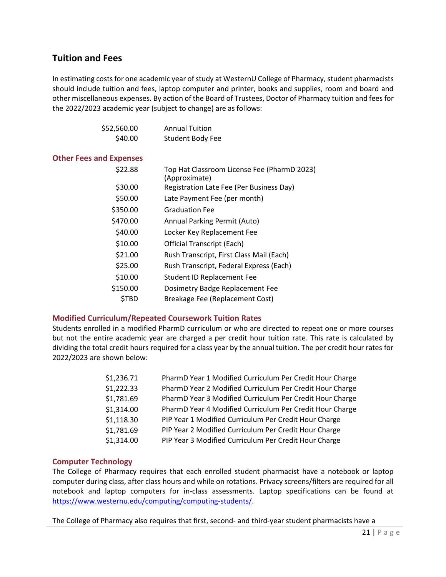## <span id="page-20-0"></span>**Tuition and Fees**

In estimating costs for one academic year of study at WesternU College of Pharmacy, student pharmacists should include tuition and fees, laptop computer and printer, books and supplies, room and board and other miscellaneous expenses. By action of the Board of Trustees, Doctor of Pharmacy tuition and fees for the 2022/2023 academic year (subject to change) are as follows:

<span id="page-20-1"></span>

| \$52,560.00                    | <b>Annual Tuition</b>                                        |
|--------------------------------|--------------------------------------------------------------|
| \$40.00                        | <b>Student Body Fee</b>                                      |
| <b>Other Fees and Expenses</b> |                                                              |
| \$22.88                        | Top Hat Classroom License Fee (PharmD 2023)<br>(Approximate) |
| \$30.00                        | Registration Late Fee (Per Business Day)                     |
| \$50.00                        | Late Payment Fee (per month)                                 |
| \$350.00                       | <b>Graduation Fee</b>                                        |
| \$470.00                       | Annual Parking Permit (Auto)                                 |
| \$40.00                        | Locker Key Replacement Fee                                   |
| \$10.00                        | <b>Official Transcript (Each)</b>                            |
| \$21.00                        | Rush Transcript, First Class Mail (Each)                     |
| \$25.00                        | Rush Transcript, Federal Express (Each)                      |
| \$10.00                        | Student ID Replacement Fee                                   |
| \$150.00                       | Dosimetry Badge Replacement Fee                              |
| \$TBD                          | Breakage Fee (Replacement Cost)                              |

#### <span id="page-20-2"></span>**Modified Curriculum/Repeated Coursework Tuition Rates**

Students enrolled in a modified PharmD curriculum or who are directed to repeat one or more courses but not the entire academic year are charged a per credit hour tuition rate. This rate is calculated by dividing the total credit hours required for a class year by the annual tuition. The per credit hour rates for 2022/2023 are shown below:

| \$1,236.71 | PharmD Year 1 Modified Curriculum Per Credit Hour Charge |
|------------|----------------------------------------------------------|
| \$1,222.33 | PharmD Year 2 Modified Curriculum Per Credit Hour Charge |
| \$1,781.69 | PharmD Year 3 Modified Curriculum Per Credit Hour Charge |
| \$1,314.00 | PharmD Year 4 Modified Curriculum Per Credit Hour Charge |
| \$1,118.30 | PIP Year 1 Modified Curriculum Per Credit Hour Charge    |
| \$1,781.69 | PIP Year 2 Modified Curriculum Per Credit Hour Charge    |
| \$1,314.00 | PIP Year 3 Modified Curriculum Per Credit Hour Charge    |

#### <span id="page-20-3"></span>**Computer Technology**

The College of Pharmacy requires that each enrolled student pharmacist have a notebook or laptop computer during class, after class hours and while on rotations. Privacy screens/filters are required for all notebook and laptop computers for in-class assessments. Laptop specifications can be found at [https://www.westernu.edu/computing/computing-students/.](https://www.westernu.edu/computing/computing-students/)

The College of Pharmacy also requires that first, second- and third-year student pharmacists have a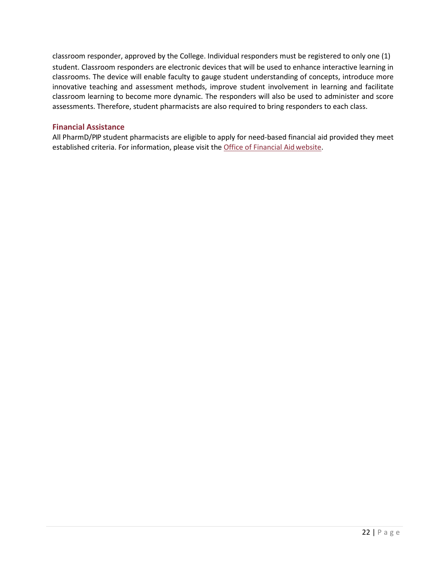classroom responder, approved by the College. Individual responders must be registered to only one (1) student. Classroom responders are electronic devices that will be used to enhance interactive learning in classrooms. The device will enable faculty to gauge student understanding of concepts, introduce more innovative teaching and assessment methods, improve student involvement in learning and facilitate classroom learning to become more dynamic. The responders will also be used to administer and score assessments. Therefore, student pharmacists are also required to bring responders to each class.

#### <span id="page-21-0"></span>**Financial Assistance**

All PharmD/PIP student pharmacists are eligible to apply for need-based financial aid provided they meet established criteria. For information, please visit the [Office of Financial Aid](http://www.westernu.edu/financial/financial-welcome/) website.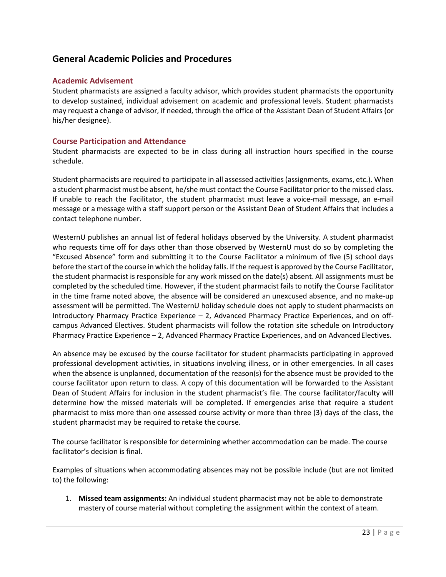## <span id="page-22-0"></span>**General Academic Policies and Procedures**

#### <span id="page-22-1"></span>**Academic Advisement**

Student pharmacists are assigned a faculty advisor, which provides student pharmacists the opportunity to develop sustained, individual advisement on academic and professional levels. Student pharmacists may request a change of advisor, if needed, through the office of the Assistant Dean of Student Affairs (or his/her designee).

#### <span id="page-22-2"></span>**Course Participation and Attendance**

Student pharmacists are expected to be in class during all instruction hours specified in the course schedule.

Student pharmacists are required to participate in all assessed activities(assignments, exams, etc.). When a student pharmacist must be absent, he/she must contact the Course Facilitator prior to the missed class. If unable to reach the Facilitator, the student pharmacist must leave a voice-mail message, an e-mail message or a message with a staff support person or the Assistant Dean of Student Affairs that includes a contact telephone number.

WesternU publishes an annual list of federal holidays observed by the University. A student pharmacist who requests time off for days other than those observed by WesternU must do so by completing the "Excused Absence" form and submitting it to the Course Facilitator a minimum of five (5) school days before the start of the course in which the holiday falls. If the request is approved by the Course Facilitator, the student pharmacist is responsible for any work missed on the date(s) absent. All assignments must be completed by the scheduled time. However, if the student pharmacist failsto notify the Course Facilitator in the time frame noted above, the absence will be considered an unexcused absence, and no make-up assessment will be permitted. The WesternU holiday schedule does not apply to student pharmacists on Introductory Pharmacy Practice Experience – 2, Advanced Pharmacy Practice Experiences, and on offcampus Advanced Electives. Student pharmacists will follow the rotation site schedule on Introductory Pharmacy Practice Experience – 2, Advanced Pharmacy Practice Experiences, and on Advanced Electives.

An absence may be excused by the course facilitator for student pharmacists participating in approved professional development activities, in situations involving illness, or in other emergencies. In all cases when the absence is unplanned, documentation of the reason(s) for the absence must be provided to the course facilitator upon return to class. A copy of this documentation will be forwarded to the Assistant Dean of Student Affairs for inclusion in the student pharmacist's file. The course facilitator/faculty will determine how the missed materials will be completed. If emergencies arise that require a student pharmacist to miss more than one assessed course activity or more than three (3) days of the class, the student pharmacist may be required to retake the course.

The course facilitator is responsible for determining whether accommodation can be made. The course facilitator's decision is final.

Examples of situations when accommodating absences may not be possible include (but are not limited to) the following:

1. **Missed team assignments:** An individual student pharmacist may not be able to demonstrate mastery of course material without completing the assignment within the context of ateam.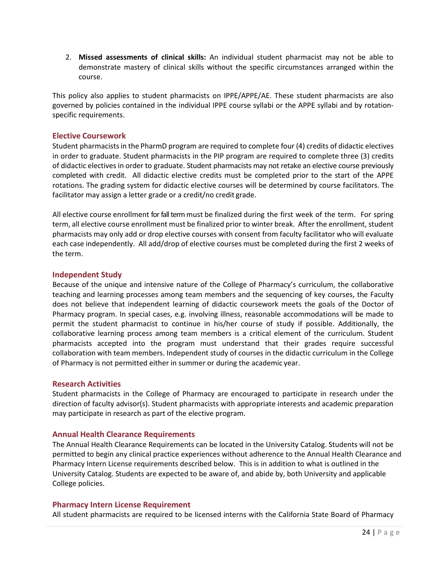2. **Missed assessments of clinical skills:** An individual student pharmacist may not be able to demonstrate mastery of clinical skills without the specific circumstances arranged within the course.

This policy also applies to student pharmacists on IPPE/APPE/AE. These student pharmacists are also governed by policies contained in the individual IPPE course syllabi or the APPE syllabi and by rotationspecific requirements.

#### <span id="page-23-0"></span>**Elective Coursework**

Student pharmacistsin the PharmD program are required to complete four (4) credits of didactic electives in order to graduate. Student pharmacists in the PIP program are required to complete three (3) credits of didactic electives in order to graduate. Student pharmacists may not retake an elective course previously completed with credit. All didactic elective credits must be completed prior to the start of the APPE rotations. The grading system for didactic elective courses will be determined by course facilitators. The facilitator may assign a letter grade or a credit/no credit grade.

All elective course enrollment for fall term must be finalized during the first week of the term. For spring term, all elective course enrollment must be finalized prior to winter break. After the enrollment, student pharmacists may only add or drop elective courses with consent from faculty facilitator who will evaluate each case independently. All add/drop of elective courses must be completed during the first 2 weeks of the term.

#### <span id="page-23-1"></span>**Independent Study**

Because of the unique and intensive nature of the College of Pharmacy's curriculum, the collaborative teaching and learning processes among team members and the sequencing of key courses, the Faculty does not believe that independent learning of didactic coursework meets the goals of the Doctor of Pharmacy program. In special cases, e.g. involving illness, reasonable accommodations will be made to permit the student pharmacist to continue in his/her course of study if possible. Additionally, the collaborative learning process among team members is a critical element of the curriculum. Student pharmacists accepted into the program must understand that their grades require successful collaboration with team members. Independent study of courses in the didactic curriculum in the College of Pharmacy is not permitted either in summer or during the academic year.

#### <span id="page-23-2"></span>**Research Activities**

Student pharmacists in the College of Pharmacy are encouraged to participate in research under the direction of faculty advisor(s). Student pharmacists with appropriate interests and academic preparation may participate in research as part of the elective program.

#### <span id="page-23-3"></span>**Annual Health Clearance Requirements**

The Annual Health Clearance Requirements can be located in the University Catalog. Students will not be permitted to begin any clinical practice experiences without adherence to the Annual Health Clearance and Pharmacy Intern License requirements described below. This is in addition to what is outlined in the University Catalog. Students are expected to be aware of, and abide by, both University and applicable College policies.

#### <span id="page-23-4"></span>**Pharmacy Intern License Requirement**

All student pharmacists are required to be licensed interns with the California State Board of Pharmacy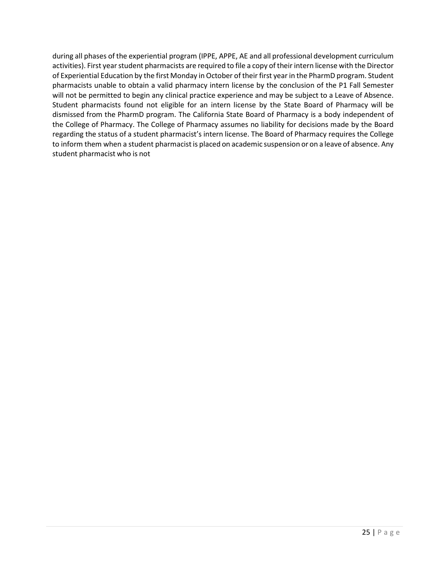during all phases of the experiential program (IPPE, APPE, AE and all professional development curriculum activities). First year student pharmacists are required to file a copy of their intern license with the Director of Experiential Education by the first Monday in October of their first year in the PharmD program. Student pharmacists unable to obtain a valid pharmacy intern license by the conclusion of the P1 Fall Semester will not be permitted to begin any clinical practice experience and may be subject to a Leave of Absence. Student pharmacists found not eligible for an intern license by the State Board of Pharmacy will be dismissed from the PharmD program. The California State Board of Pharmacy is a body independent of the College of Pharmacy. The College of Pharmacy assumes no liability for decisions made by the Board regarding the status of a student pharmacist's intern license. The Board of Pharmacy requires the College to inform them when a student pharmacist is placed on academic suspension or on a leave of absence. Any student pharmacist who is not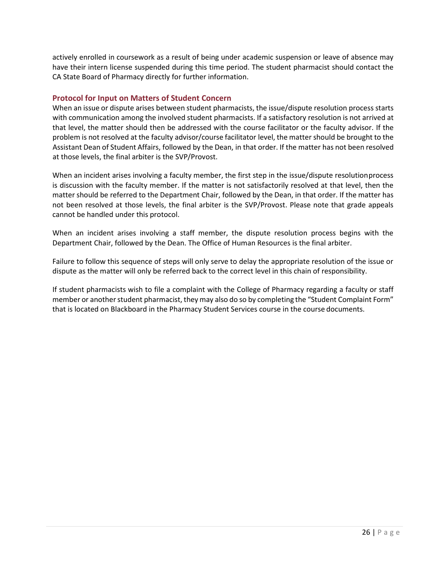actively enrolled in coursework as a result of being under academic suspension or leave of absence may have their intern license suspended during this time period. The student pharmacist should contact the CA State Board of Pharmacy directly for further information.

#### <span id="page-25-0"></span>**Protocol for Input on Matters of Student Concern**

When an issue or dispute arises between student pharmacists, the issue/dispute resolution process starts with communication among the involved student pharmacists. If a satisfactory resolution is not arrived at that level, the matter should then be addressed with the course facilitator or the faculty advisor. If the problem is not resolved at the faculty advisor/course facilitator level, the matter should be brought to the Assistant Dean of Student Affairs, followed by the Dean, in that order. If the matter has not been resolved at those levels, the final arbiter is the SVP/Provost.

When an incident arises involving a faculty member, the first step in the issue/dispute resolutionprocess is discussion with the faculty member. If the matter is not satisfactorily resolved at that level, then the matter should be referred to the Department Chair, followed by the Dean, in that order. If the matter has not been resolved at those levels, the final arbiter is the SVP/Provost. Please note that grade appeals cannot be handled under this protocol.

When an incident arises involving a staff member, the dispute resolution process begins with the Department Chair, followed by the Dean. The Office of Human Resources is the final arbiter.

Failure to follow this sequence of steps will only serve to delay the appropriate resolution of the issue or dispute as the matter will only be referred back to the correct level in this chain of responsibility.

If student pharmacists wish to file a complaint with the College of Pharmacy regarding a faculty or staff member or another student pharmacist, they may also do so by completing the "Student Complaint Form" that is located on Blackboard in the Pharmacy Student Services course in the course documents.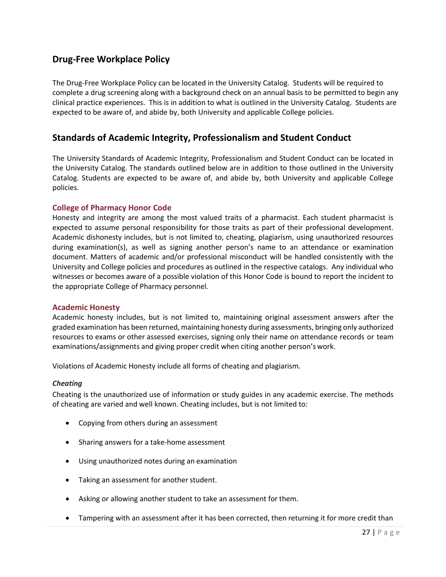## <span id="page-26-0"></span>**Drug-Free Workplace Policy**

The Drug-Free Workplace Policy can be located in the University Catalog. Students will be required to complete a drug screening along with a background check on an annual basis to be permitted to begin any clinical practice experiences. This is in addition to what is outlined in the University Catalog. Students are expected to be aware of, and abide by, both University and applicable College policies.

## <span id="page-26-1"></span>**Standards of Academic Integrity, Professionalism and Student Conduct**

The University Standards of Academic Integrity, Professionalism and Student Conduct can be located in the University Catalog. The standards outlined below are in addition to those outlined in the University Catalog. Students are expected to be aware of, and abide by, both University and applicable College policies.

#### <span id="page-26-2"></span>**College of Pharmacy Honor Code**

Honesty and integrity are among the most valued traits of a pharmacist. Each student pharmacist is expected to assume personal responsibility for those traits as part of their professional development. Academic dishonesty includes, but is not limited to, cheating, plagiarism, using unauthorized resources during examination(s), as well as signing another person's name to an attendance or examination document. Matters of academic and/or professional misconduct will be handled consistently with the University and College policies and procedures as outlined in the respective catalogs. Any individual who witnesses or becomes aware of a possible violation of this Honor Code is bound to report the incident to the appropriate College of Pharmacy personnel.

#### <span id="page-26-3"></span>**Academic Honesty**

Academic honesty includes, but is not limited to, maintaining original assessment answers after the graded examination has been returned, maintaining honesty during assessments, bringing only authorized resources to exams or other assessed exercises, signing only their name on attendance records or team examinations/assignments and giving proper credit when citing another person's work.

Violations of Academic Honesty include all forms of cheating and plagiarism.

#### *Cheating*

Cheating is the unauthorized use of information or study guides in any academic exercise. The methods of cheating are varied and well known. Cheating includes, but is not limited to:

- Copying from others during an assessment
- Sharing answers for a take-home assessment
- Using unauthorized notes during an examination
- Taking an assessment for another student.
- Asking or allowing another student to take an assessment for them.
- Tampering with an assessment after it has been corrected, then returning it for more credit than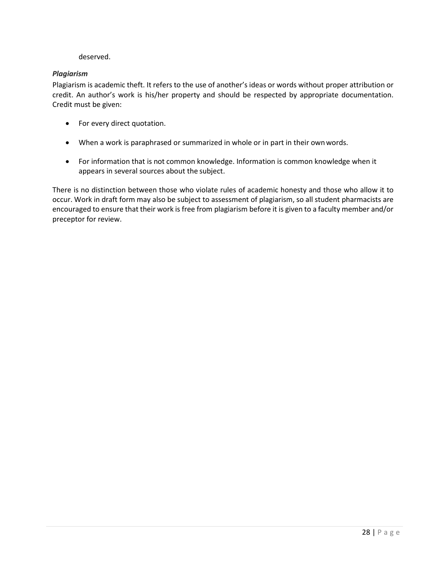#### deserved.

#### *Plagiarism*

Plagiarism is academic theft. It refers to the use of another's ideas or words without proper attribution or credit. An author's work is his/her property and should be respected by appropriate documentation. Credit must be given:

- For every direct quotation.
- When a work is paraphrased or summarized in whole or in part in their ownwords.
- For information that is not common knowledge. Information is common knowledge when it appears in several sources about the subject.

There is no distinction between those who violate rules of academic honesty and those who allow it to occur. Work in draft form may also be subject to assessment of plagiarism, so all student pharmacists are encouraged to ensure that their work is free from plagiarism before it is given to a faculty member and/or preceptor for review.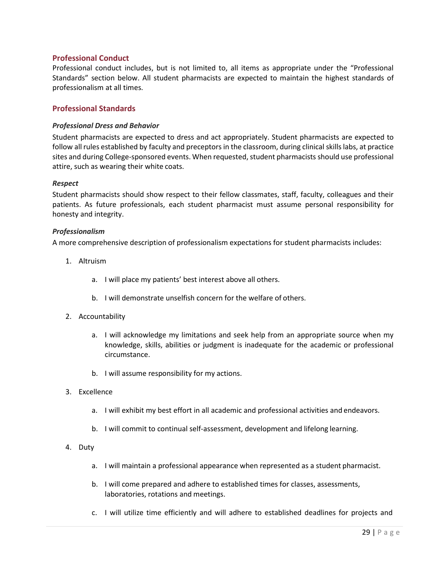#### <span id="page-28-0"></span>**Professional Conduct**

Professional conduct includes, but is not limited to, all items as appropriate under the "Professional Standards" section below. All student pharmacists are expected to maintain the highest standards of professionalism at all times.

#### <span id="page-28-1"></span>**Professional Standards**

#### *Professional Dress and Behavior*

Student pharmacists are expected to dress and act appropriately. Student pharmacists are expected to follow all rules established by faculty and preceptors in the classroom, during clinical skills labs, at practice sites and during College-sponsored events. When requested, student pharmacists should use professional attire, such as wearing their white coats.

#### *Respect*

Student pharmacists should show respect to their fellow classmates, staff, faculty, colleagues and their patients. As future professionals, each student pharmacist must assume personal responsibility for honesty and integrity.

#### *Professionalism*

A more comprehensive description of professionalism expectations for student pharmacists includes:

- 1. Altruism
	- a. I will place my patients' best interest above all others.
	- b. I will demonstrate unselfish concern for the welfare of others.
- 2. Accountability
	- a. I will acknowledge my limitations and seek help from an appropriate source when my knowledge, skills, abilities or judgment is inadequate for the academic or professional circumstance.
	- b. I will assume responsibility for my actions.

#### 3. Excellence

- a. I will exhibit my best effort in all academic and professional activities and endeavors.
- b. I will commit to continual self-assessment, development and lifelong learning.

#### 4. Duty

- a. I will maintain a professional appearance when represented as a student pharmacist.
- b. I will come prepared and adhere to established times for classes, assessments, laboratories, rotations and meetings.
- c. I will utilize time efficiently and will adhere to established deadlines for projects and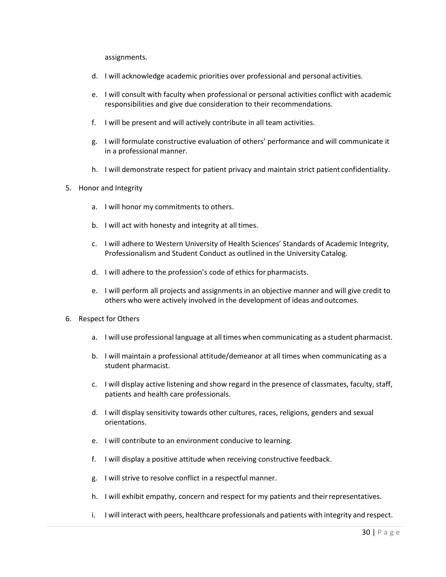assignments.

- d. I will acknowledge academic priorities over professional and personal activities.
- e. I will consult with faculty when professional or personal activities conflict with academic responsibilities and give due consideration to their recommendations.
- f. I will be present and will actively contribute in all team activities.
- g. I will formulate constructive evaluation of others' performance and will communicate it in a professional manner.
- h. I will demonstrate respect for patient privacy and maintain strict patient confidentiality.
- 5. Honor and Integrity
	- a. I will honor my commitments to others.
	- b. I will act with honesty and integrity at all times.
	- c. I will adhere to Western University of Health Sciences' Standards of Academic Integrity, Professionalism and Student Conduct as outlined in the University Catalog.
	- d. I will adhere to the profession's code of ethics for pharmacists.
	- e. I will perform all projects and assignments in an objective manner and will give credit to others who were actively involved in the development of ideas and outcomes.
- 6. Respect for Others
	- a. I will use professional language at alltimes when communicating as a student pharmacist.
	- b. I will maintain a professional attitude/demeanor at all times when communicating as a student pharmacist.
	- c. I will display active listening and show regard in the presence of classmates, faculty, staff, patients and health care professionals.
	- d. I will display sensitivity towards other cultures, races, religions, genders and sexual orientations.
	- e. I will contribute to an environment conducive to learning.
	- f. I will display a positive attitude when receiving constructive feedback.
	- g. I will strive to resolve conflict in a respectful manner.
	- h. I will exhibit empathy, concern and respect for my patients and theirrepresentatives.
	- i. I will interact with peers, healthcare professionals and patients with integrity and respect.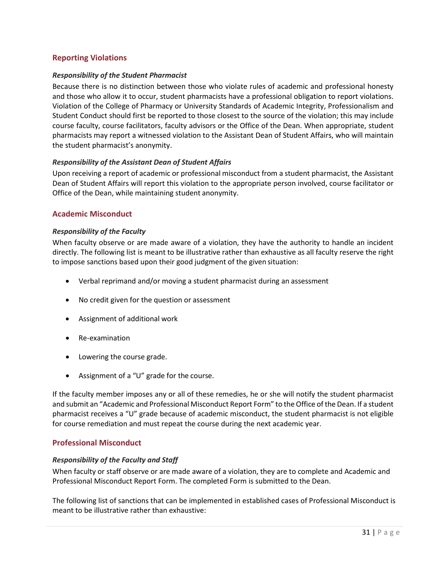#### <span id="page-30-0"></span>**Reporting Violations**

#### *Responsibility of the Student Pharmacist*

Because there is no distinction between those who violate rules of academic and professional honesty and those who allow it to occur, student pharmacists have a professional obligation to report violations. Violation of the College of Pharmacy or University Standards of Academic Integrity, Professionalism and Student Conduct should first be reported to those closest to the source of the violation; this may include course faculty, course facilitators, faculty advisors or the Office of the Dean. When appropriate, student pharmacists may report a witnessed violation to the Assistant Dean of Student Affairs, who will maintain the student pharmacist's anonymity.

#### *Responsibility of the Assistant Dean of Student Affairs*

Upon receiving a report of academic or professional misconduct from a student pharmacist, the Assistant Dean of Student Affairs will report this violation to the appropriate person involved, course facilitator or Office of the Dean, while maintaining student anonymity.

#### <span id="page-30-1"></span>**Academic Misconduct**

#### *Responsibility of the Faculty*

When faculty observe or are made aware of a violation, they have the authority to handle an incident directly. The following list is meant to be illustrative rather than exhaustive as all faculty reserve the right to impose sanctions based upon their good judgment of the given situation:

- Verbal reprimand and/or moving a student pharmacist during an assessment
- No credit given for the question or assessment
- Assignment of additional work
- Re-examination
- Lowering the course grade.
- Assignment of a "U" grade for the course.

If the faculty member imposes any or all of these remedies, he or she will notify the student pharmacist and submit an "Academic and Professional Misconduct Report Form" to the Office of the Dean. If a student pharmacist receives a "U" grade because of academic misconduct, the student pharmacist is not eligible for course remediation and must repeat the course during the next academic year.

#### <span id="page-30-2"></span>**Professional Misconduct**

#### *Responsibility of the Faculty and Staff*

When faculty or staff observe or are made aware of a violation, they are to complete and Academic and Professional Misconduct Report Form. The completed Form is submitted to the Dean.

The following list of sanctions that can be implemented in established cases of Professional Misconduct is meant to be illustrative rather than exhaustive: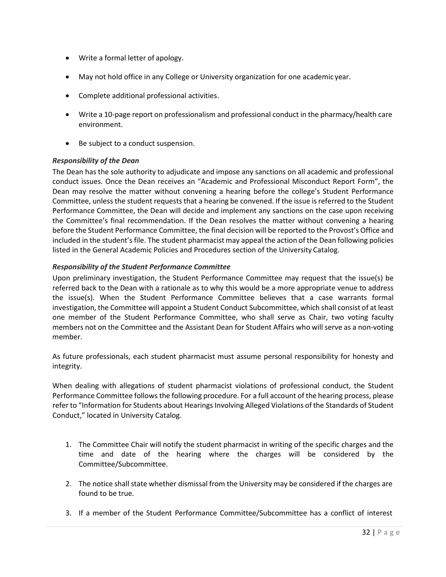- Write a formal letter of apology.
- May not hold office in any College or University organization for one academic year.
- Complete additional professional activities.
- Write a 10-page report on professionalism and professional conduct in the pharmacy/health care environment.
- Be subject to a conduct suspension.

#### *Responsibility of the Dean*

The Dean has the sole authority to adjudicate and impose any sanctions on all academic and professional conduct issues. Once the Dean receives an "Academic and Professional Misconduct Report Form", the Dean may resolve the matter without convening a hearing before the college's Student Performance Committee, unless the student requests that a hearing be convened. If the issue isreferred to the Student Performance Committee, the Dean will decide and implement any sanctions on the case upon receiving the Committee's final recommendation. If the Dean resolves the matter without convening a hearing before the Student Performance Committee, the final decision will be reported to the Provost's Office and included in the student's file. The student pharmacist may appeal the action of the Dean following policies listed in the General Academic Policies and Procedures section of the University Catalog.

#### *Responsibility of the Student Performance Committee*

Upon preliminary investigation, the Student Performance Committee may request that the issue(s) be referred back to the Dean with a rationale as to why this would be a more appropriate venue to address the issue(s). When the Student Performance Committee believes that a case warrants formal investigation, the Committee will appoint a Student Conduct Subcommittee, which shall consist of at least one member of the Student Performance Committee, who shall serve as Chair, two voting faculty members not on the Committee and the Assistant Dean for Student Affairs who will serve as a non-voting member.

As future professionals, each student pharmacist must assume personal responsibility for honesty and integrity.

When dealing with allegations of student pharmacist violations of professional conduct, the Student Performance Committee follows the following procedure. For a full account of the hearing process, please refer to "Information for Students about Hearings Involving Alleged Violations of the Standards of Student Conduct," located in University Catalog.

- 1. The Committee Chair will notify the student pharmacist in writing of the specific charges and the time and date of the hearing where the charges will be considered by the Committee/Subcommittee.
- 2. The notice shall state whether dismissal from the University may be considered if the charges are found to be true.
- 3. If a member of the Student Performance Committee/Subcommittee has a conflict of interest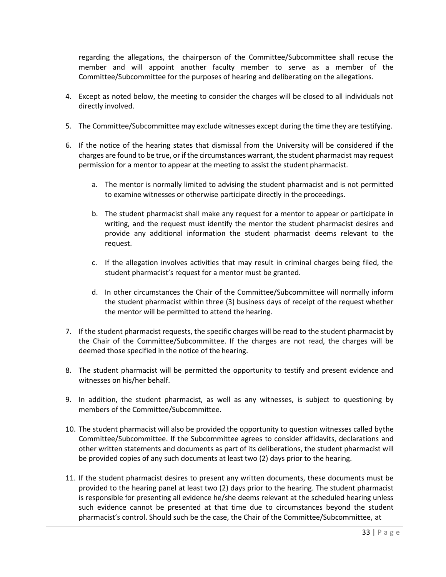regarding the allegations, the chairperson of the Committee/Subcommittee shall recuse the member and will appoint another faculty member to serve as a member of the Committee/Subcommittee for the purposes of hearing and deliberating on the allegations.

- 4. Except as noted below, the meeting to consider the charges will be closed to all individuals not directly involved.
- 5. The Committee/Subcommittee may exclude witnesses except during the time they are testifying.
- 6. If the notice of the hearing states that dismissal from the University will be considered if the charges are found to be true, or if the circumstances warrant, the student pharmacist may request permission for a mentor to appear at the meeting to assist the student pharmacist.
	- a. The mentor is normally limited to advising the student pharmacist and is not permitted to examine witnesses or otherwise participate directly in the proceedings.
	- b. The student pharmacist shall make any request for a mentor to appear or participate in writing, and the request must identify the mentor the student pharmacist desires and provide any additional information the student pharmacist deems relevant to the request.
	- c. If the allegation involves activities that may result in criminal charges being filed, the student pharmacist's request for a mentor must be granted.
	- d. In other circumstances the Chair of the Committee/Subcommittee will normally inform the student pharmacist within three (3) business days of receipt of the request whether the mentor will be permitted to attend the hearing.
- 7. If the student pharmacist requests, the specific charges will be read to the student pharmacist by the Chair of the Committee/Subcommittee. If the charges are not read, the charges will be deemed those specified in the notice of the hearing.
- 8. The student pharmacist will be permitted the opportunity to testify and present evidence and witnesses on his/her behalf.
- 9. In addition, the student pharmacist, as well as any witnesses, is subject to questioning by members of the Committee/Subcommittee.
- 10. The student pharmacist will also be provided the opportunity to question witnesses called bythe Committee/Subcommittee. If the Subcommittee agrees to consider affidavits, declarations and other written statements and documents as part of its deliberations, the student pharmacist will be provided copies of any such documents at least two (2) days prior to the hearing.
- 11. If the student pharmacist desires to present any written documents, these documents must be provided to the hearing panel at least two (2) days prior to the hearing. The student pharmacist is responsible for presenting all evidence he/she deems relevant at the scheduled hearing unless such evidence cannot be presented at that time due to circumstances beyond the student pharmacist's control. Should such be the case, the Chair of the Committee/Subcommittee, at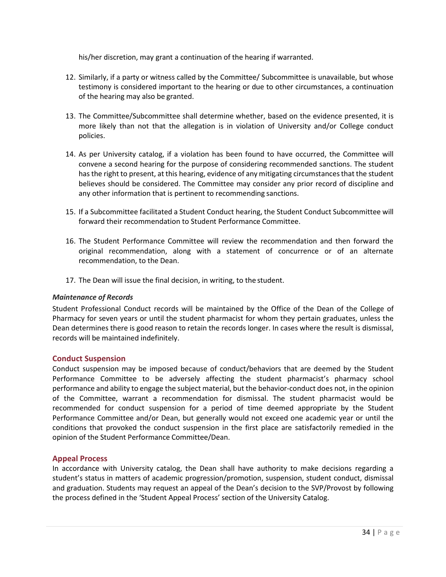his/her discretion, may grant a continuation of the hearing if warranted.

- 12. Similarly, if a party or witness called by the Committee/ Subcommittee is unavailable, but whose testimony is considered important to the hearing or due to other circumstances, a continuation of the hearing may also be granted.
- 13. The Committee/Subcommittee shall determine whether, based on the evidence presented, it is more likely than not that the allegation is in violation of University and/or College conduct policies.
- 14. As per University catalog, if a violation has been found to have occurred, the Committee will convene a second hearing for the purpose of considering recommended sanctions. The student hasthe right to present, at this hearing, evidence of any mitigating circumstancesthat the student believes should be considered. The Committee may consider any prior record of discipline and any other information that is pertinent to recommending sanctions.
- 15. If a Subcommittee facilitated a Student Conduct hearing, the Student Conduct Subcommittee will forward their recommendation to Student Performance Committee.
- 16. The Student Performance Committee will review the recommendation and then forward the original recommendation, along with a statement of concurrence or of an alternate recommendation, to the Dean.
- 17. The Dean will issue the final decision, in writing, to the student.

#### *Maintenance of Records*

Student Professional Conduct records will be maintained by the Office of the Dean of the College of Pharmacy for seven years or until the student pharmacist for whom they pertain graduates, unless the Dean determines there is good reason to retain the records longer. In cases where the result is dismissal, records will be maintained indefinitely.

#### <span id="page-33-0"></span>**Conduct Suspension**

Conduct suspension may be imposed because of conduct/behaviors that are deemed by the Student Performance Committee to be adversely affecting the student pharmacist's pharmacy school performance and ability to engage the subject material, but the behavior-conduct does not, in the opinion of the Committee, warrant a recommendation for dismissal. The student pharmacist would be recommended for conduct suspension for a period of time deemed appropriate by the Student Performance Committee and/or Dean, but generally would not exceed one academic year or until the conditions that provoked the conduct suspension in the first place are satisfactorily remedied in the opinion of the Student Performance Committee/Dean.

#### <span id="page-33-1"></span>**Appeal Process**

In accordance with University catalog, the Dean shall have authority to make decisions regarding a student's status in matters of academic progression/promotion, suspension, student conduct, dismissal and graduation. Students may request an appeal of the Dean's decision to the SVP/Provost by following the process defined in the 'Student Appeal Process' section of the University Catalog.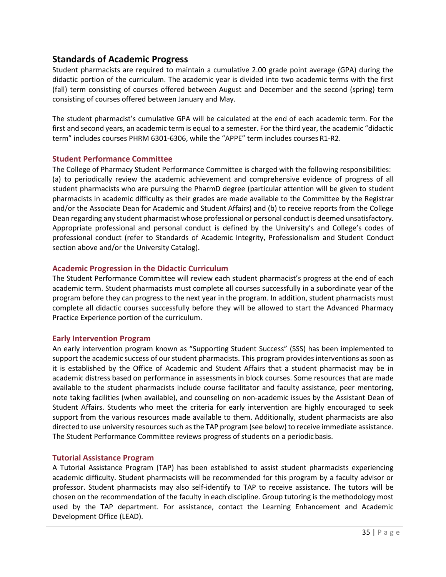## <span id="page-34-0"></span>**Standards of Academic Progress**

Student pharmacists are required to maintain a cumulative 2.00 grade point average (GPA) during the didactic portion of the curriculum. The academic year is divided into two academic terms with the first (fall) term consisting of courses offered between August and December and the second (spring) term consisting of courses offered between January and May.

The student pharmacist's cumulative GPA will be calculated at the end of each academic term. For the first and second years, an academic term is equal to a semester. For the third year, the academic "didactic term" includes courses PHRM 6301-6306, while the "APPE" term includes courses R1-R2.

#### <span id="page-34-1"></span>**Student Performance Committee**

The College of Pharmacy Student Performance Committee is charged with the following responsibilities: (a) to periodically review the academic achievement and comprehensive evidence of progress of all student pharmacists who are pursuing the PharmD degree (particular attention will be given to student pharmacists in academic difficulty as their grades are made available to the Committee by the Registrar and/or the Associate Dean for Academic and Student Affairs) and (b) to receive reports from the College Dean regarding any student pharmacist whose professional or personal conduct is deemed unsatisfactory. Appropriate professional and personal conduct is defined by the University's and College's codes of professional conduct (refer to Standards of Academic Integrity, Professionalism and Student Conduct section above and/or the University Catalog).

#### <span id="page-34-2"></span>**Academic Progression in the Didactic Curriculum**

The Student Performance Committee will review each student pharmacist's progress at the end of each academic term. Student pharmacists must complete all courses successfully in a subordinate year of the program before they can progress to the next year in the program. In addition, student pharmacists must complete all didactic courses successfully before they will be allowed to start the Advanced Pharmacy Practice Experience portion of the curriculum.

#### <span id="page-34-3"></span>**Early Intervention Program**

An early intervention program known as "Supporting Student Success" (SSS) has been implemented to support the academic success of our student pharmacists. This program provides interventions as soon as it is established by the Office of Academic and Student Affairs that a student pharmacist may be in academic distress based on performance in assessments in block courses. Some resources that are made available to the student pharmacists include course facilitator and faculty assistance, peer mentoring, note taking facilities (when available), and counseling on non-academic issues by the Assistant Dean of Student Affairs. Students who meet the criteria for early intervention are highly encouraged to seek support from the various resources made available to them. Additionally, student pharmacists are also directed to use university resources such as the TAP program (see below) to receive immediate assistance. The Student Performance Committee reviews progress of students on a periodic basis.

#### <span id="page-34-4"></span>**Tutorial Assistance Program**

A Tutorial Assistance Program (TAP) has been established to assist student pharmacists experiencing academic difficulty. Student pharmacists will be recommended for this program by a faculty advisor or professor. Student pharmacists may also self-identify to TAP to receive assistance. The tutors will be chosen on the recommendation of the faculty in each discipline. Group tutoring is the methodology most used by the TAP department. For assistance, contact the Learning Enhancement and Academic Development Office (LEAD).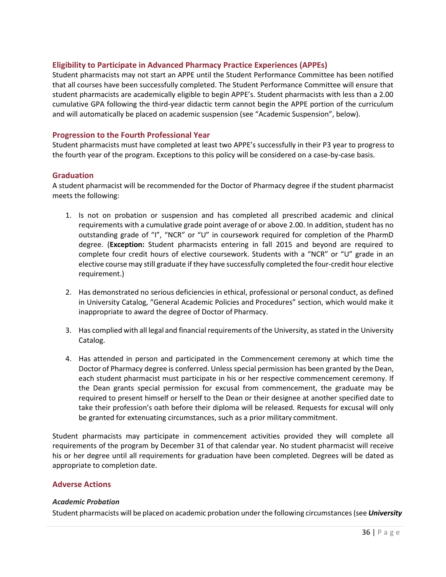#### <span id="page-35-0"></span>**Eligibility to Participate in Advanced Pharmacy Practice Experiences (APPEs)**

Student pharmacists may not start an APPE until the Student Performance Committee has been notified that all courses have been successfully completed. The Student Performance Committee will ensure that student pharmacists are academically eligible to begin APPE's. Student pharmacists with less than a 2.00 cumulative GPA following the third-year didactic term cannot begin the APPE portion of the curriculum and will automatically be placed on academic suspension (see "Academic Suspension", below).

#### <span id="page-35-1"></span>**Progression to the Fourth Professional Year**

Student pharmacists must have completed at least two APPE's successfully in their P3 year to progress to the fourth year of the program. Exceptions to this policy will be considered on a case-by-case basis.

#### <span id="page-35-2"></span>**Graduation**

A student pharmacist will be recommended for the Doctor of Pharmacy degree if the student pharmacist meets the following:

- 1. Is not on probation or suspension and has completed all prescribed academic and clinical requirements with a cumulative grade point average of or above 2.00. In addition, student has no outstanding grade of "I", "NCR" or "U" in coursework required for completion of the PharmD degree. (**Exception:** Student pharmacists entering in fall 2015 and beyond are required to complete four credit hours of elective coursework. Students with a "NCR" or "U" grade in an elective course may still graduate if they have successfully completed the four-credit hour elective requirement.)
- 2. Has demonstrated no serious deficiencies in ethical, professional or personal conduct, as defined in University Catalog, "General Academic Policies and Procedures" section, which would make it inappropriate to award the degree of Doctor of Pharmacy.
- 3. Has complied with all legal and financial requirements of the University, asstated in the University Catalog.
- 4. Has attended in person and participated in the Commencement ceremony at which time the Doctor of Pharmacy degree is conferred. Unless special permission has been granted by the Dean, each student pharmacist must participate in his or her respective commencement ceremony. If the Dean grants special permission for excusal from commencement, the graduate may be required to present himself or herself to the Dean or their designee at another specified date to take their profession's oath before their diploma will be released. Requests for excusal will only be granted for extenuating circumstances, such as a prior military commitment.

Student pharmacists may participate in commencement activities provided they will complete all requirements of the program by December 31 of that calendar year. No student pharmacist will receive his or her degree until all requirements for graduation have been completed. Degrees will be dated as appropriate to completion date.

#### <span id="page-35-3"></span>**Adverse Actions**

#### *Academic Probation*

Student pharmacists will be placed on academic probation under the following circumstances (see *University*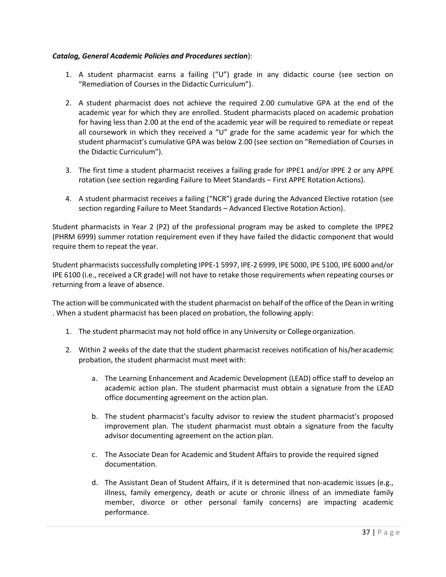# *Catalog, General Academic Policies and Procedures section*):

- 1. A student pharmacist earns a failing ("U") grade in any didactic course (see section on "Remediation of Courses in the Didactic Curriculum").
- 2. A student pharmacist does not achieve the required 2.00 cumulative GPA at the end of the academic year for which they are enrolled. Student pharmacists placed on academic probation for having less than 2.00 at the end of the academic year will be required to remediate or repeat all coursework in which they received a "U" grade for the same academic year for which the student pharmacist's cumulative GPA was below 2.00 (see section on "Remediation of Courses in the Didactic Curriculum").
- 3. The first time a student pharmacist receives a failing grade for IPPE1 and/or IPPE 2 or any APPE rotation (see section regarding Failure to Meet Standards – First APPE Rotation Actions).
- 4. A student pharmacist receives a failing ("NCR") grade during the Advanced Elective rotation (see section regarding Failure to Meet Standards – Advanced Elective Rotation Action).

Student pharmacists in Year 2 (P2) of the professional program may be asked to complete the IPPE2 (PHRM 6999) summer rotation requirement even if they have failed the didactic component that would require them to repeat the year.

Student pharmacists successfully completing IPPE-1 5997, IPE-2 6999, IPE 5000, IPE 5100, IPE 6000 and/or IPE 6100 (i.e., received a CR grade) will not have to retake those requirements when repeating courses or returning from a leave of absence.

The action will be communicated with the student pharmacist on behalf of the office of the Dean in writing . When a student pharmacist has been placed on probation, the following apply:

- 1. The student pharmacist may not hold office in any University or College organization.
- 2. Within 2 weeks of the date that the student pharmacist receives notification of his/heracademic probation, the student pharmacist must meet with:
	- a. The Learning Enhancement and Academic Development (LEAD) office staff to develop an academic action plan. The student pharmacist must obtain a signature from the LEAD office documenting agreement on the action plan.
	- b. The student pharmacist's faculty advisor to review the student pharmacist's proposed improvement plan. The student pharmacist must obtain a signature from the faculty advisor documenting agreement on the action plan.
	- c. The Associate Dean for Academic and Student Affairs to provide the required signed documentation.
	- d. The Assistant Dean of Student Affairs, if it is determined that non-academic issues (e.g., illness, family emergency, death or acute or chronic illness of an immediate family member, divorce or other personal family concerns) are impacting academic performance.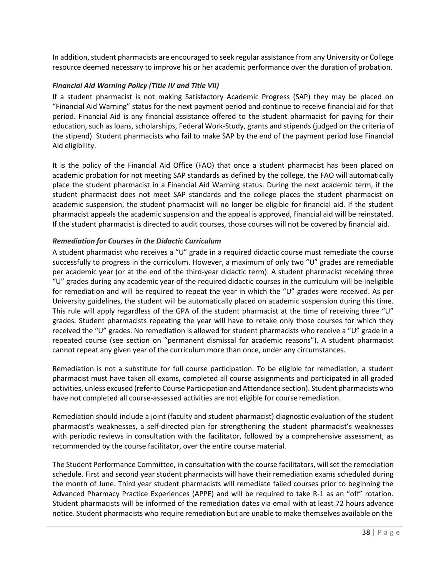In addition, student pharmacists are encouraged to seek regular assistance from any University or College resource deemed necessary to improve his or her academic performance over the duration of probation.

# *Financial Aid Warning Policy (Title IV and Title VII)*

If a student pharmacist is not making Satisfactory Academic Progress (SAP) they may be placed on "Financial Aid Warning" status for the next payment period and continue to receive financial aid for that period. Financial Aid is any financial assistance offered to the student pharmacist for paying for their education, such as loans, scholarships, Federal Work-Study, grants and stipends (judged on the criteria of the stipend). Student pharmacists who fail to make SAP by the end of the payment period lose Financial Aid eligibility.

It is the policy of the Financial Aid Office (FAO) that once a student pharmacist has been placed on academic probation for not meeting SAP standards as defined by the college, the FAO will automatically place the student pharmacist in a Financial Aid Warning status. During the next academic term, if the student pharmacist does not meet SAP standards and the college places the student pharmacist on academic suspension, the student pharmacist will no longer be eligible for financial aid. If the student pharmacist appeals the academic suspension and the appeal is approved, financial aid will be reinstated. If the student pharmacist is directed to audit courses, those courses will not be covered by financial aid.

# *Remediation for Courses in the Didactic Curriculum*

A student pharmacist who receives a "U" grade in a required didactic course must remediate the course successfully to progress in the curriculum. However, a maximum of only two "U" grades are remediable per academic year (or at the end of the third-year didactic term). A student pharmacist receiving three "U" grades during any academic year of the required didactic courses in the curriculum will be ineligible for remediation and will be required to repeat the year in which the "U" grades were received. As per University guidelines, the student will be automatically placed on academic suspension during this time. This rule will apply regardless of the GPA of the student pharmacist at the time of receiving three "U" grades. Student pharmacists repeating the year will have to retake only those courses for which they received the "U" grades. No remediation is allowed for student pharmacists who receive a "U" grade in a repeated course (see section on "permanent dismissal for academic reasons"). A student pharmacist cannot repeat any given year of the curriculum more than once, under any circumstances.

Remediation is not a substitute for full course participation. To be eligible for remediation, a student pharmacist must have taken all exams, completed all course assignments and participated in all graded activities, unless excused (referto Course Participation and Attendance section). Student pharmacists who have not completed all course-assessed activities are not eligible for course remediation.

Remediation should include a joint (faculty and student pharmacist) diagnostic evaluation of the student pharmacist's weaknesses, a self-directed plan for strengthening the student pharmacist's weaknesses with periodic reviews in consultation with the facilitator, followed by a comprehensive assessment, as recommended by the course facilitator, over the entire course material.

The Student Performance Committee, in consultation with the course facilitators, will set the remediation schedule. First and second year student pharmacists will have their remediation exams scheduled during the month of June. Third year student pharmacists will remediate failed courses prior to beginning the Advanced Pharmacy Practice Experiences (APPE) and will be required to take R-1 as an "off" rotation. Student pharmacists will be informed of the remediation dates via email with at least 72 hours advance notice. Student pharmacists who require remediation but are unable to make themselves available on the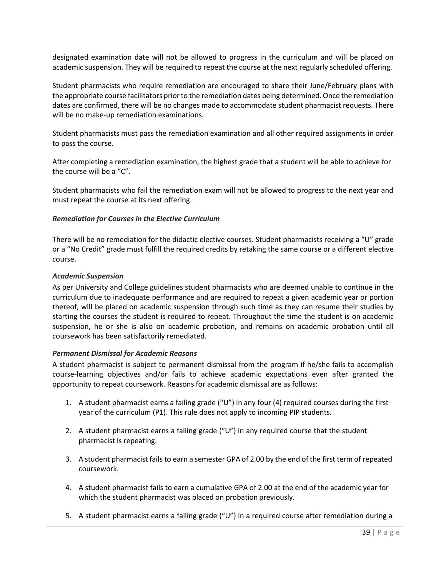designated examination date will not be allowed to progress in the curriculum and will be placed on academic suspension. They will be required to repeat the course at the next regularly scheduled offering.

Student pharmacists who require remediation are encouraged to share their June/February plans with the appropriate course facilitators prior to the remediation dates being determined. Once the remediation dates are confirmed, there will be no changes made to accommodate student pharmacist requests. There will be no make-up remediation examinations.

Student pharmacists must pass the remediation examination and all other required assignments in order to pass the course.

After completing a remediation examination, the highest grade that a student will be able to achieve for the course will be a "C".

Student pharmacists who fail the remediation exam will not be allowed to progress to the next year and must repeat the course at its next offering.

#### *Remediation for Courses in the Elective Curriculum*

There will be no remediation for the didactic elective courses. Student pharmacists receiving a "U" grade or a "No Credit" grade must fulfill the required credits by retaking the same course or a different elective course.

#### *Academic Suspension*

As per University and College guidelines student pharmacists who are deemed unable to continue in the curriculum due to inadequate performance and are required to repeat a given academic year or portion thereof, will be placed on academic suspension through such time as they can resume their studies by starting the courses the student is required to repeat. Throughout the time the student is on academic suspension, he or she is also on academic probation, and remains on academic probation until all coursework has been satisfactorily remediated.

#### *Permanent Dismissal for Academic Reasons*

A student pharmacist is subject to permanent dismissal from the program if he/she fails to accomplish course-learning objectives and/or fails to achieve academic expectations even after granted the opportunity to repeat coursework. Reasons for academic dismissal are as follows:

- 1. A student pharmacist earns a failing grade ("U") in any four (4) required courses during the first year of the curriculum (P1). This rule does not apply to incoming PIP students.
- 2. A student pharmacist earns a failing grade ("U") in any required course that the student pharmacist is repeating.
- 3. A student pharmacist fails to earn a semester GPA of 2.00 by the end of the first term of repeated coursework.
- 4. A student pharmacist fails to earn a cumulative GPA of 2.00 at the end of the academic year for which the student pharmacist was placed on probation previously.
- 5. A student pharmacist earns a failing grade ("U") in a required course after remediation during a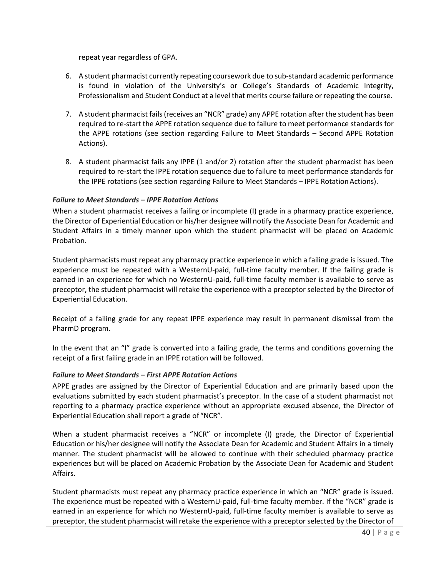repeat year regardless of GPA.

- 6. A student pharmacist currently repeating coursework due to sub-standard academic performance is found in violation of the University's or College's Standards of Academic Integrity, Professionalism and Student Conduct at a level that merits course failure or repeating the course.
- 7. A student pharmacist fails (receives an "NCR" grade) any APPE rotation after the student has been required to re-start the APPE rotation sequence due to failure to meet performance standards for the APPE rotations (see section regarding Failure to Meet Standards – Second APPE Rotation Actions).
- 8. A student pharmacist fails any IPPE (1 and/or 2) rotation after the student pharmacist has been required to re-start the IPPE rotation sequence due to failure to meet performance standards for the IPPE rotations (see section regarding Failure to Meet Standards - IPPE Rotation Actions).

#### *Failure to Meet Standards – IPPE Rotation Actions*

When a student pharmacist receives a failing or incomplete (I) grade in a pharmacy practice experience, the Director of Experiential Education or his/her designee will notify the Associate Dean for Academic and Student Affairs in a timely manner upon which the student pharmacist will be placed on Academic Probation.

Student pharmacists must repeat any pharmacy practice experience in which a failing grade is issued. The experience must be repeated with a WesternU-paid, full-time faculty member. If the failing grade is earned in an experience for which no WesternU-paid, full-time faculty member is available to serve as preceptor, the student pharmacist will retake the experience with a preceptor selected by the Director of Experiential Education.

Receipt of a failing grade for any repeat IPPE experience may result in permanent dismissal from the PharmD program.

In the event that an "I" grade is converted into a failing grade, the terms and conditions governing the receipt of a first failing grade in an IPPE rotation will be followed.

#### *Failure to Meet Standards – First APPE Rotation Actions*

APPE grades are assigned by the Director of Experiential Education and are primarily based upon the evaluations submitted by each student pharmacist's preceptor. In the case of a student pharmacist not reporting to a pharmacy practice experience without an appropriate excused absence, the Director of Experiential Education shall report a grade of "NCR".

When a student pharmacist receives a "NCR" or incomplete (I) grade, the Director of Experiential Education or his/her designee will notify the Associate Dean for Academic and Student Affairs in a timely manner. The student pharmacist will be allowed to continue with their scheduled pharmacy practice experiences but will be placed on Academic Probation by the Associate Dean for Academic and Student Affairs.

Student pharmacists must repeat any pharmacy practice experience in which an "NCR" grade is issued. The experience must be repeated with a WesternU-paid, full-time faculty member. If the "NCR" grade is earned in an experience for which no WesternU-paid, full-time faculty member is available to serve as preceptor, the student pharmacist will retake the experience with a preceptor selected by the Director of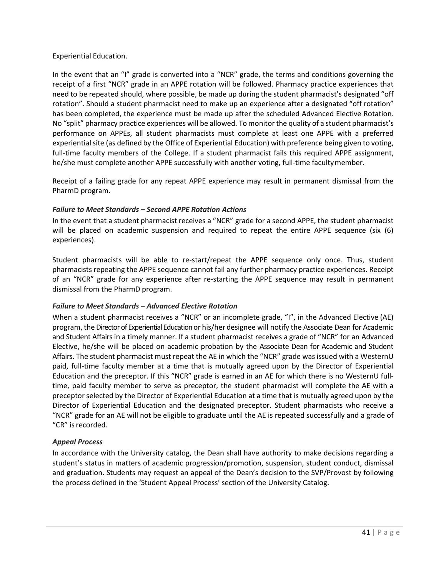# Experiential Education.

In the event that an "I" grade is converted into a "NCR" grade, the terms and conditions governing the receipt of a first "NCR" grade in an APPE rotation will be followed. Pharmacy practice experiences that need to be repeated should, where possible, be made up during the student pharmacist's designated "off rotation". Should a student pharmacist need to make up an experience after a designated "off rotation" has been completed, the experience must be made up after the scheduled Advanced Elective Rotation. No "split" pharmacy practice experiences will be allowed. To monitor the quality of a student pharmacist's performance on APPEs, all student pharmacists must complete at least one APPE with a preferred experiential site (as defined by the Office of Experiential Education) with preference being given to voting, full-time faculty members of the College. If a student pharmacist fails this required APPE assignment, he/she must complete another APPE successfully with another voting, full-time facultymember.

Receipt of a failing grade for any repeat APPE experience may result in permanent dismissal from the PharmD program.

# *Failure to Meet Standards – Second APPE Rotation Actions*

In the event that a student pharmacist receives a "NCR" grade for a second APPE, the student pharmacist will be placed on academic suspension and required to repeat the entire APPE sequence (six (6) experiences).

Student pharmacists will be able to re-start/repeat the APPE sequence only once. Thus, student pharmacists repeating the APPE sequence cannot fail any further pharmacy practice experiences. Receipt of an "NCR" grade for any experience after re-starting the APPE sequence may result in permanent dismissal from the PharmD program.

# *Failure to Meet Standards – Advanced Elective Rotation*

When a student pharmacist receives a "NCR" or an incomplete grade, "I", in the Advanced Elective (AE) program, the Director of Experiential Education or his/her designee will notify the Associate Dean for Academic and Student Affairs in a timely manner. If a student pharmacist receives a grade of "NCR" for an Advanced Elective, he/she will be placed on academic probation by the Associate Dean for Academic and Student Affairs. The student pharmacist must repeat the AE in which the "NCR" grade was issued with a WesternU paid, full-time faculty member at a time that is mutually agreed upon by the Director of Experiential Education and the preceptor. If this "NCR" grade is earned in an AE for which there is no WesternU fulltime, paid faculty member to serve as preceptor, the student pharmacist will complete the AE with a preceptorselected by the Director of Experiential Education at a time that is mutually agreed upon by the Director of Experiential Education and the designated preceptor. Student pharmacists who receive a "NCR" grade for an AE will not be eligible to graduate until the AE is repeated successfully and a grade of "CR" isrecorded.

# *Appeal Process*

In accordance with the University catalog, the Dean shall have authority to make decisions regarding a student's status in matters of academic progression/promotion, suspension, student conduct, dismissal and graduation. Students may request an appeal of the Dean's decision to the SVP/Provost by following the process defined in the 'Student Appeal Process' section of the University Catalog.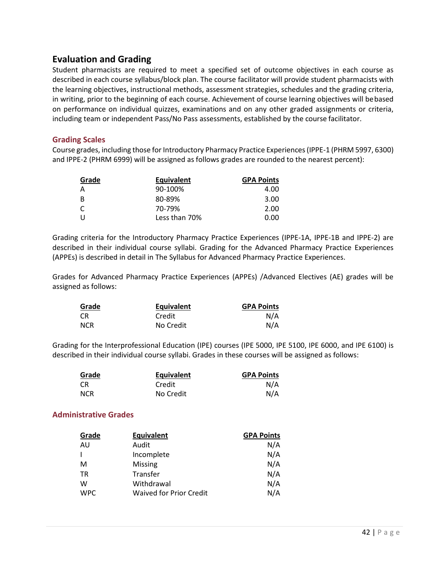# **Evaluation and Grading**

Student pharmacists are required to meet a specified set of outcome objectives in each course as described in each course syllabus/block plan. The course facilitator will provide student pharmacists with the learning objectives, instructional methods, assessment strategies, schedules and the grading criteria, in writing, prior to the beginning of each course. Achievement of course learning objectives will bebased on performance on individual quizzes, examinations and on any other graded assignments or criteria, including team or independent Pass/No Pass assessments, established by the course facilitator.

# **Grading Scales**

Course grades, including those for Introductory Pharmacy Practice Experiences (IPPE-1 (PHRM 5997, 6300) and IPPE-2 (PHRM 6999) will be assigned as follows grades are rounded to the nearest percent):

| Grade        | <b>Equivalent</b> | <b>GPA Points</b> |
|--------------|-------------------|-------------------|
| A            | 90-100%           | 4.00              |
| B            | 80-89%            | 3.00              |
| <sup>C</sup> | 70-79%            | 2.00              |
| $\mathbf{1}$ | Less than 70%     | 0.00              |

Grading criteria for the Introductory Pharmacy Practice Experiences (IPPE-1A, IPPE-1B and IPPE-2) are described in their individual course syllabi. Grading for the Advanced Pharmacy Practice Experiences (APPEs) is described in detail in The Syllabus for Advanced Pharmacy Practice Experiences.

Grades for Advanced Pharmacy Practice Experiences (APPEs) /Advanced Electives (AE) grades will be assigned as follows:

| Grade      | Equivalent | <b>GPA Points</b> |
|------------|------------|-------------------|
| - CR       | Credit     | N/A               |
| <b>NCR</b> | No Credit  | N/A               |

Grading for the Interprofessional Education (IPE) courses (IPE 5000, IPE 5100, IPE 6000, and IPE 6100) is described in their individual course syllabi. Grades in these courses will be assigned as follows:

| Grade      | Equivalent | <b>GPA Points</b> |
|------------|------------|-------------------|
| CR.        | Credit     | N/A               |
| <b>NCR</b> | No Credit  | N/A               |

# **Administrative Grades**

| Grade      | <b>Equivalent</b>              | <b>GPA Points</b> |
|------------|--------------------------------|-------------------|
| AU         | Audit                          | N/A               |
|            | Incomplete                     | N/A               |
| M          | Missing                        | N/A               |
| <b>TR</b>  | Transfer                       | N/A               |
| w          | Withdrawal                     | N/A               |
| <b>WPC</b> | <b>Waived for Prior Credit</b> | N/A               |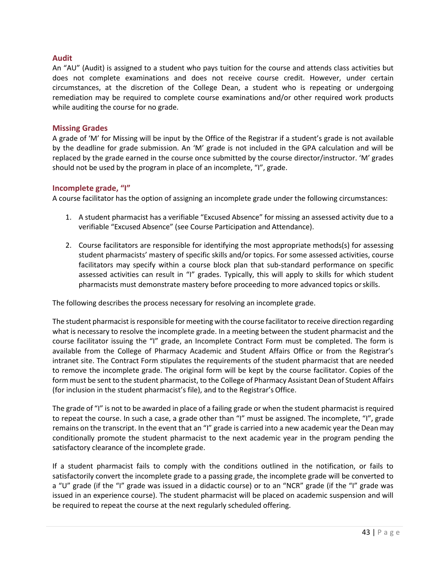### **Audit**

An "AU" (Audit) is assigned to a student who pays tuition for the course and attends class activities but does not complete examinations and does not receive course credit. However, under certain circumstances, at the discretion of the College Dean, a student who is repeating or undergoing remediation may be required to complete course examinations and/or other required work products while auditing the course for no grade.

#### **Missing Grades**

A grade of 'M' for Missing will be input by the Office of the Registrar if a student's grade is not available by the deadline for grade submission. An 'M' grade is not included in the GPA calculation and will be replaced by the grade earned in the course once submitted by the course director/instructor. 'M' grades should not be used by the program in place of an incomplete, "I", grade.

#### **Incomplete grade, "I"**

A course facilitator has the option of assigning an incomplete grade under the following circumstances:

- 1. A student pharmacist has a verifiable "Excused Absence" for missing an assessed activity due to a verifiable "Excused Absence" (see Course Participation and Attendance).
- 2. Course facilitators are responsible for identifying the most appropriate methods(s) for assessing student pharmacists' mastery of specific skills and/or topics. For some assessed activities, course facilitators may specify within a course block plan that sub-standard performance on specific assessed activities can result in "I" grades. Typically, this will apply to skills for which student pharmacists must demonstrate mastery before proceeding to more advanced topics orskills.

The following describes the process necessary for resolving an incomplete grade.

The student pharmacist is responsible for meeting with the course facilitator to receive direction regarding what is necessary to resolve the incomplete grade. In a meeting between the student pharmacist and the course facilitator issuing the "I" grade, an Incomplete Contract Form must be completed. The form is available from the College of Pharmacy Academic and Student Affairs Office or from the Registrar's intranet site. The Contract Form stipulates the requirements of the student pharmacist that are needed to remove the incomplete grade. The original form will be kept by the course facilitator. Copies of the formmust be sent to the student pharmacist, to the College of Pharmacy Assistant Dean of Student Affairs (for inclusion in the student pharmacist's file), and to the Registrar's Office.

The grade of "I" is not to be awarded in place of a failing grade or when the student pharmacist is required to repeat the course. In such a case, a grade other than "I" must be assigned. The incomplete, "I", grade remains on the transcript. In the event that an "I" grade is carried into a new academic year the Dean may conditionally promote the student pharmacist to the next academic year in the program pending the satisfactory clearance of the incomplete grade.

If a student pharmacist fails to comply with the conditions outlined in the notification, or fails to satisfactorily convert the incomplete grade to a passing grade, the incomplete grade will be converted to a "U" grade (if the "I" grade was issued in a didactic course) or to an "NCR" grade (if the "I" grade was issued in an experience course). The student pharmacist will be placed on academic suspension and will be required to repeat the course at the next regularly scheduled offering.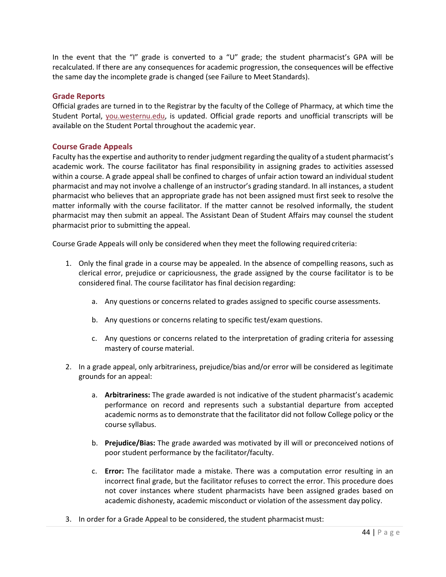In the event that the "I" grade is converted to a "U" grade; the student pharmacist's GPA will be recalculated. If there are any consequences for academic progression, the consequences will be effective the same day the incomplete grade is changed (see Failure to Meet Standards).

#### **Grade Reports**

Official grades are turned in to the Registrar by the faculty of the College of Pharmacy, at which time the Student Portal, [you.westernu.edu,](https://you.westernu.edu/) is updated. Official grade reports and unofficial transcripts will be available on the Student Portal throughout the academic year.

# **Course Grade Appeals**

Faculty hasthe expertise and authority to render judgment regarding the quality of a student pharmacist's academic work. The course facilitator has final responsibility in assigning grades to activities assessed within a course. A grade appeal shall be confined to charges of unfair action toward an individual student pharmacist and may not involve a challenge of an instructor's grading standard. In all instances, a student pharmacist who believes that an appropriate grade has not been assigned must first seek to resolve the matter informally with the course facilitator. If the matter cannot be resolved informally, the student pharmacist may then submit an appeal. The Assistant Dean of Student Affairs may counsel the student pharmacist prior to submitting the appeal.

Course Grade Appeals will only be considered when they meet the following required criteria:

- 1. Only the final grade in a course may be appealed. In the absence of compelling reasons, such as clerical error, prejudice or capriciousness, the grade assigned by the course facilitator is to be considered final. The course facilitator has final decision regarding:
	- a. Any questions or concerns related to grades assigned to specific course assessments.
	- b. Any questions or concerns relating to specific test/exam questions.
	- c. Any questions or concerns related to the interpretation of grading criteria for assessing mastery of course material.
- 2. In a grade appeal, only arbitrariness, prejudice/bias and/or error will be considered as legitimate grounds for an appeal:
	- a. **Arbitrariness:** The grade awarded is not indicative of the student pharmacist's academic performance on record and represents such a substantial departure from accepted academic norms as to demonstrate that the facilitator did not follow College policy or the course syllabus.
	- b. **Prejudice/Bias:** The grade awarded was motivated by ill will or preconceived notions of poor student performance by the facilitator/faculty.
	- c. **Error:** The facilitator made a mistake. There was a computation error resulting in an incorrect final grade, but the facilitator refuses to correct the error. This procedure does not cover instances where student pharmacists have been assigned grades based on academic dishonesty, academic misconduct or violation of the assessment day policy.
- 3. In order for a Grade Appeal to be considered, the student pharmacistmust: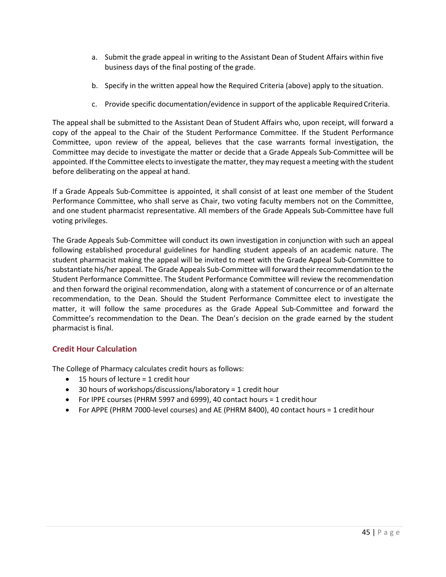- a. Submit the grade appeal in writing to the Assistant Dean of Student Affairs within five business days of the final posting of the grade.
- b. Specify in the written appeal how the Required Criteria (above) apply to the situation.
- c. Provide specific documentation/evidence in support of the applicable RequiredCriteria.

The appeal shall be submitted to the Assistant Dean of Student Affairs who, upon receipt, will forward a copy of the appeal to the Chair of the Student Performance Committee. If the Student Performance Committee, upon review of the appeal, believes that the case warrants formal investigation, the Committee may decide to investigate the matter or decide that a Grade Appeals Sub-Committee will be appointed. If the Committee elects to investigate the matter, they may request a meeting with the student before deliberating on the appeal at hand.

If a Grade Appeals Sub-Committee is appointed, it shall consist of at least one member of the Student Performance Committee, who shall serve as Chair, two voting faculty members not on the Committee, and one student pharmacist representative. All members of the Grade Appeals Sub-Committee have full voting privileges.

The Grade Appeals Sub-Committee will conduct its own investigation in conjunction with such an appeal following established procedural guidelines for handling student appeals of an academic nature. The student pharmacist making the appeal will be invited to meet with the Grade Appeal Sub-Committee to substantiate his/her appeal. The Grade Appeals Sub-Committee will forward their recommendation to the Student Performance Committee. The Student Performance Committee will review the recommendation and then forward the original recommendation, along with a statement of concurrence or of an alternate recommendation, to the Dean. Should the Student Performance Committee elect to investigate the matter, it will follow the same procedures as the Grade Appeal Sub-Committee and forward the Committee's recommendation to the Dean. The Dean's decision on the grade earned by the student pharmacist is final.

# **Credit Hour Calculation**

The College of Pharmacy calculates credit hours as follows:

- 15 hours of lecture = 1 credit hour
- 30 hours of workshops/discussions/laboratory = 1 credit hour
- For IPPE courses (PHRM 5997 and 6999), 40 contact hours = 1 credit hour
- For APPE (PHRM 7000-level courses) and AE (PHRM 8400), 40 contact hours = 1 credithour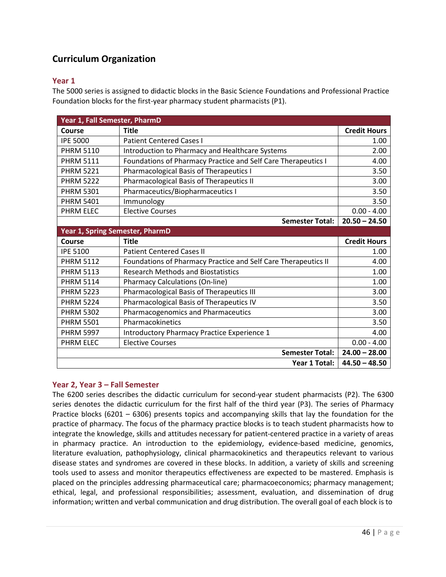# **Curriculum Organization**

# **Year 1**

The 5000 series is assigned to didactic blocks in the Basic Science Foundations and Professional Practice Foundation blocks for the first-year pharmacy student pharmacists (P1).

| Year 1, Fall Semester, PharmD   |                                                                |                     |
|---------------------------------|----------------------------------------------------------------|---------------------|
| Course                          | <b>Title</b>                                                   | <b>Credit Hours</b> |
| <b>IPE 5000</b>                 | <b>Patient Centered Cases I</b>                                | 1.00                |
| <b>PHRM 5110</b>                | Introduction to Pharmacy and Healthcare Systems                | 2.00                |
| <b>PHRM 5111</b>                | Foundations of Pharmacy Practice and Self Care Therapeutics I  | 4.00                |
| <b>PHRM 5221</b>                | Pharmacological Basis of Therapeutics I                        | 3.50                |
| <b>PHRM 5222</b>                | Pharmacological Basis of Therapeutics II                       | 3.00                |
| <b>PHRM 5301</b>                | Pharmaceutics/Biopharmaceutics I                               | 3.50                |
| <b>PHRM 5401</b>                | Immunology                                                     | 3.50                |
| <b>PHRM ELEC</b>                | <b>Elective Courses</b>                                        | $0.00 - 4.00$       |
|                                 | <b>Semester Total:</b>                                         | $20.50 - 24.50$     |
| Year 1, Spring Semester, PharmD |                                                                |                     |
| Course                          | <b>Title</b>                                                   | <b>Credit Hours</b> |
| <b>IPE 5100</b>                 | <b>Patient Centered Cases II</b>                               | 1.00                |
| <b>PHRM 5112</b>                | Foundations of Pharmacy Practice and Self Care Therapeutics II | 4.00                |
| <b>PHRM 5113</b>                | <b>Research Methods and Biostatistics</b>                      | 1.00                |
| <b>PHRM 5114</b>                | <b>Pharmacy Calculations (On-line)</b>                         | 1.00                |
| <b>PHRM 5223</b>                | Pharmacological Basis of Therapeutics III                      | 3.00                |
| <b>PHRM 5224</b>                | Pharmacological Basis of Therapeutics IV                       | 3.50                |
| <b>PHRM 5302</b>                | Pharmacogenomics and Pharmaceutics                             | 3.00                |
| <b>PHRM 5501</b>                | Pharmacokinetics                                               | 3.50                |
| <b>PHRM 5997</b>                | Introductory Pharmacy Practice Experience 1                    | 4.00                |
| <b>PHRM ELEC</b>                | <b>Elective Courses</b>                                        | $0.00 - 4.00$       |
|                                 | <b>Semester Total:</b>                                         | $24.00 - 28.00$     |
|                                 | Year 1 Total:                                                  | $44.50 - 48.50$     |

# **Year 2, Year 3 – Fall Semester**

The 6200 series describes the didactic curriculum for second-year student pharmacists (P2). The 6300 series denotes the didactic curriculum for the first half of the third year (P3). The series of Pharmacy Practice blocks (6201 – 6306) presents topics and accompanying skills that lay the foundation for the practice of pharmacy. The focus of the pharmacy practice blocks is to teach student pharmacists how to integrate the knowledge, skills and attitudes necessary for patient-centered practice in a variety of areas in pharmacy practice. An introduction to the epidemiology, evidence-based medicine, genomics, literature evaluation, pathophysiology, clinical pharmacokinetics and therapeutics relevant to various disease states and syndromes are covered in these blocks. In addition, a variety of skills and screening tools used to assess and monitor therapeutics effectiveness are expected to be mastered. Emphasis is placed on the principles addressing pharmaceutical care; pharmacoeconomics; pharmacy management; ethical, legal, and professional responsibilities; assessment, evaluation, and dissemination of drug information; written and verbal communication and drug distribution. The overall goal of each block is to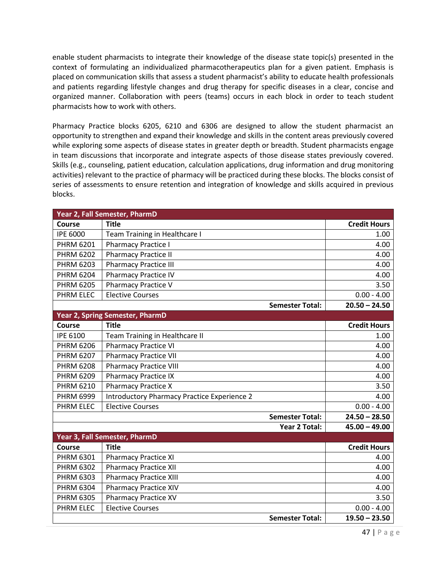enable student pharmacists to integrate their knowledge of the disease state topic(s) presented in the context of formulating an individualized pharmacotherapeutics plan for a given patient. Emphasis is placed on communication skills that assess a student pharmacist's ability to educate health professionals and patients regarding lifestyle changes and drug therapy for specific diseases in a clear, concise and organized manner. Collaboration with peers (teams) occurs in each block in order to teach student pharmacists how to work with others.

Pharmacy Practice blocks 6205, 6210 and 6306 are designed to allow the student pharmacist an opportunity to strengthen and expand their knowledge and skills in the content areas previously covered while exploring some aspects of disease states in greater depth or breadth. Student pharmacists engage in team discussions that incorporate and integrate aspects of those disease states previously covered. Skills (e.g., counseling, patient education, calculation applications, drug information and drug monitoring activities) relevant to the practice of pharmacy will be practiced during these blocks. The blocks consist of series of assessments to ensure retention and integration of knowledge and skills acquired in previous blocks.

| Year 2, Fall Semester, PharmD |                                             |                        |                     |
|-------------------------------|---------------------------------------------|------------------------|---------------------|
| Course                        | <b>Title</b>                                |                        | <b>Credit Hours</b> |
| <b>IPE 6000</b>               | Team Training in Healthcare I               |                        | 1.00                |
| <b>PHRM 6201</b>              | <b>Pharmacy Practice I</b>                  |                        | 4.00                |
| <b>PHRM 6202</b>              | <b>Pharmacy Practice II</b>                 |                        | 4.00                |
| <b>PHRM 6203</b>              | <b>Pharmacy Practice III</b>                |                        | 4.00                |
| <b>PHRM 6204</b>              | <b>Pharmacy Practice IV</b>                 |                        | 4.00                |
| <b>PHRM 6205</b>              | <b>Pharmacy Practice V</b>                  |                        | 3.50                |
| PHRM ELEC                     | <b>Elective Courses</b>                     |                        | $0.00 - 4.00$       |
|                               |                                             | <b>Semester Total:</b> | $20.50 - 24.50$     |
|                               | Year 2, Spring Semester, PharmD             |                        |                     |
| Course                        | <b>Title</b>                                |                        | <b>Credit Hours</b> |
| <b>IPE 6100</b>               | Team Training in Healthcare II              |                        | 1.00                |
| <b>PHRM 6206</b>              | <b>Pharmacy Practice VI</b>                 |                        | 4.00                |
| <b>PHRM 6207</b>              | <b>Pharmacy Practice VII</b>                |                        | 4.00                |
| <b>PHRM 6208</b>              | <b>Pharmacy Practice VIII</b>               |                        | 4.00                |
| PHRM 6209                     | <b>Pharmacy Practice IX</b>                 |                        | 4.00                |
| PHRM 6210                     | <b>Pharmacy Practice X</b>                  |                        | 3.50                |
| <b>PHRM 6999</b>              | Introductory Pharmacy Practice Experience 2 |                        | 4.00                |
| <b>PHRM ELEC</b>              | <b>Elective Courses</b>                     |                        | $0.00 - 4.00$       |
|                               |                                             | <b>Semester Total:</b> | $24.50 - 28.50$     |
|                               |                                             | <b>Year 2 Total:</b>   | $45.00 - 49.00$     |
|                               | Year 3, Fall Semester, PharmD               |                        |                     |
| Course                        | <b>Title</b>                                |                        | <b>Credit Hours</b> |
| PHRM 6301                     | <b>Pharmacy Practice XI</b>                 |                        | 4.00                |
| <b>PHRM 6302</b>              | <b>Pharmacy Practice XII</b>                |                        | 4.00                |
| PHRM 6303                     | <b>Pharmacy Practice XIII</b>               |                        | 4.00                |
| PHRM 6304                     | <b>Pharmacy Practice XIV</b>                |                        | 4.00                |
| <b>PHRM 6305</b>              | <b>Pharmacy Practice XV</b>                 |                        | 3.50                |
| <b>PHRM ELEC</b>              | <b>Elective Courses</b>                     |                        | $0.00 - 4.00$       |
|                               |                                             | <b>Semester Total:</b> | $19.50 - 23.50$     |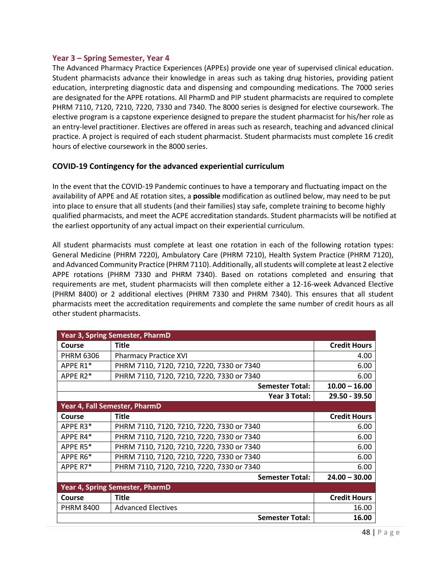### **Year 3 – Spring Semester, Year 4**

The Advanced Pharmacy Practice Experiences (APPEs) provide one year of supervised clinical education. Student pharmacists advance their knowledge in areas such as taking drug histories, providing patient education, interpreting diagnostic data and dispensing and compounding medications. The 7000 series are designated for the APPE rotations. All PharmD and PIP student pharmacists are required to complete PHRM 7110, 7120, 7210, 7220, 7330 and 7340. The 8000 series is designed for elective coursework. The elective program is a capstone experience designed to prepare the student pharmacist for his/her role as an entry-level practitioner. Electives are offered in areas such as research, teaching and advanced clinical practice. A project is required of each student pharmacist. Student pharmacists must complete 16 credit hours of elective coursework in the 8000 series.

# **COVID-19 Contingency for the advanced experiential curriculum**

In the event that the COVID-19 Pandemic continues to have a temporary and fluctuating impact on the availability of APPE and AE rotation sites, a **possible** modification as outlined below, may need to be put into place to ensure that all students (and their families) stay safe, complete training to become highly qualified pharmacists, and meet the ACPE accreditation standards. Student pharmacists will be notified at the earliest opportunity of any actual impact on their experiential curriculum.

All student pharmacists must complete at least one rotation in each of the following rotation types: General Medicine (PHRM 7220), Ambulatory Care (PHRM 7210), Health System Practice (PHRM 7120), and Advanced Community Practice (PHRM 7110). Additionally, all students will complete at least 2 elective APPE rotations (PHRM 7330 and PHRM 7340). Based on rotations completed and ensuring that requirements are met, student pharmacists will then complete either a 12-16-week Advanced Elective (PHRM 8400) or 2 additional electives (PHRM 7330 and PHRM 7340). This ensures that all student pharmacists meet the accreditation requirements and complete the same number of credit hours as all other student pharmacists.

| Year 3, Spring Semester, PharmD |                                           |                     |
|---------------------------------|-------------------------------------------|---------------------|
| Course                          | <b>Title</b>                              | <b>Credit Hours</b> |
| <b>PHRM 6306</b>                | <b>Pharmacy Practice XVI</b>              | 4.00                |
| APPE R1*                        | PHRM 7110, 7120, 7210, 7220, 7330 or 7340 | 6.00                |
| APPE R <sub>2</sub> *           | PHRM 7110, 7120, 7210, 7220, 7330 or 7340 | 6.00                |
|                                 | <b>Semester Total:</b>                    | $10.00 - 16.00$     |
|                                 | Year 3 Total:                             | 29.50 - 39.50       |
|                                 | Year 4, Fall Semester, PharmD             |                     |
| Course                          | <b>Title</b>                              | <b>Credit Hours</b> |
| APPE R3*                        | PHRM 7110, 7120, 7210, 7220, 7330 or 7340 | 6.00                |
| APPE R4*                        | PHRM 7110, 7120, 7210, 7220, 7330 or 7340 | 6.00                |
| APPE R5*                        | PHRM 7110, 7120, 7210, 7220, 7330 or 7340 | 6.00                |
| APPE R6*                        | PHRM 7110, 7120, 7210, 7220, 7330 or 7340 | 6.00                |
| APPE R7*                        | PHRM 7110, 7120, 7210, 7220, 7330 or 7340 | 6.00                |
|                                 | <b>Semester Total:</b>                    | $24.00 - 30.00$     |
|                                 | Year 4, Spring Semester, PharmD           |                     |
| Course                          | <b>Title</b>                              | <b>Credit Hours</b> |
| <b>PHRM 8400</b>                | <b>Advanced Electives</b>                 | 16.00               |
|                                 | <b>Semester Total:</b>                    | 16.00               |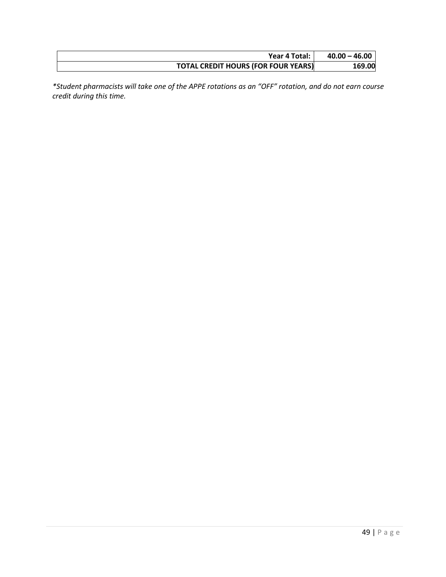| Year 4 Total:                              | $40.00 - 46.00$ |
|--------------------------------------------|-----------------|
| <b>TOTAL CREDIT HOURS (FOR FOUR YEARS)</b> | 169.00          |

*\*Student pharmacists will take one of the APPE rotations as an "OFF" rotation, and do not earn course credit during this time.*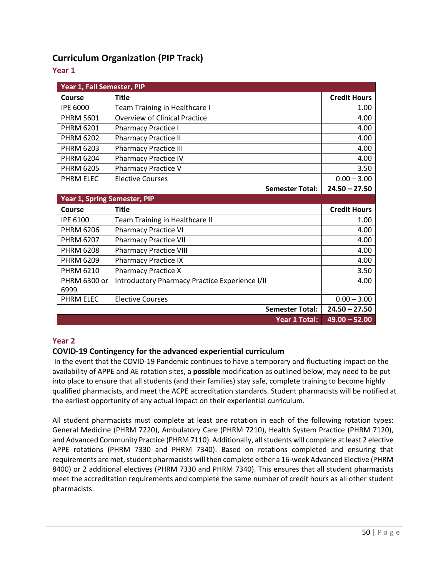# **Curriculum Organization (PIP Track)**

# **Year 1**

| Year 1, Fall Semester, PIP   |                                                |                     |
|------------------------------|------------------------------------------------|---------------------|
| Course                       | <b>Title</b>                                   | <b>Credit Hours</b> |
| <b>IPE 6000</b>              | Team Training in Healthcare I                  | 1.00                |
| <b>PHRM 5601</b>             | <b>Overview of Clinical Practice</b>           | 4.00                |
| <b>PHRM 6201</b>             | <b>Pharmacy Practice I</b>                     | 4.00                |
| <b>PHRM 6202</b>             | <b>Pharmacy Practice II</b>                    | 4.00                |
| <b>PHRM 6203</b>             | <b>Pharmacy Practice III</b>                   | 4.00                |
| <b>PHRM 6204</b>             | <b>Pharmacy Practice IV</b>                    | 4.00                |
| <b>PHRM 6205</b>             | <b>Pharmacy Practice V</b>                     | 3.50                |
| <b>PHRM ELEC</b>             | <b>Elective Courses</b>                        | $0.00 - 3.00$       |
|                              | <b>Semester Total:</b>                         | $24.50 - 27.50$     |
| Year 1, Spring Semester, PIP |                                                |                     |
|                              |                                                |                     |
| Course                       | <b>Title</b>                                   | <b>Credit Hours</b> |
| <b>IPE 6100</b>              | Team Training in Healthcare II                 | 1.00                |
| <b>PHRM 6206</b>             | <b>Pharmacy Practice VI</b>                    | 4.00                |
| <b>PHRM 6207</b>             | <b>Pharmacy Practice VII</b>                   | 4.00                |
| <b>PHRM 6208</b>             | <b>Pharmacy Practice VIII</b>                  | 4.00                |
| <b>PHRM 6209</b>             | <b>Pharmacy Practice IX</b>                    | 4.00                |
| <b>PHRM 6210</b>             | <b>Pharmacy Practice X</b>                     | 3.50                |
| PHRM 6300 or                 | Introductory Pharmacy Practice Experience I/II | 4.00                |
| 6999                         |                                                |                     |
| PHRM ELEC                    | <b>Elective Courses</b>                        | $0.00 - 3.00$       |
|                              | <b>Semester Total:</b>                         | $24.50 - 27.50$     |

# **Year 2**

# **COVID-19 Contingency for the advanced experiential curriculum**

In the event that the COVID-19 Pandemic continues to have a temporary and fluctuating impact on the availability of APPE and AE rotation sites, a **possible** modification as outlined below, may need to be put into place to ensure that all students (and their families) stay safe, complete training to become highly qualified pharmacists, and meet the ACPE accreditation standards. Student pharmacists will be notified at the earliest opportunity of any actual impact on their experiential curriculum.

All student pharmacists must complete at least one rotation in each of the following rotation types: General Medicine (PHRM 7220), Ambulatory Care (PHRM 7210), Health System Practice (PHRM 7120), and Advanced Community Practice (PHRM 7110). Additionally, all students will complete at least 2 elective APPE rotations (PHRM 7330 and PHRM 7340). Based on rotations completed and ensuring that requirements are met, student pharmacists will then complete either a 16-week Advanced Elective (PHRM 8400) or 2 additional electives (PHRM 7330 and PHRM 7340). This ensures that all student pharmacists meet the accreditation requirements and complete the same number of credit hours as all other student pharmacists.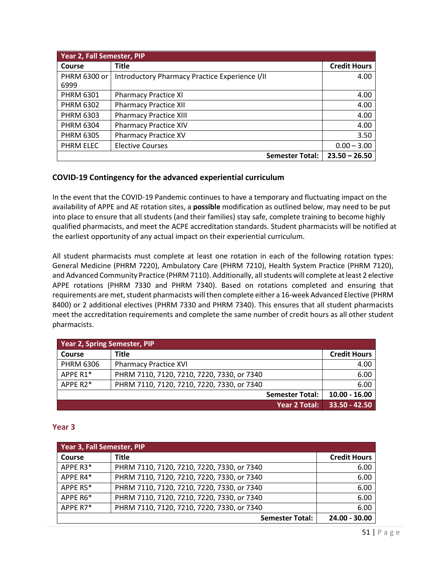| Year 2, Fall Semester, PIP |                                                |                     |
|----------------------------|------------------------------------------------|---------------------|
| Course                     | Title                                          | <b>Credit Hours</b> |
| PHRM 6300 or               | Introductory Pharmacy Practice Experience I/II | 4.00                |
| 6999                       |                                                |                     |
| <b>PHRM 6301</b>           | <b>Pharmacy Practice XI</b>                    | 4.00                |
| <b>PHRM 6302</b>           | <b>Pharmacy Practice XII</b>                   | 4.00                |
| <b>PHRM 6303</b>           | <b>Pharmacy Practice XIII</b>                  | 4.00                |
| <b>PHRM 6304</b>           | <b>Pharmacy Practice XIV</b>                   | 4.00                |
| <b>PHRM 6305</b>           | <b>Pharmacy Practice XV</b>                    | 3.50                |
| PHRM ELEC                  | <b>Elective Courses</b>                        | $0.00 - 3.00$       |
|                            | <b>Semester Total:</b>                         | $23.50 - 26.50$     |

# **COVID-19 Contingency for the advanced experiential curriculum**

In the event that the COVID-19 Pandemic continues to have a temporary and fluctuating impact on the availability of APPE and AE rotation sites, a **possible** modification as outlined below, may need to be put into place to ensure that all students (and their families) stay safe, complete training to become highly qualified pharmacists, and meet the ACPE accreditation standards. Student pharmacists will be notified at the earliest opportunity of any actual impact on their experiential curriculum.

All student pharmacists must complete at least one rotation in each of the following rotation types: General Medicine (PHRM 7220), Ambulatory Care (PHRM 7210), Health System Practice (PHRM 7120), and Advanced Community Practice (PHRM 7110). Additionally, all students will complete at least 2 elective APPE rotations (PHRM 7330 and PHRM 7340). Based on rotations completed and ensuring that requirements are met, student pharmacists will then complete either a 16-week Advanced Elective (PHRM 8400) or 2 additional electives (PHRM 7330 and PHRM 7340). This ensures that all student pharmacists meet the accreditation requirements and complete the same number of credit hours as all other student pharmacists.

| <b>Year 2, Spring Semester, PIP</b> |                                            |                     |
|-------------------------------------|--------------------------------------------|---------------------|
| Course                              | <b>Title</b>                               | <b>Credit Hours</b> |
| <b>PHRM 6306</b>                    | <b>Pharmacy Practice XVI</b>               | 4.00                |
| APPE R1*                            | PHRM 7110, 7120, 7210, 7220, 7330, or 7340 | 6.00                |
| APPE $R2^*$                         | PHRM 7110, 7120, 7210, 7220, 7330, or 7340 | 6.00                |
|                                     | <b>Semester Total:</b>                     | $10.00 - 16.00$     |
|                                     | <b>Year 2 Total:</b>                       | $33.50 - 42.50$     |

# **Year 3**

| Year 3, Fall Semester, PIP |                                            |                     |
|----------------------------|--------------------------------------------|---------------------|
| <b>Course</b>              | <b>Title</b>                               | <b>Credit Hours</b> |
| APPE R3*                   | PHRM 7110, 7120, 7210, 7220, 7330, or 7340 | 6.00                |
| APPE R4*                   | PHRM 7110, 7120, 7210, 7220, 7330, or 7340 | 6.00                |
| APPE R5*                   | PHRM 7110, 7120, 7210, 7220, 7330, or 7340 | 6.00                |
| APPE R6*                   | PHRM 7110, 7120, 7210, 7220, 7330, or 7340 | 6.00                |
| APPE R7*                   | PHRM 7110, 7120, 7210, 7220, 7330, or 7340 | 6.00                |
|                            | <b>Semester Total:</b>                     | 24.00 - 30.00       |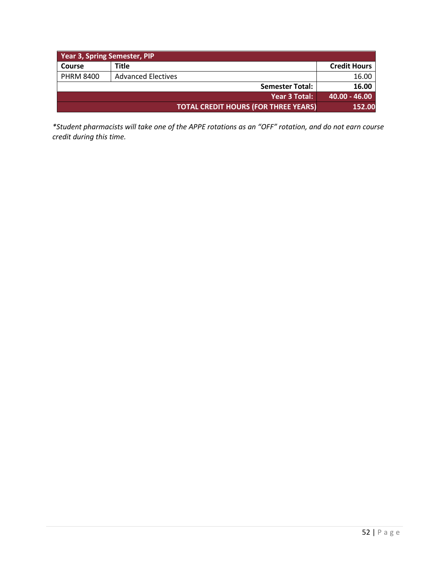| <b>Year 3, Spring Semester, PIP</b> |                                             |                     |  |
|-------------------------------------|---------------------------------------------|---------------------|--|
| Course                              | Title                                       | <b>Credit Hours</b> |  |
| <b>PHRM 8400</b>                    | <b>Advanced Electives</b>                   | 16.00               |  |
|                                     | <b>Semester Total:</b>                      | 16.00               |  |
|                                     | Year 3 Total:                               | $140.00 - 46.00$    |  |
|                                     | <b>TOTAL CREDIT HOURS (FOR THREE YEARS)</b> | 152.00              |  |

*\*Student pharmacists will take one of the APPE rotations as an "OFF" rotation, and do not earn course credit during this time.*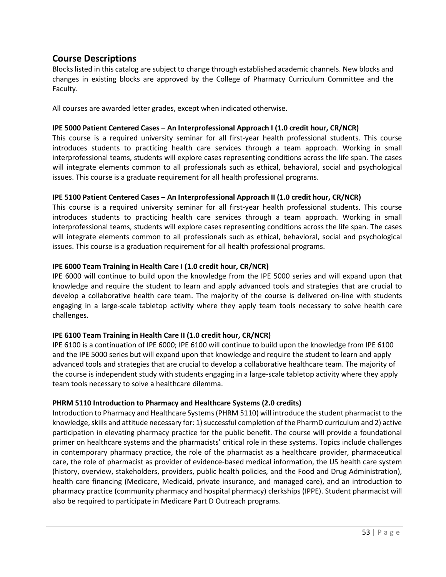# **Course Descriptions**

Blocks listed in this catalog are subject to change through established academic channels. New blocks and changes in existing blocks are approved by the College of Pharmacy Curriculum Committee and the Faculty.

All courses are awarded letter grades, except when indicated otherwise.

### **IPE 5000 Patient Centered Cases – An Interprofessional Approach I (1.0 credit hour, CR/NCR)**

This course is a required university seminar for all first-year health professional students. This course introduces students to practicing health care services through a team approach. Working in small interprofessional teams, students will explore cases representing conditions across the life span. The cases will integrate elements common to all professionals such as ethical, behavioral, social and psychological issues. This course is a graduate requirement for all health professional programs.

# **IPE 5100 Patient Centered Cases – An Interprofessional Approach II (1.0 credit hour, CR/NCR)**

This course is a required university seminar for all first-year health professional students. This course introduces students to practicing health care services through a team approach. Working in small interprofessional teams, students will explore cases representing conditions across the life span. The cases will integrate elements common to all professionals such as ethical, behavioral, social and psychological issues. This course is a graduation requirement for all health professional programs.

# **IPE 6000 Team Training in Health Care I (1.0 credit hour, CR/NCR)**

IPE 6000 will continue to build upon the knowledge from the IPE 5000 series and will expand upon that knowledge and require the student to learn and apply advanced tools and strategies that are crucial to develop a collaborative health care team. The majority of the course is delivered on-line with students engaging in a large-scale tabletop activity where they apply team tools necessary to solve health care challenges.

#### **IPE 6100 Team Training in Health Care II (1.0 credit hour, CR/NCR)**

IPE 6100 is a continuation of IPE 6000; IPE 6100 will continue to build upon the knowledge from IPE 6100 and the IPE 5000 series but will expand upon that knowledge and require the student to learn and apply advanced tools and strategies that are crucial to develop a collaborative healthcare team. The majority of the course is independent study with students engaging in a large-scale tabletop activity where they apply team tools necessary to solve a healthcare dilemma.

#### **PHRM 5110 Introduction to Pharmacy and Healthcare Systems (2.0 credits)**

Introduction to Pharmacy and Healthcare Systems (PHRM 5110) will introduce the student pharmacist to the knowledge, skills and attitude necessary for: 1) successful completion of the PharmD curriculum and 2) active participation in elevating pharmacy practice for the public benefit. The course will provide a foundational primer on healthcare systems and the pharmacists' critical role in these systems. Topics include challenges in contemporary pharmacy practice, the role of the pharmacist as a healthcare provider, pharmaceutical care, the role of pharmacist as provider of evidence-based medical information, the US health care system (history, overview, stakeholders, providers, public health policies, and the Food and Drug Administration), health care financing (Medicare, Medicaid, private insurance, and managed care), and an introduction to pharmacy practice (community pharmacy and hospital pharmacy) clerkships (IPPE). Student pharmacist will also be required to participate in Medicare Part D Outreach programs.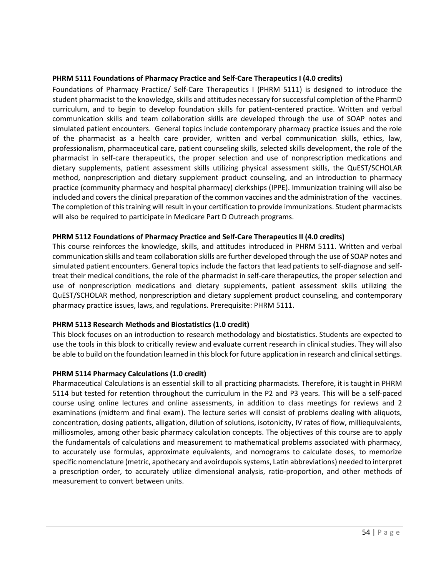#### **PHRM 5111 Foundations of Pharmacy Practice and Self-Care Therapeutics I (4.0 credits)**

Foundations of Pharmacy Practice/ Self-Care Therapeutics I (PHRM 5111) is designed to introduce the student pharmacist to the knowledge, skills and attitudes necessary for successful completion of the PharmD curriculum, and to begin to develop foundation skills for patient-centered practice. Written and verbal communication skills and team collaboration skills are developed through the use of SOAP notes and simulated patient encounters. General topics include contemporary pharmacy practice issues and the role of the pharmacist as a health care provider, written and verbal communication skills, ethics, law, professionalism, pharmaceutical care, patient counseling skills, selected skills development, the role of the pharmacist in self-care therapeutics, the proper selection and use of nonprescription medications and dietary supplements, patient assessment skills utilizing physical assessment skills, the QuEST/SCHOLAR method, nonprescription and dietary supplement product counseling, and an introduction to pharmacy practice (community pharmacy and hospital pharmacy) clerkships (IPPE). Immunization training will also be included and covers the clinical preparation of the common vaccines and the administration of the vaccines. The completion of this training will result in your certification to provide immunizations. Student pharmacists will also be required to participate in Medicare Part D Outreach programs.

#### **PHRM 5112 Foundations of Pharmacy Practice and Self-Care Therapeutics II (4.0 credits)**

This course reinforces the knowledge, skills, and attitudes introduced in PHRM 5111. Written and verbal communication skills and team collaboration skills are further developed through the use of SOAP notes and simulated patient encounters. General topics include the factors that lead patients to self-diagnose and selftreat their medical conditions, the role of the pharmacist in self-care therapeutics, the proper selection and use of nonprescription medications and dietary supplements, patient assessment skills utilizing the QuEST/SCHOLAR method, nonprescription and dietary supplement product counseling, and contemporary pharmacy practice issues, laws, and regulations. Prerequisite: PHRM 5111.

#### **PHRM 5113 Research Methods and Biostatistics (1.0 credit)**

This block focuses on an introduction to research methodology and biostatistics. Students are expected to use the tools in this block to critically review and evaluate current research in clinical studies. They will also be able to build on the foundation learned in this block for future application in research and clinical settings.

#### **PHRM 5114 Pharmacy Calculations (1.0 credit)**

Pharmaceutical Calculations is an essential skill to all practicing pharmacists. Therefore, it is taught in PHRM 5114 but tested for retention throughout the curriculum in the P2 and P3 years. This will be a self-paced course using online lectures and online assessments, in addition to class meetings for reviews and 2 examinations (midterm and final exam). The lecture series will consist of problems dealing with aliquots, concentration, dosing patients, alligation, dilution of solutions, isotonicity, IV rates of flow, milliequivalents, milliosmoles, among other basic pharmacy calculation concepts. The objectives of this course are to apply the fundamentals of calculations and measurement to mathematical problems associated with pharmacy, to accurately use formulas, approximate equivalents, and nomograms to calculate doses, to memorize specific nomenclature (metric, apothecary and avoirdupois systems, Latin abbreviations) needed to interpret a prescription order, to accurately utilize dimensional analysis, ratio-proportion, and other methods of measurement to convert between units.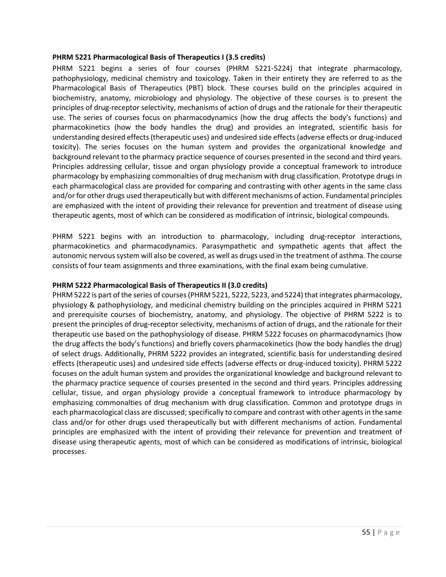#### **PHRM 5221 Pharmacological Basis of Therapeutics I (3.5 credits)**

PHRM 5221 begins a series of four courses (PHRM 5221-5224) that integrate pharmacology, pathophysiology, medicinal chemistry and toxicology. Taken in their entirety they are referred to as the Pharmacological Basis of Therapeutics (PBT) block. These courses build on the principles acquired in biochemistry, anatomy, microbiology and physiology. The objective of these courses is to present the principles of drug-receptor selectivity, mechanisms of action of drugs and the rationale for their therapeutic use. The series of courses focus on pharmacodynamics (how the drug affects the body's functions) and pharmacokinetics (how the body handles the drug) and provides an integrated, scientific basis for understanding desired effects (therapeutic uses) and undesired side effects (adverse effects or drug-induced toxicity). The series focuses on the human system and provides the organizational knowledge and background relevant to the pharmacy practice sequence of courses presented in the second and third years. Principles addressing cellular, tissue and organ physiology provide a conceptual framework to introduce pharmacology by emphasizing commonalties of drug mechanism with drug classification. Prototype drugs in each pharmacological class are provided for comparing and contrasting with other agents in the same class and/or for other drugs used therapeutically but with different mechanisms of action. Fundamental principles are emphasized with the intent of providing their relevance for prevention and treatment of disease using therapeutic agents, most of which can be considered as modification of intrinsic, biological compounds.

PHRM 5221 begins with an introduction to pharmacology, including drug-receptor interactions, pharmacokinetics and pharmacodynamics. Parasympathetic and sympathetic agents that affect the autonomic nervous system will also be covered, as well as drugs used in the treatment of asthma. The course consists of four team assignments and three examinations, with the final exam being cumulative.

#### **PHRM 5222 Pharmacological Basis of Therapeutics II (3.0 credits)**

PHRM 5222 is part of the series of courses (PHRM 5221, 5222, 5223, and 5224) that integrates pharmacology, physiology & pathophysiology, and medicinal chemistry building on the principles acquired in PHRM 5221 and prerequisite courses of biochemistry, anatomy, and physiology. The objective of PHRM 5222 is to present the principles of drug-receptor selectivity, mechanisms of action of drugs, and the rationale for their therapeutic use based on the pathophysiology of disease. PHRM 5222 focuses on pharmacodynamics (how the drug affects the body's functions) and briefly covers pharmacokinetics (how the body handles the drug) of select drugs. Additionally, PHRM 5222 provides an integrated, scientific basis for understanding desired effects (therapeutic uses) and undesired side effects (adverse effects or drug-induced toxicity). PHRM 5222 focuses on the adult human system and provides the organizational knowledge and background relevant to the pharmacy practice sequence of courses presented in the second and third years. Principles addressing cellular, tissue, and organ physiology provide a conceptual framework to introduce pharmacology by emphasizing commonalties of drug mechanism with drug classification. Common and prototype drugs in each pharmacological class are discussed; specifically to compare and contrast with other agents in the same class and/or for other drugs used therapeutically but with different mechanisms of action. Fundamental principles are emphasized with the intent of providing their relevance for prevention and treatment of disease using therapeutic agents, most of which can be considered as modifications of intrinsic, biological processes.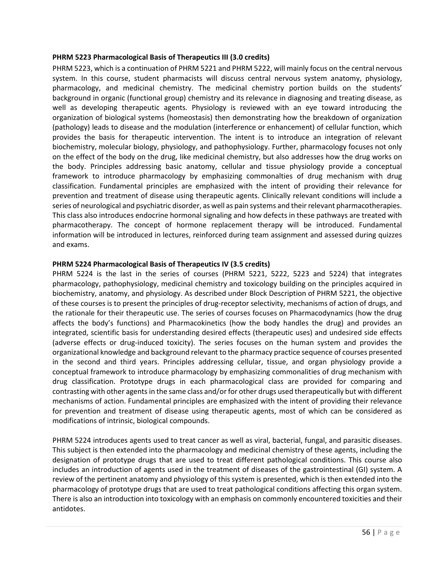#### **PHRM 5223 Pharmacological Basis of Therapeutics III (3.0 credits)**

PHRM 5223, which is a continuation of PHRM 5221 and PHRM 5222, will mainly focus on the central nervous system. In this course, student pharmacists will discuss central nervous system anatomy, physiology, pharmacology, and medicinal chemistry. The medicinal chemistry portion builds on the students' background in organic (functional group) chemistry and its relevance in diagnosing and treating disease, as well as developing therapeutic agents. Physiology is reviewed with an eye toward introducing the organization of biological systems (homeostasis) then demonstrating how the breakdown of organization (pathology) leads to disease and the modulation (interference or enhancement) of cellular function, which provides the basis for therapeutic intervention. The intent is to introduce an integration of relevant biochemistry, molecular biology, physiology, and pathophysiology. Further, pharmacology focuses not only on the effect of the body on the drug, like medicinal chemistry, but also addresses how the drug works on the body. Principles addressing basic anatomy, cellular and tissue physiology provide a conceptual framework to introduce pharmacology by emphasizing commonalties of drug mechanism with drug classification. Fundamental principles are emphasized with the intent of providing their relevance for prevention and treatment of disease using therapeutic agents. Clinically relevant conditions will include a series of neurological and psychiatric disorder, as well as pain systems and their relevant pharmacotherapies. This class also introduces endocrine hormonal signaling and how defects in these pathways are treated with pharmacotherapy. The concept of hormone replacement therapy will be introduced. Fundamental information will be introduced in lectures, reinforced during team assignment and assessed during quizzes and exams.

#### **PHRM 5224 Pharmacological Basis of Therapeutics IV (3.5 credits)**

PHRM 5224 is the last in the series of courses (PHRM 5221, 5222, 5223 and 5224) that integrates pharmacology, pathophysiology, medicinal chemistry and toxicology building on the principles acquired in biochemistry, anatomy, and physiology. As described under Block Description of PHRM 5221, the objective of these courses is to present the principles of drug-receptor selectivity, mechanisms of action of drugs, and the rationale for their therapeutic use. The series of courses focuses on Pharmacodynamics (how the drug affects the body's functions) and Pharmacokinetics (how the body handles the drug) and provides an integrated, scientific basis for understanding desired effects (therapeutic uses) and undesired side effects (adverse effects or drug-induced toxicity). The series focuses on the human system and provides the organizational knowledge and background relevant to the pharmacy practice sequence of courses presented in the second and third years. Principles addressing cellular, tissue, and organ physiology provide a conceptual framework to introduce pharmacology by emphasizing commonalities of drug mechanism with drug classification. Prototype drugs in each pharmacological class are provided for comparing and contrasting with other agents in the same class and/or for other drugs used therapeutically but with different mechanisms of action. Fundamental principles are emphasized with the intent of providing their relevance for prevention and treatment of disease using therapeutic agents, most of which can be considered as modifications of intrinsic, biological compounds.

PHRM 5224 introduces agents used to treat cancer as well as viral, bacterial, fungal, and parasitic diseases. This subject is then extended into the pharmacology and medicinal chemistry of these agents, including the designation of prototype drugs that are used to treat different pathological conditions. This course also includes an introduction of agents used in the treatment of diseases of the gastrointestinal (GI) system. A review of the pertinent anatomy and physiology of this system is presented, which is then extended into the pharmacology of prototype drugs that are used to treat pathological conditions affecting this organ system. There is also an introduction into toxicology with an emphasis on commonly encountered toxicities and their antidotes.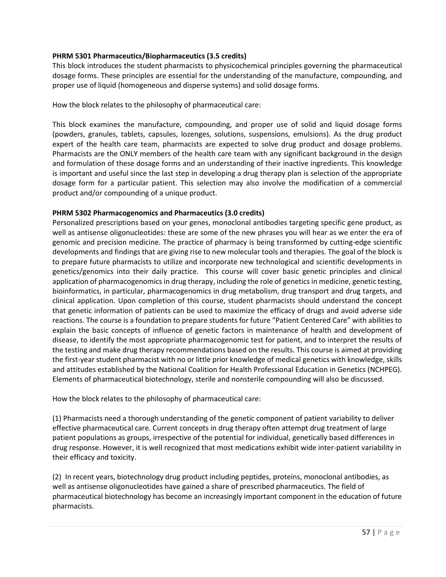# **PHRM 5301 Pharmaceutics/Biopharmaceutics (3.5 credits)**

This block introduces the student pharmacists to physicochemical principles governing the pharmaceutical dosage forms. These principles are essential for the understanding of the manufacture, compounding, and proper use of liquid (homogeneous and disperse systems) and solid dosage forms.

How the block relates to the philosophy of pharmaceutical care:

This block examines the manufacture, compounding, and proper use of solid and liquid dosage forms (powders, granules, tablets, capsules, lozenges, solutions, suspensions, emulsions). As the drug product expert of the health care team, pharmacists are expected to solve drug product and dosage problems. Pharmacists are the ONLY members of the health care team with any significant background in the design and formulation of these dosage forms and an understanding of their inactive ingredients. This knowledge is important and useful since the last step in developing a drug therapy plan is selection of the appropriate dosage form for a particular patient. This selection may also involve the modification of a commercial product and/or compounding of a unique product.

#### **PHRM 5302 Pharmacogenomics and Pharmaceutics (3.0 credits)**

Personalized prescriptions based on your genes, monoclonal antibodies targeting specific gene product, as well as antisense oligonucleotides: these are some of the new phrases you will hear as we enter the era of genomic and precision medicine. The practice of pharmacy is being transformed by cutting-edge scientific developments and findings that are giving rise to new molecular tools and therapies. The goal of the block is to prepare future pharmacists to utilize and incorporate new technological and scientific developments in genetics/genomics into their daily practice. This course will cover basic genetic principles and clinical application of pharmacogenomics in drug therapy, including the role of genetics in medicine, genetic testing, bioinformatics, in particular, pharmacogenomics in drug metabolism, drug transport and drug targets, and clinical application. Upon completion of this course, student pharmacists should understand the concept that genetic information of patients can be used to maximize the efficacy of drugs and avoid adverse side reactions. The course is a foundation to prepare students for future "Patient Centered Care" with abilities to explain the basic concepts of influence of genetic factors in maintenance of health and development of disease, to identify the most appropriate pharmacogenomic test for patient, and to interpret the results of the testing and make drug therapy recommendations based on the results. This course is aimed at providing the first-year student pharmacist with no or little prior knowledge of medical genetics with knowledge, skills and attitudes established by the National Coalition for Health Professional Education in Genetics (NCHPEG). Elements of pharmaceutical biotechnology, sterile and nonsterile compounding will also be discussed.

How the block relates to the philosophy of pharmaceutical care:

(1) Pharmacists need a thorough understanding of the genetic component of patient variability to deliver effective pharmaceutical care. Current concepts in drug therapy often attempt drug treatment of large patient populations as groups, irrespective of the potential for individual, genetically based differences in drug response. However, it is well recognized that most medications exhibit wide inter-patient variability in their efficacy and toxicity.

(2) In recent years, biotechnology drug product including peptides, proteins, monoclonal antibodies, as well as antisense oligonucleotides have gained a share of prescribed pharmaceutics. The field of pharmaceutical biotechnology has become an increasingly important component in the education of future pharmacists.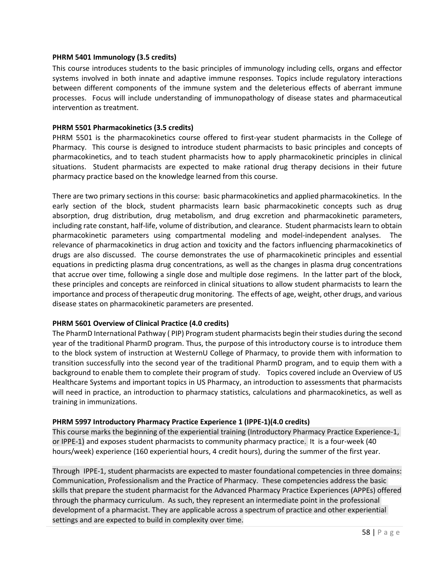#### **PHRM 5401 Immunology (3.5 credits)**

This course introduces students to the basic principles of immunology including cells, organs and effector systems involved in both innate and adaptive immune responses. Topics include regulatory interactions between different components of the immune system and the deleterious effects of aberrant immune processes. Focus will include understanding of immunopathology of disease states and pharmaceutical intervention as treatment.

#### **PHRM 5501 Pharmacokinetics (3.5 credits)**

PHRM 5501 is the pharmacokinetics course offered to first-year student pharmacists in the College of Pharmacy. This course is designed to introduce student pharmacists to basic principles and concepts of pharmacokinetics, and to teach student pharmacists how to apply pharmacokinetic principles in clinical situations. Student pharmacists are expected to make rational drug therapy decisions in their future pharmacy practice based on the knowledge learned from this course.

There are two primary sections in this course: basic pharmacokinetics and applied pharmacokinetics. In the early section of the block, student pharmacists learn basic pharmacokinetic concepts such as drug absorption, drug distribution, drug metabolism, and drug excretion and pharmacokinetic parameters, including rate constant, half-life, volume of distribution, and clearance. Student pharmacists learn to obtain pharmacokinetic parameters using compartmental modeling and model-independent analyses. The relevance of pharmacokinetics in drug action and toxicity and the factors influencing pharmacokinetics of drugs are also discussed. The course demonstrates the use of pharmacokinetic principles and essential equations in predicting plasma drug concentrations, as well as the changes in plasma drug concentrations that accrue over time, following a single dose and multiple dose regimens. In the latter part of the block, these principles and concepts are reinforced in clinical situations to allow student pharmacists to learn the importance and process of therapeutic drug monitoring. The effects of age, weight, other drugs, and various disease states on pharmacokinetic parameters are presented.

#### **PHRM 5601 Overview of Clinical Practice (4.0 credits)**

The PharmD International Pathway ( PIP) Program student pharmacists begin their studies during the second year of the traditional PharmD program. Thus, the purpose of this introductory course is to introduce them to the block system of instruction at WesternU College of Pharmacy, to provide them with information to transition successfully into the second year of the traditional PharmD program, and to equip them with a background to enable them to complete their program of study. Topics covered include an Overview of US Healthcare Systems and important topics in US Pharmacy, an introduction to assessments that pharmacists will need in practice, an introduction to pharmacy statistics, calculations and pharmacokinetics, as well as training in immunizations.

#### **PHRM 5997 Introductory Pharmacy Practice Experience 1 (IPPE-1)(4.0 credits)**

This course marks the beginning of the experiential training (Introductory Pharmacy Practice Experience-1, or IPPE-1) and exposes student pharmacists to community pharmacy practice. It is a four-week (40 hours/week) experience (160 experiential hours, 4 credit hours), during the summer of the first year.

Through IPPE-1, student pharmacists are expected to master foundational competencies in three domains: Communication, Professionalism and the Practice of Pharmacy. These competencies address the basic skills that prepare the student pharmacist for the Advanced Pharmacy Practice Experiences (APPEs) offered through the pharmacy curriculum. As such, they represent an intermediate point in the professional development of a pharmacist. They are applicable across a spectrum of practice and other experiential settings and are expected to build in complexity over time.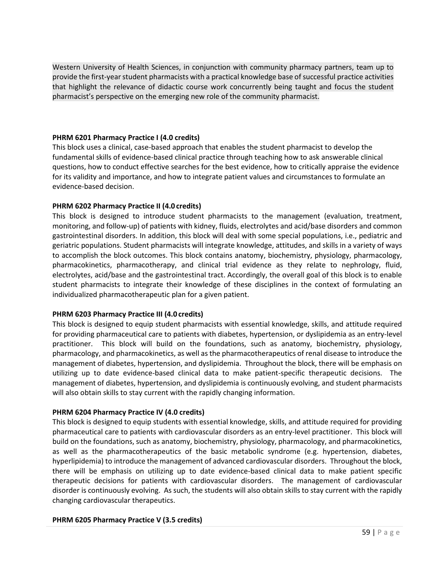Western University of Health Sciences, in conjunction with community pharmacy partners, team up to provide the first-year student pharmacists with a practical knowledge base of successful practice activities that highlight the relevance of didactic course work concurrently being taught and focus the student pharmacist's perspective on the emerging new role of the community pharmacist.

# **PHRM 6201 Pharmacy Practice I (4.0 credits)**

This block uses a clinical, case-based approach that enables the student pharmacist to develop the fundamental skills of evidence-based clinical practice through teaching how to ask answerable clinical questions, how to conduct effective searches for the best evidence, how to critically appraise the evidence for its validity and importance, and how to integrate patient values and circumstances to formulate an evidence-based decision.

# **PHRM 6202 Pharmacy Practice II (4.0 credits)**

This block is designed to introduce student pharmacists to the management (evaluation, treatment, monitoring, and follow-up) of patients with kidney, fluids, electrolytes and acid/base disorders and common gastrointestinal disorders. In addition, this block will deal with some special populations, i.e., pediatric and geriatric populations. Student pharmacists will integrate knowledge, attitudes, and skills in a variety of ways to accomplish the block outcomes. This block contains anatomy, biochemistry, physiology, pharmacology, pharmacokinetics, pharmacotherapy, and clinical trial evidence as they relate to nephrology, fluid, electrolytes, acid/base and the gastrointestinal tract. Accordingly, the overall goal of this block is to enable student pharmacists to integrate their knowledge of these disciplines in the context of formulating an individualized pharmacotherapeutic plan for a given patient.

# **PHRM 6203 Pharmacy Practice III (4.0 credits)**

This block is designed to equip student pharmacists with essential knowledge, skills, and attitude required for providing pharmaceutical care to patients with diabetes, hypertension, or dyslipidemia as an entry-level practitioner. This block will build on the foundations, such as anatomy, biochemistry, physiology, pharmacology, and pharmacokinetics, as well as the pharmacotherapeutics of renal disease to introduce the management of diabetes, hypertension, and dyslipidemia. Throughout the block, there will be emphasis on utilizing up to date evidence-based clinical data to make patient-specific therapeutic decisions. The management of diabetes, hypertension, and dyslipidemia is continuously evolving, and student pharmacists will also obtain skills to stay current with the rapidly changing information.

#### **PHRM 6204 Pharmacy Practice IV (4.0 credits)**

This block is designed to equip students with essential knowledge, skills, and attitude required for providing pharmaceutical care to patients with cardiovascular disorders as an entry-level practitioner. This block will build on the foundations, such as anatomy, biochemistry, physiology, pharmacology, and pharmacokinetics, as well as the pharmacotherapeutics of the basic metabolic syndrome (e.g. hypertension, diabetes, hyperlipidemia) to introduce the management of advanced cardiovascular disorders. Throughout the block, there will be emphasis on utilizing up to date evidence-based clinical data to make patient specific therapeutic decisions for patients with cardiovascular disorders. The management of cardiovascular disorder is continuously evolving. As such, the students will also obtain skills to stay current with the rapidly changing cardiovascular therapeutics.

#### **PHRM 6205 Pharmacy Practice V (3.5 credits)**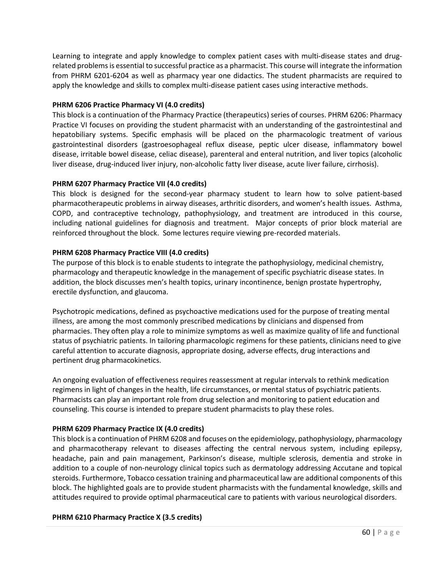Learning to integrate and apply knowledge to complex patient cases with multi-disease states and drugrelated problems is essential to successful practice as a pharmacist. This course will integrate the information from PHRM 6201-6204 as well as pharmacy year one didactics. The student pharmacists are required to apply the knowledge and skills to complex multi-disease patient cases using interactive methods.

### **PHRM 6206 Practice Pharmacy VI (4.0 credits)**

This block is a continuation of the Pharmacy Practice (therapeutics) series of courses. PHRM 6206: Pharmacy Practice VI focuses on providing the student pharmacist with an understanding of the gastrointestinal and hepatobiliary systems. Specific emphasis will be placed on the pharmacologic treatment of various gastrointestinal disorders (gastroesophageal reflux disease, peptic ulcer disease, inflammatory bowel disease, irritable bowel disease, celiac disease), parenteral and enteral nutrition, and liver topics (alcoholic liver disease, drug-induced liver injury, non-alcoholic fatty liver disease, acute liver failure, cirrhosis).

# **PHRM 6207 Pharmacy Practice VII (4.0 credits)**

This block is designed for the second-year pharmacy student to learn how to solve patient-based pharmacotherapeutic problems in airway diseases, arthritic disorders, and women's health issues. Asthma, COPD, and contraceptive technology, pathophysiology, and treatment are introduced in this course, including national guidelines for diagnosis and treatment. Major concepts of prior block material are reinforced throughout the block. Some lectures require viewing pre-recorded materials.

# **PHRM 6208 Pharmacy Practice VIII (4.0 credits)**

The purpose of this block is to enable students to integrate the pathophysiology, medicinal chemistry, pharmacology and therapeutic knowledge in the management of specific psychiatric disease states. In addition, the block discusses men's health topics, urinary incontinence, benign prostate hypertrophy, erectile dysfunction, and glaucoma.

Psychotropic medications, defined as psychoactive medications used for the purpose of treating mental illness, are among the most commonly prescribed medications by clinicians and dispensed from pharmacies. They often play a role to minimize symptoms as well as maximize quality of life and functional status of psychiatric patients. In tailoring pharmacologic regimens for these patients, clinicians need to give careful attention to accurate diagnosis, appropriate dosing, adverse effects, drug interactions and pertinent drug pharmacokinetics.

An ongoing evaluation of effectiveness requires reassessment at regular intervals to rethink medication regimens in light of changes in the health, life circumstances, or mental status of psychiatric patients. Pharmacists can play an important role from drug selection and monitoring to patient education and counseling. This course is intended to prepare student pharmacists to play these roles.

#### **PHRM 6209 Pharmacy Practice IX (4.0 credits)**

This block is a continuation of PHRM 6208 and focuses on the epidemiology, pathophysiology, pharmacology and pharmacotherapy relevant to diseases affecting the central nervous system, including epilepsy, headache, pain and pain management, Parkinson's disease, multiple sclerosis, dementia and stroke in addition to a couple of non-neurology clinical topics such as dermatology addressing Accutane and topical steroids. Furthermore, Tobacco cessation training and pharmaceutical law are additional components of this block. The highlighted goals are to provide student pharmacists with the fundamental knowledge, skills and attitudes required to provide optimal pharmaceutical care to patients with various neurological disorders.

#### **PHRM 6210 Pharmacy Practice X (3.5 credits)**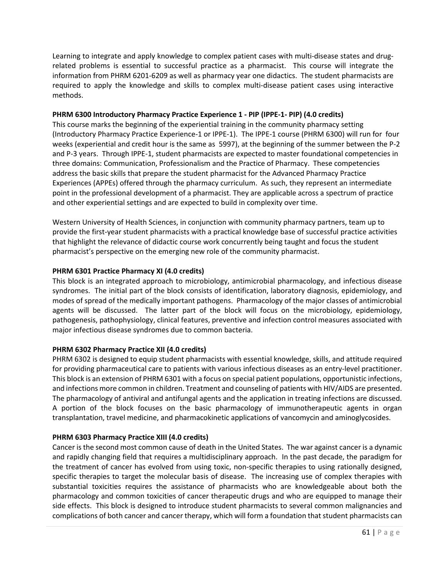Learning to integrate and apply knowledge to complex patient cases with multi-disease states and drugrelated problems is essential to successful practice as a pharmacist. This course will integrate the information from PHRM 6201-6209 as well as pharmacy year one didactics. The student pharmacists are required to apply the knowledge and skills to complex multi-disease patient cases using interactive methods.

# **PHRM 6300 Introductory Pharmacy Practice Experience 1 - PIP (IPPE-1- PIP) (4.0 credits)**

This course marks the beginning of the experiential training in the community pharmacy setting (Introductory Pharmacy Practice Experience-1 or IPPE-1). The IPPE-1 course (PHRM 6300) will run for four weeks (experiential and credit hour is the same as 5997), at the beginning of the summer between the P-2 and P-3 years. Through IPPE-1, student pharmacists are expected to master foundational competencies in three domains: Communication, Professionalism and the Practice of Pharmacy. These competencies address the basic skills that prepare the student pharmacist for the Advanced Pharmacy Practice Experiences (APPEs) offered through the pharmacy curriculum. As such, they represent an intermediate point in the professional development of a pharmacist. They are applicable across a spectrum of practice and other experiential settings and are expected to build in complexity over time.

Western University of Health Sciences, in conjunction with community pharmacy partners, team up to provide the first-year student pharmacists with a practical knowledge base of successful practice activities that highlight the relevance of didactic course work concurrently being taught and focus the student pharmacist's perspective on the emerging new role of the community pharmacist.

# **PHRM 6301 Practice Pharmacy XI (4.0 credits)**

This block is an integrated approach to microbiology, antimicrobial pharmacology, and infectious disease syndromes. The initial part of the block consists of identification, laboratory diagnosis, epidemiology, and modes of spread of the medically important pathogens. Pharmacology of the major classes of antimicrobial agents will be discussed. The latter part of the block will focus on the microbiology, epidemiology, pathogenesis, pathophysiology, clinical features, preventive and infection control measures associated with major infectious disease syndromes due to common bacteria.

# **PHRM 6302 Pharmacy Practice XII (4.0 credits)**

PHRM 6302 is designed to equip student pharmacists with essential knowledge, skills, and attitude required for providing pharmaceutical care to patients with various infectious diseases as an entry-level practitioner. This block is an extension of PHRM 6301 with a focus on special patient populations, opportunistic infections, and infections more common in children. Treatment and counseling of patients with HIV/AIDS are presented. The pharmacology of antiviral and antifungal agents and the application in treating infections are discussed. A portion of the block focuses on the basic pharmacology of immunotherapeutic agents in organ transplantation, travel medicine, and pharmacokinetic applications of vancomycin and aminoglycosides.

# **PHRM 6303 Pharmacy Practice XIII (4.0 credits)**

Cancer is the second most common cause of death in the United States. The war against cancer is a dynamic and rapidly changing field that requires a multidisciplinary approach. In the past decade, the paradigm for the treatment of cancer has evolved from using toxic, non-specific therapies to using rationally designed, specific therapies to target the molecular basis of disease. The increasing use of complex therapies with substantial toxicities requires the assistance of pharmacists who are knowledgeable about both the pharmacology and common toxicities of cancer therapeutic drugs and who are equipped to manage their side effects. This block is designed to introduce student pharmacists to several common malignancies and complications of both cancer and cancer therapy, which will form a foundation that student pharmacists can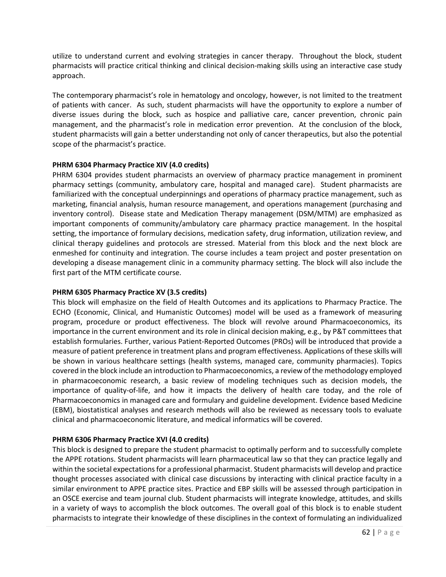utilize to understand current and evolving strategies in cancer therapy. Throughout the block, student pharmacists will practice critical thinking and clinical decision-making skills using an interactive case study approach.

The contemporary pharmacist's role in hematology and oncology, however, is not limited to the treatment of patients with cancer. As such, student pharmacists will have the opportunity to explore a number of diverse issues during the block, such as hospice and palliative care, cancer prevention, chronic pain management, and the pharmacist's role in medication error prevention. At the conclusion of the block, student pharmacists will gain a better understanding not only of cancer therapeutics, but also the potential scope of the pharmacist's practice.

#### **PHRM 6304 Pharmacy Practice XIV (4.0 credits)**

PHRM 6304 provides student pharmacists an overview of pharmacy practice management in prominent pharmacy settings (community, ambulatory care, hospital and managed care). Student pharmacists are familiarized with the conceptual underpinnings and operations of pharmacy practice management, such as marketing, financial analysis, human resource management, and operations management (purchasing and inventory control). Disease state and Medication Therapy management (DSM/MTM) are emphasized as important components of community/ambulatory care pharmacy practice management. In the hospital setting, the importance of formulary decisions, medication safety, drug information, utilization review, and clinical therapy guidelines and protocols are stressed. Material from this block and the next block are enmeshed for continuity and integration. The course includes a team project and poster presentation on developing a disease management clinic in a community pharmacy setting. The block will also include the first part of the MTM certificate course.

# **PHRM 6305 Pharmacy Practice XV (3.5 credits)**

This block will emphasize on the field of Health Outcomes and its applications to Pharmacy Practice. The ECHO (Economic, Clinical, and Humanistic Outcomes) model will be used as a framework of measuring program, procedure or product effectiveness. The block will revolve around Pharmacoeconomics, its importance in the current environment and its role in clinical decision making, e.g., by P&T committees that establish formularies. Further, various Patient-Reported Outcomes (PROs) will be introduced that provide a measure of patient preference in treatment plans and program effectiveness. Applications of these skills will be shown in various healthcare settings (health systems, managed care, community pharmacies). Topics covered in the block include an introduction to Pharmacoeconomics, a review of the methodology employed in pharmacoeconomic research, a basic review of modeling techniques such as decision models, the importance of quality-of-life, and how it impacts the delivery of health care today, and the role of Pharmacoeconomics in managed care and formulary and guideline development. Evidence based Medicine (EBM), biostatistical analyses and research methods will also be reviewed as necessary tools to evaluate clinical and pharmacoeconomic literature, and medical informatics will be covered.

# **PHRM 6306 Pharmacy Practice XVI (4.0 credits)**

This block is designed to prepare the student pharmacist to optimally perform and to successfully complete the APPE rotations. Student pharmacists will learn pharmaceutical law so that they can practice legally and within the societal expectations for a professional pharmacist. Student pharmacists will develop and practice thought processes associated with clinical case discussions by interacting with clinical practice faculty in a similar environment to APPE practice sites. Practice and EBP skills will be assessed through participation in an OSCE exercise and team journal club. Student pharmacists will integrate knowledge, attitudes, and skills in a variety of ways to accomplish the block outcomes. The overall goal of this block is to enable student pharmacists to integrate their knowledge of these disciplines in the context of formulating an individualized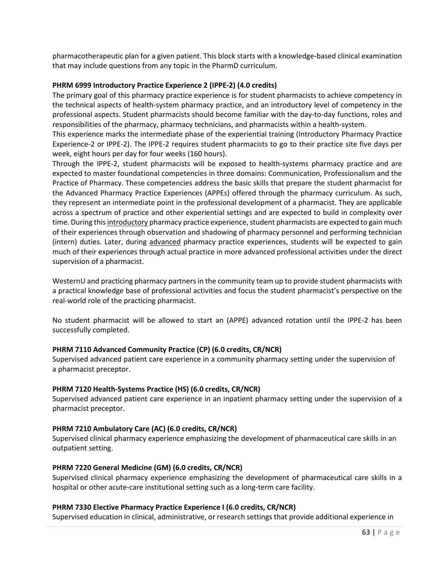pharmacotherapeutic plan for a given patient. This block starts with a knowledge-based clinical examination that may include questions from any topic in the PharmD curriculum.

# **PHRM 6999 Introductory Practice Experience 2 (IPPE-2) (4.0 credits)**

The primary goal of this pharmacy practice experience is for student pharmacists to achieve competency in the technical aspects of health-system pharmacy practice, and an introductory level of competency in the professional aspects. Student pharmacists should become familiar with the day-to-day functions, roles and responsibilities of the pharmacy, pharmacy technicians, and pharmacists within a health-system.

This experience marks the intermediate phase of the experiential training (Introductory Pharmacy Practice Experience-2 or IPPE-2). The IPPE-2 requires student pharmacists to go to their practice site five days per week, eight hours per day for four weeks (160 hours).

Through the IPPE-2, student pharmacists will be exposed to health-systems pharmacy practice and are expected to master foundational competencies in three domains: Communication, Professionalism and the Practice of Pharmacy. These competencies address the basic skills that prepare the student pharmacist for the Advanced Pharmacy Practice Experiences (APPEs) offered through the pharmacy curriculum. As such, they represent an intermediate point in the professional development of a pharmacist. They are applicable across a spectrum of practice and other experiential settings and are expected to build in complexity over time. During this introductory pharmacy practice experience, student pharmacists are expected to gain much of their experiences through observation and shadowing of pharmacy personnel and performing technician (intern) duties. Later, during advanced pharmacy practice experiences, students will be expected to gain much of their experiences through actual practice in more advanced professional activities under the direct supervision of a pharmacist.

WesternU and practicing pharmacy partners in the community team up to provide student pharmacists with a practical knowledge base of professional activities and focus the student pharmacist's perspective on the real-world role of the practicing pharmacist.

No student pharmacist will be allowed to start an (APPE) advanced rotation until the IPPE-2 has been successfully completed.

#### **PHRM 7110 Advanced Community Practice (CP) (6.0 credits, CR/NCR)**

Supervised advanced patient care experience in a community pharmacy setting under the supervision of a pharmacist preceptor.

#### **PHRM 7120 Health-Systems Practice (HS) (6.0 credits, CR/NCR)**

Supervised advanced patient care experience in an inpatient pharmacy setting under the supervision of a pharmacist preceptor.

#### **PHRM 7210 Ambulatory Care (AC) (6.0 credits, CR/NCR)**

Supervised clinical pharmacy experience emphasizing the development of pharmaceutical care skills in an outpatient setting.

#### **PHRM 7220 General Medicine (GM) (6.0 credits, CR/NCR)**

Supervised clinical pharmacy experience emphasizing the development of pharmaceutical care skills in a hospital or other acute-care institutional setting such as a long-term care facility.

#### **PHRM 7330 Elective Pharmacy Practice Experience I (6.0 credits, CR/NCR)**

Supervised education in clinical, administrative, or research settings that provide additional experience in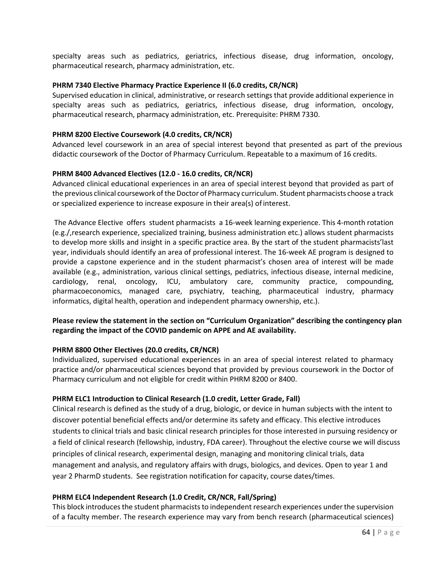specialty areas such as pediatrics, geriatrics, infectious disease, drug information, oncology, pharmaceutical research, pharmacy administration, etc.

#### **PHRM 7340 Elective Pharmacy Practice Experience II (6.0 credits, CR/NCR)**

Supervised education in clinical, administrative, or research settings that provide additional experience in specialty areas such as pediatrics, geriatrics, infectious disease, drug information, oncology, pharmaceutical research, pharmacy administration, etc. Prerequisite: PHRM 7330.

### **PHRM 8200 Elective Coursework (4.0 credits, CR/NCR)**

Advanced level coursework in an area of special interest beyond that presented as part of the previous didactic coursework of the Doctor of Pharmacy Curriculum. Repeatable to a maximum of 16 credits.

#### **PHRM 8400 Advanced Electives (12.0 - 16.0 credits, CR/NCR)**

Advanced clinical educational experiences in an area of special interest beyond that provided as part of the previous clinical coursework of the Doctor of Pharmacy curriculum. Student pharmacists choose a track or specialized experience to increase exposure in their area(s) ofinterest.

The Advance Elective offers student pharmacists a 16-week learning experience. This 4-month rotation (e.g./,research experience, specialized training, business administration etc.) allows student pharmacists to develop more skills and insight in a specific practice area. By the start of the student pharmacists'last year, individuals should identify an area of professional interest. The 16-week AE program is designed to provide a capstone experience and in the student pharmacist's chosen area of interest will be made available (e.g., administration, various clinical settings, pediatrics, infectious disease, internal medicine, cardiology, renal, oncology, ICU, ambulatory care, community practice, compounding, pharmacoeconomics, managed care, psychiatry, teaching, pharmaceutical industry, pharmacy informatics, digital health, operation and independent pharmacy ownership, etc.).

# **Please review the statement in the section on "Curriculum Organization" describing the contingency plan regarding the impact of the COVID pandemic on APPE and AE availability.**

#### **PHRM 8800 Other Electives (20.0 credits, CR/NCR)**

Individualized, supervised educational experiences in an area of special interest related to pharmacy practice and/or pharmaceutical sciences beyond that provided by previous coursework in the Doctor of Pharmacy curriculum and not eligible for credit within PHRM 8200 or 8400.

#### **PHRM ELC1 Introduction to Clinical Research (1.0 credit, Letter Grade, Fall)**

Clinical research is defined as the study of a drug, biologic, or device in human subjects with the intent to discover potential beneficial effects and/or determine its safety and efficacy. This elective introduces students to clinical trials and basic clinical research principles for those interested in pursuing residency or a field of clinical research (fellowship, industry, FDA career). Throughout the elective course we will discuss principles of clinical research, experimental design, managing and monitoring clinical trials, data management and analysis, and regulatory affairs with drugs, biologics, and devices. Open to year 1 and year 2 PharmD students. See registration notification for capacity, course dates/times.

# **PHRM ELC4 Independent Research (1.0 Credit, CR/NCR, Fall/Spring)**

This block introduces the student pharmacists to independent research experiences under the supervision of a faculty member. The research experience may vary from bench research (pharmaceutical sciences)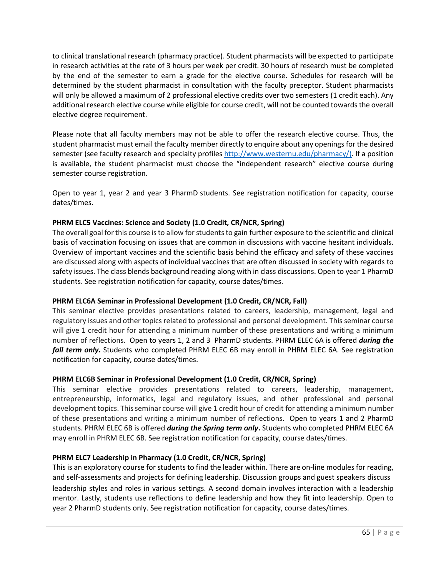to clinical translational research (pharmacy practice). Student pharmacists will be expected to participate in research activities at the rate of 3 hours per week per credit. 30 hours of research must be completed by the end of the semester to earn a grade for the elective course. Schedules for research will be determined by the student pharmacist in consultation with the faculty preceptor. Student pharmacists will only be allowed a maximum of 2 professional elective credits over two semesters (1 credit each). Any additional research elective course while eligible for course credit, will not be counted towards the overall elective degree requirement.

Please note that all faculty members may not be able to offer the research elective course. Thus, the student pharmacist must email the faculty member directly to enquire about any openings for the desired semester (see faculty research and specialty profiles [http://www.westernu.edu/pharmacy/\)](http://www.westernu.edu/pharmacy/). If a position is available, the student pharmacist must choose the "independent research" elective course during semester course registration.

Open to year 1, year 2 and year 3 PharmD students. See registration notification for capacity, course dates/times.

# **PHRM ELC5 Vaccines: Science and Society (1.0 Credit, CR/NCR, Spring)**

The overall goal for this course is to allow for students to gain further exposure to the scientific and clinical basis of vaccination focusing on issues that are common in discussions with vaccine hesitant individuals. Overview of important vaccines and the scientific basis behind the efficacy and safety of these vaccines are discussed along with aspects of individual vaccines that are often discussed in society with regards to safety issues. The class blends background reading along with in class discussions. Open to year 1 PharmD students. See registration notification for capacity, course dates/times.

#### **PHRM ELC6A Seminar in Professional Development (1.0 Credit, CR/NCR, Fall)**

This seminar elective provides presentations related to careers, leadership, management, legal and regulatory issues and other topics related to professional and personal development. This seminar course will give 1 credit hour for attending a minimum number of these presentations and writing a minimum number of reflections. Open to years 1, 2 and 3 PharmD students. PHRM ELEC 6A is offered *during the fall term only***.** Students who completed PHRM ELEC 6B may enroll in PHRM ELEC 6A. See registration notification for capacity, course dates/times.

# **PHRM ELC6B Seminar in Professional Development (1.0 Credit, CR/NCR, Spring)**

This seminar elective provides presentations related to careers, leadership, management, entrepreneurship, informatics, legal and regulatory issues, and other professional and personal development topics. Thisseminar course will give 1 credit hour of credit for attending a minimum number of these presentations and writing a minimum number of reflections. Open to years 1 and 2 PharmD students. PHRM ELEC 6B is offered *during the Spring term only***.** Students who completed PHRM ELEC 6A may enroll in PHRM ELEC 6B. See registration notification for capacity, course dates/times.

#### **PHRM ELC7 Leadership in Pharmacy (1.0 Credit, CR/NCR, Spring)**

This is an exploratory course for students to find the leader within. There are on-line modules for reading, and self-assessments and projects for defining leadership. Discussion groups and guest speakers discuss leadership styles and roles in various settings. A second domain involves interaction with a leadership mentor. Lastly, students use reflections to define leadership and how they fit into leadership. Open to year 2 PharmD students only. See registration notification for capacity, course dates/times.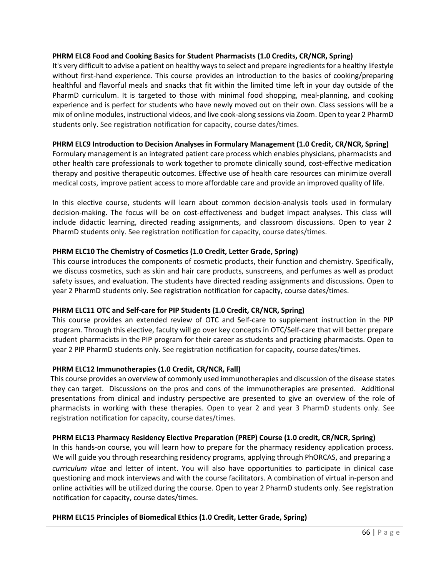### **PHRM ELC8 Food and Cooking Basics for Student Pharmacists (1.0 Credits, CR/NCR, Spring)**

It's very difficult to advise a patient on healthy ways to select and prepare ingredients for a healthy lifestyle without first-hand experience. This course provides an introduction to the basics of cooking/preparing healthful and flavorful meals and snacks that fit within the limited time left in your day outside of the PharmD curriculum. It is targeted to those with minimal food shopping, meal-planning, and cooking experience and is perfect for students who have newly moved out on their own. Class sessions will be a mix of online modules, instructional videos, and live cook-along sessions via Zoom. Open to year 2 PharmD students only. See registration notification for capacity, course dates/times.

# **PHRM ELC9 Introduction to Decision Analyses in Formulary Management (1.0 Credit, CR/NCR, Spring)**

Formulary management is an integrated patient care process which enables physicians, pharmacists and other health care professionals to work together to promote clinically sound, cost-effective medication therapy and positive therapeutic outcomes. Effective use of health care resources can minimize overall medical costs, improve patient access to more affordable care and provide an improved quality of life.

In this elective course, students will learn about common decision-analysis tools used in formulary decision-making. The focus will be on cost-effectiveness and budget impact analyses. This class will include didactic learning, directed reading assignments, and classroom discussions. Open to year 2 PharmD students only. See registration notification for capacity, course dates/times.

# **PHRM ELC10 The Chemistry of Cosmetics (1.0 Credit, Letter Grade, Spring)**

This course introduces the components of cosmetic products, their function and chemistry. Specifically, we discuss cosmetics, such as skin and hair care products, sunscreens, and perfumes as well as product safety issues, and evaluation. The students have directed reading assignments and discussions. Open to year 2 PharmD students only. See registration notification for capacity, course dates/times.

# **PHRM ELC11 OTC and Self-care for PIP Students (1.0 Credit, CR/NCR, Spring)**

This course provides an extended review of OTC and Self-care to supplement instruction in the PIP program. Through this elective, faculty will go over key concepts in OTC/Self-care that will better prepare student pharmacists in the PIP program for their career as students and practicing pharmacists. Open to year 2 PIP PharmD students only. See registration notification for capacity, course dates/times.

#### **PHRM ELC12 Immunotherapies (1.0 Credit, CR/NCR, Fall)**

This course provides an overview of commonly used immunotherapies and discussion of the disease states they can target. Discussions on the pros and cons of the immunotherapies are presented. Additional presentations from clinical and industry perspective are presented to give an overview of the role of pharmacists in working with these therapies. Open to year 2 and year 3 PharmD students only. See registration notification for capacity, course dates/times.

#### **PHRM ELC13 Pharmacy Residency Elective Preparation (PREP) Course (1.0 credit, CR/NCR, Spring)**

In this hands-on course, you will learn how to prepare for the pharmacy residency application process. We will guide you through researching residency programs, applying through PhORCAS, and preparing a *curriculum vitae* and letter of intent. You will also have opportunities to participate in clinical case questioning and mock interviews and with the course facilitators. A combination of virtual in-person and online activities will be utilized during the course. Open to year 2 PharmD students only. See registration notification for capacity, course dates/times.

#### **PHRM ELC15 Principles of Biomedical Ethics (1.0 Credit, Letter Grade, Spring)**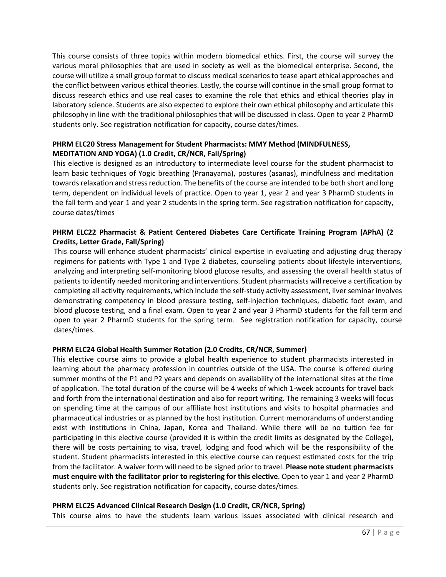This course consists of three topics within modern biomedical ethics. First, the course will survey the various moral philosophies that are used in society as well as the biomedical enterprise. Second, the course will utilize a small group format to discuss medical scenariosto tease apart ethical approaches and the conflict between various ethical theories. Lastly, the course will continue in the small group format to discuss research ethics and use real cases to examine the role that ethics and ethical theories play in laboratory science. Students are also expected to explore their own ethical philosophy and articulate this philosophy in line with the traditional philosophies that will be discussed in class. Open to year 2 PharmD students only. See registration notification for capacity, course dates/times.

# **PHRM ELC20 Stress Management for Student Pharmacists: MMY Method (MINDFULNESS, MEDITATION AND YOGA) (1.0 Credit, CR/NCR, Fall/Spring)**

This elective is designed as an introductory to intermediate level course for the student pharmacist to learn basic techniques of Yogic breathing (Pranayama), postures (asanas), mindfulness and meditation towards relaxation and stress reduction. The benefits of the course are intended to be both short and long term, dependent on individual levels of practice. Open to year 1, year 2 and year 3 PharmD students in the fall term and year 1 and year 2 students in the spring term. See registration notification for capacity, course dates/times

# **PHRM ELC22 Pharmacist & Patient Centered Diabetes Care Certificate Training Program (APhA) (2 Credits, Letter Grade, Fall/Spring)**

This course will enhance student pharmacists' clinical expertise in evaluating and adjusting drug therapy regimens for patients with Type 1 and Type 2 diabetes, counseling patients about lifestyle interventions, analyzing and interpreting self-monitoring blood glucose results, and assessing the overall health status of patients to identify needed monitoring and interventions. Student pharmacists will receive a certification by completing all activity requirements, which include the self-study activity assessment, liver seminar involves demonstrating competency in blood pressure testing, self-injection techniques, diabetic foot exam, and blood glucose testing, and a final exam. Open to year 2 and year 3 PharmD students for the fall term and open to year 2 PharmD students for the spring term. See registration notification for capacity, course dates/times.

# **PHRM ELC24 Global Health Summer Rotation (2.0 Credits, CR/NCR, Summer)**

This elective course aims to provide a global health experience to student pharmacists interested in learning about the pharmacy profession in countries outside of the USA. The course is offered during summer months of the P1 and P2 years and depends on availability of the international sites at the time of application. The total duration of the course will be 4 weeks of which 1-week accounts for travel back and forth from the international destination and also for report writing. The remaining 3 weeks will focus on spending time at the campus of our affiliate host institutions and visits to hospital pharmacies and pharmaceutical industries or as planned by the host institution. Current memorandums of understanding exist with institutions in China, Japan, Korea and Thailand. While there will be no tuition fee for participating in this elective course (provided it is within the credit limits as designated by the College), there will be costs pertaining to visa, travel, lodging and food which will be the responsibility of the student. Student pharmacists interested in this elective course can request estimated costs for the trip from the facilitator. A waiver form will need to be signed prior to travel. **Please note student pharmacists must enquire with the facilitator prior to registering for this elective**. Open to year 1 and year 2 PharmD students only. See registration notification for capacity, course dates/times.

#### **PHRM ELC25 Advanced Clinical Research Design (1.0 Credit, CR/NCR, Spring)**

This course aims to have the students learn various issues associated with clinical research and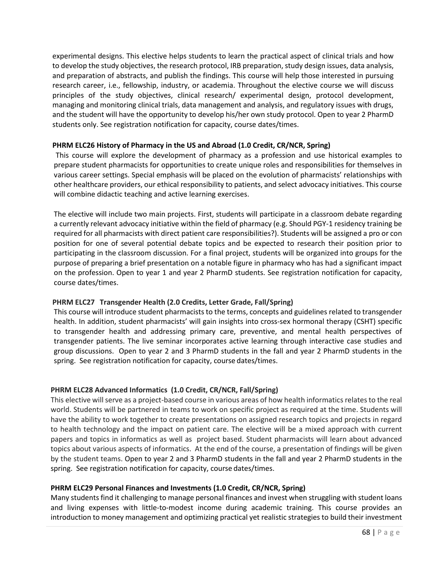experimental designs. This elective helps students to learn the practical aspect of clinical trials and how to develop the study objectives, the research protocol, IRB preparation, study design issues, data analysis, and preparation of abstracts, and publish the findings. This course will help those interested in pursuing research career, i.e., fellowship, industry, or academia. Throughout the elective course we will discuss principles of the study objectives, clinical research/ experimental design, protocol development, managing and monitoring clinical trials, data management and analysis, and regulatory issues with drugs, and the student will have the opportunity to develop his/her own study protocol. Open to year 2 PharmD students only. See registration notification for capacity, course dates/times.

# **PHRM ELC26 History of Pharmacy in the US and Abroad (1.0 Credit, CR/NCR, Spring)**

This course will explore the development of pharmacy as a profession and use historical examples to prepare student pharmacists for opportunities to create unique roles and responsibilities for themselves in various career settings. Special emphasis will be placed on the evolution of pharmacists' relationships with other healthcare providers, our ethical responsibility to patients, and select advocacy initiatives. This course will combine didactic teaching and active learning exercises.

The elective will include two main projects. First, students will participate in a classroom debate regarding a currently relevant advocacy initiative within the field of pharmacy (e.g. Should PGY-1 residency training be required for all pharmacists with direct patient care responsibilities?). Students will be assigned a pro or con position for one of several potential debate topics and be expected to research their position prior to participating in the classroom discussion. For a final project, students will be organized into groups for the purpose of preparing a brief presentation on a notable figure in pharmacy who has had a significant impact on the profession. Open to year 1 and year 2 PharmD students. See registration notification for capacity, course dates/times.

# **PHRM ELC27 Transgender Health (2.0 Credits, Letter Grade, Fall/Spring)**

This course will introduce student pharmacists to the terms, concepts and guidelines related to transgender health. In addition, student pharmacists' will gain insights into cross-sex hormonal therapy (CSHT) specific to transgender health and addressing primary care, preventive, and mental health perspectives of transgender patients. The live seminar incorporates active learning through interactive case studies and group discussions. Open to year 2 and 3 PharmD students in the fall and year 2 PharmD students in the spring. See registration notification for capacity, course dates/times.

# **PHRM ELC28 Advanced Informatics (1.0 Credit, CR/NCR, Fall/Spring)**

This elective will serve as a project-based course in various areas of how health informatics relates to the real world. Students will be partnered in teams to work on specific project as required at the time. Students will have the ability to work together to create presentations on assigned research topics and projects in regard to health technology and the impact on patient care. The elective will be a mixed approach with current papers and topics in informatics as well as project based. Student pharmacists will learn about advanced topics about various aspects of informatics. At the end of the course, a presentation of findings will be given by the student teams. Open to year 2 and 3 PharmD students in the fall and year 2 PharmD students in the spring. See registration notification for capacity, course dates/times.

# **PHRM ELC29 Personal Finances and Investments (1.0 Credit, CR/NCR, Spring)**

Many students find it challenging to manage personal finances and invest when struggling with student loans and living expenses with little-to-modest income during academic training. This course provides an introduction to money management and optimizing practical yet realistic strategies to build their investment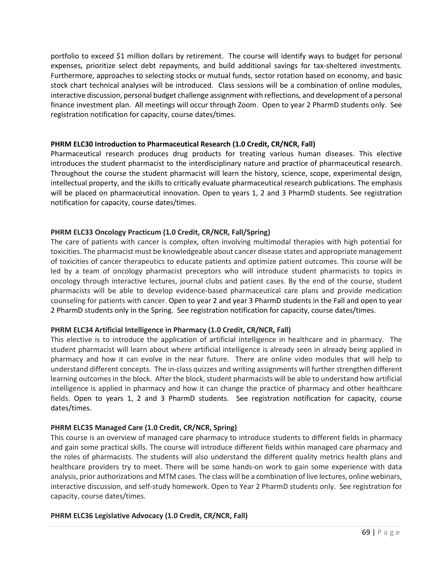portfolio to exceed \$1 million dollars by retirement. The course will identify ways to budget for personal expenses, prioritize select debt repayments, and build additional savings for tax-sheltered investments. Furthermore, approaches to selecting stocks or mutual funds, sector rotation based on economy, and basic stock chart technical analyses will be introduced. Class sessions will be a combination of online modules, interactive discussion, personal budget challenge assignment with reflections, and development of a personal finance investment plan. All meetings will occur through Zoom. Open to year 2 PharmD students only. See registration notification for capacity, course dates/times.

#### **PHRM ELC30 Introduction to Pharmaceutical Research (1.0 Credit, CR/NCR, Fall)**

Pharmaceutical research produces drug products for treating various human diseases. This elective introduces the student pharmacist to the interdisciplinary nature and practice of pharmaceutical research. Throughout the course the student pharmacist will learn the history, science, scope, experimental design, intellectual property, and the skills to critically evaluate pharmaceutical research publications. The emphasis will be placed on pharmaceutical innovation. Open to years 1, 2 and 3 PharmD students. See registration notification for capacity, course dates/times.

# **PHRM ELC33 Oncology Practicum (1.0 Credit, CR/NCR, Fall/Spring)**

The care of patients with cancer is complex, often involving multimodal therapies with high potential for toxicities. The pharmacist must be knowledgeable about cancer disease states and appropriate management of toxicities of cancer therapeutics to educate patients and optimize patient outcomes. This course will be led by a team of oncology pharmacist preceptors who will introduce student pharmacists to topics in oncology through interactive lectures, journal clubs and patient cases. By the end of the course, student pharmacists will be able to develop evidence-based pharmaceutical care plans and provide medication counseling for patients with cancer. Open to year 2 and year 3 PharmD students in the Fall and open to year 2 PharmD students only in the Spring. See registration notification for capacity, course dates/times.

#### **PHRM ELC34 Artificial Intelligence in Pharmacy (1.0 Credit, CR/NCR, Fall)**

This elective is to introduce the application of artificial intelligence in healthcare and in pharmacy. The student pharmacist will learn about where artificial intelligence is already seen in already being applied in pharmacy and how it can evolve in the near future. There are online video modules that will help to understand different concepts. The in-class quizzes and writing assignments will further strengthen different learning outcomes in the block. After the block, student pharmacists will be able to understand how artificial intelligence is applied in pharmacy and how it can change the practice of pharmacy and other healthcare fields. Open to years 1, 2 and 3 PharmD students. See registration notification for capacity, course dates/times.

# **PHRM ELC35 Managed Care (1.0 Credit, CR/NCR, Spring)**

This course is an overview of managed care pharmacy to introduce students to different fields in pharmacy and gain some practical skills. The course will introduce different fields within managed care pharmacy and the roles of pharmacists. The students will also understand the different quality metrics health plans and healthcare providers try to meet. There will be some hands-on work to gain some experience with data analysis, prior authorizations and MTM cases. The class will be a combination of live lectures, online webinars, interactive discussion, and self-study homework. Open to Year 2 PharmD students only. See registration for capacity, course dates/times.

#### **PHRM ELC36 Legislative Advocacy (1.0 Credit, CR/NCR, Fall)**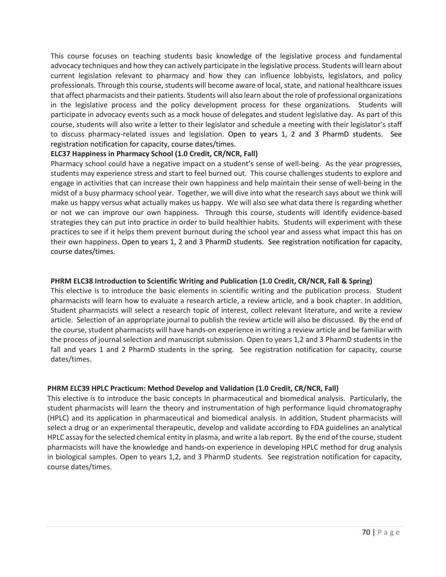This course focuses on teaching students basic knowledge of the legislative process and fundamental advocacy techniques and how they can actively participate in the legislative process. Students will learn about current legislation relevant to pharmacy and how they can influence lobbyists, legislators, and policy professionals. Through this course, students will become aware of local, state, and national healthcare issues that affect pharmacists and their patients. Students will also learn about the role of professional organizations in the legislative process and the policy development process for these organizations. Students will participate in advocacy events such as a mock house of delegates and student legislative day. As part of this course, students will also write a letter to their legislator and schedule a meeting with their legislator's staff to discuss pharmacy-related issues and legislation. Open to years 1, 2 and 3 PharmD students. See registration notification for capacity, course dates/times.

#### **ELC37 Happiness in Pharmacy School (1.0 Credit, CR/NCR, Fall)**

Pharmacy school could have a negative impact on a student's sense of well-being. As the year progresses, students may experience stress and start to feel burned out. This course challenges students to explore and engage in activities that can increase their own happiness and help maintain their sense of well-being in the midst of a busy pharmacy school year. Together, we will dive into what the research says about we think will make us happy versus what actually makes us happy. We will also see what data there is regarding whether or not we can improve our own happiness. Through this course, students will identify evidence-based strategies they can put into practice in order to build healthier habits. Students will experiment with these practices to see if it helps them prevent burnout during the school year and assess what impact this has on their own happiness. Open to years 1, 2 and 3 PharmD students. See registration notification for capacity, course dates/times.

# **PHRM ELC38 Introduction to Scientific Writing and Publication (1.0 Credit, CR/NCR, Fall & Spring)**

This elective is to introduce the basic elements in scientific writing and the publication process. Student pharmacists will learn how to evaluate a research article, a review article, and a book chapter. In addition, Student pharmacists will select a research topic of interest, collect relevant literature, and write a review article. Selection of an appropriate journal to publish the review article will also be discussed. By the end of the course, student pharmacists will have hands-on experience in writing a review article and be familiar with the process of journal selection and manuscript submission. Open to years 1,2 and 3 PharmD students in the fall and years 1 and 2 PharmD students in the spring. See registration notification for capacity, course dates/times.

# **PHRM ELC39 HPLC Practicum: Method Develop and Validation (1.0 Credit, CR/NCR, Fall)**

This elective is to introduce the basic concepts in pharmaceutical and biomedical analysis. Particularly, the student pharmacists will learn the theory and instrumentation of high performance liquid chromatography (HPLC) and its application in pharmaceutical and biomedical analysis. In addition, Student pharmacists will select a drug or an experimental therapeutic, develop and validate according to FDA guidelines an analytical HPLC assay for the selected chemical entity in plasma, and write a lab report. By the end of the course, student pharmacists will have the knowledge and hands-on experience in developing HPLC method for drug analysis in biological samples. Open to years 1,2, and 3 PharmD students. See registration notification for capacity, course dates/times.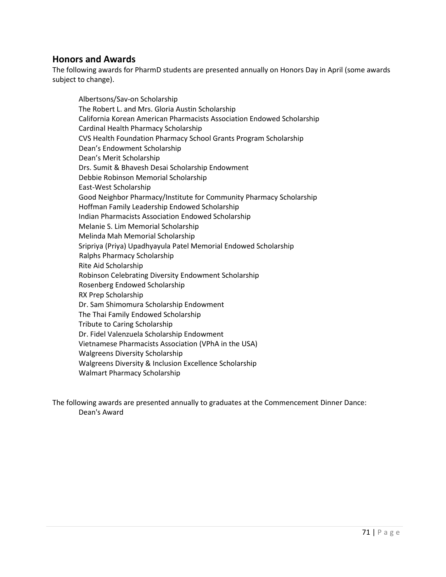# **Honors and Awards**

The following awards for PharmD students are presented annually on Honors Day in April (some awards subject to change).

Albertsons/Sav-on Scholarship The Robert L. and Mrs. Gloria Austin Scholarship California Korean American Pharmacists Association Endowed Scholarship Cardinal Health Pharmacy Scholarship CVS Health Foundation Pharmacy School Grants Program Scholarship Dean's Endowment Scholarship Dean's Merit Scholarship Drs. Sumit & Bhavesh Desai Scholarship Endowment Debbie Robinson Memorial Scholarship East-West Scholarship Good Neighbor Pharmacy/Institute for Community Pharmacy Scholarship Hoffman Family Leadership Endowed Scholarship Indian Pharmacists Association Endowed Scholarship Melanie S. Lim Memorial Scholarship Melinda Mah Memorial Scholarship Sripriya (Priya) Upadhyayula Patel Memorial Endowed Scholarship Ralphs Pharmacy Scholarship Rite Aid Scholarship Robinson Celebrating Diversity Endowment Scholarship Rosenberg Endowed Scholarship RX Prep Scholarship Dr. Sam Shimomura Scholarship Endowment The Thai Family Endowed Scholarship Tribute to Caring Scholarship Dr. Fidel Valenzuela Scholarship Endowment Vietnamese Pharmacists Association (VPhA in the USA) Walgreens Diversity Scholarship Walgreens Diversity & Inclusion Excellence Scholarship Walmart Pharmacy Scholarship

The following awards are presented annually to graduates at the Commencement Dinner Dance: Dean's Award